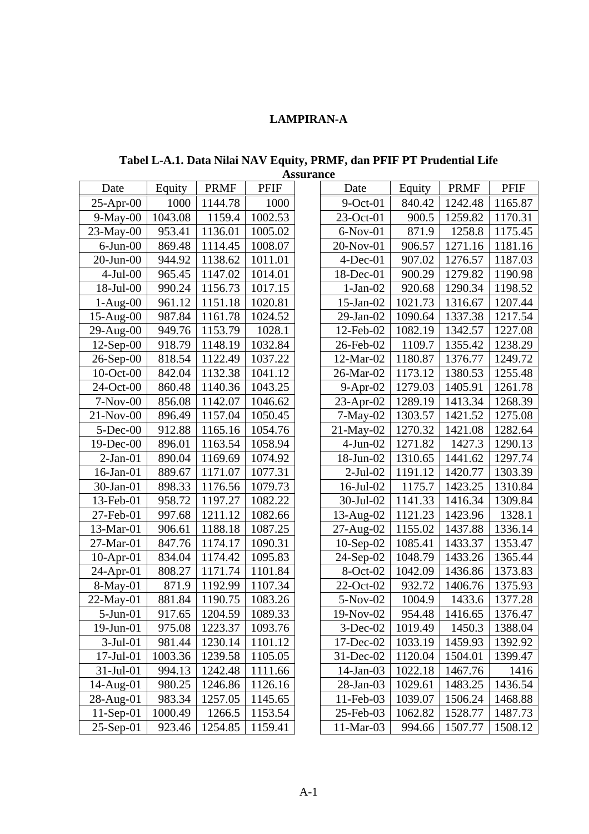# **LAMPIRAN-A**

**Tabel L-A.1. Data Nilai NAV Equity, PRMF, dan PFIF PT Prudential Life Assurance** 

| 9-Oct-01<br>23-Oct-01<br>$6-Nov-01$<br>20-Nov-01<br>$4$ -Dec-01 | 840.42<br>900.5<br>871.9<br>906.57 | 1242.48<br>1259.82<br>1258.8                        | 1165.87<br>1170.31<br>1175.45 |
|-----------------------------------------------------------------|------------------------------------|-----------------------------------------------------|-------------------------------|
|                                                                 |                                    |                                                     |                               |
|                                                                 |                                    |                                                     |                               |
|                                                                 |                                    |                                                     |                               |
|                                                                 |                                    | 1271.16                                             | 1181.16                       |
|                                                                 | 907.02                             | 1276.57                                             | 1187.03                       |
| 18-Dec-01                                                       | 900.29                             | 1279.82                                             | 1190.98                       |
| $1-Jan-02$                                                      | 920.68                             | 1290.34                                             | 1198.52                       |
| $15$ -Jan- $02$                                                 | 1021.73                            | 1316.67                                             | 1207.44                       |
| $29$ -Jan- $02$                                                 | 1090.64                            | 1337.38                                             | 1217.54                       |
| 12-Feb-02                                                       | 1082.19                            | 1342.57                                             | 1227.08                       |
| 26-Feb-02                                                       | 1109.7                             | 1355.42                                             | 1238.29                       |
| 12-Mar-02                                                       | 1180.87                            | 1376.77                                             | 1249.72                       |
| 26-Mar-02                                                       | 1173.12                            | 1380.53                                             | 1255.48                       |
| $9-Apr-02$                                                      | 1279.03                            | 1405.91                                             | 1261.78                       |
| $23$ -Apr-02                                                    | 1289.19                            | 1413.34                                             | 1268.39                       |
| $7-May-02$                                                      |                                    | 1421.52                                             | 1275.08                       |
| $21$ -May-02                                                    | 1270.32                            | 1421.08                                             | 1282.64                       |
| $4-Jun-02$                                                      | 1271.82                            | 1427.3                                              | 1290.13                       |
| 18-Jun-02                                                       |                                    | 1441.62                                             | 1297.74                       |
| $2-Jul-02$                                                      | 1191.12                            | 1420.77                                             | 1303.39                       |
| $16$ -Jul-02                                                    | 1175.7                             | 1423.25                                             | 1310.84                       |
| 30-Jul-02                                                       |                                    | 1416.34                                             | 1309.84                       |
| 13-Aug-02                                                       | 1121.23                            | 1423.96                                             | 1328.1                        |
| $27-Aug-02$                                                     |                                    | 1437.88                                             | 1336.14                       |
| $10-Sep-02$                                                     | 1085.41                            | 1433.37                                             | 1353.47                       |
| $24-Sep-02$                                                     | 1048.79                            | 1433.26                                             | 1365.44                       |
| 8-Oct-02                                                        | 1042.09                            | 1436.86                                             | 1373.83                       |
| 22-Oct-02                                                       | 932.72                             | 1406.76                                             | 1375.93                       |
| $5-Nov-02$                                                      | 1004.9                             | 1433.6                                              | 1377.28                       |
| 19-Nov-02                                                       | 954.48                             | 1416.65                                             | 1376.47                       |
| $3$ -Dec-02                                                     | 1019.49                            | 1450.3                                              | 1388.04                       |
| 17-Dec-02                                                       |                                    | 1459.93                                             | 1392.92                       |
| $31$ -Dec-02                                                    | 1120.04                            | 1504.01                                             | 1399.47                       |
| $14$ -Jan-03                                                    | 1022.18                            | 1467.76                                             | 1416                          |
| 28-Jan-03                                                       | 1029.61                            | 1483.25                                             | 1436.54                       |
| $11$ -Feb-03                                                    | 1039.07                            | 1506.24                                             | 1468.88                       |
| 25-Feb-03                                                       | 1062.82                            | 1528.77                                             | 1487.73                       |
| $11-Mar-03$                                                     | 994.66                             | 1507.77                                             | 1508.12                       |
|                                                                 |                                    | 1303.57<br>1310.65<br>1141.33<br>1155.02<br>1033.19 |                               |

|                 |         |             |         | Assul ance |                 |         |             |             |
|-----------------|---------|-------------|---------|------------|-----------------|---------|-------------|-------------|
| Date            | Equity  | <b>PRMF</b> | PFIF    |            | Date            | Equity  | <b>PRMF</b> | <b>PFIF</b> |
| $25$ -Apr-00    | 1000    | 1144.78     | 1000    |            | $9$ -Oct-01     | 840.42  | 1242.48     | 1165.87     |
| $9-May-00$      | 1043.08 | 1159.4      | 1002.53 |            | $23-Oct-01$     | 900.5   | 1259.82     | 1170.31     |
| 23-May-00       | 953.41  | 1136.01     | 1005.02 |            | $6-Nov-01$      | 871.9   | 1258.8      | 1175.45     |
| $6$ -Jun $-00$  | 869.48  | 1114.45     | 1008.07 |            | 20-Nov-01       | 906.57  | 1271.16     | 1181.16     |
| $20$ -Jun- $00$ | 944.92  | 1138.62     | 1011.01 |            | $4$ -Dec-01     | 907.02  | 1276.57     | 1187.03     |
| $4-Jul-00$      | 965.45  | 1147.02     | 1014.01 |            | 18-Dec-01       | 900.29  | 1279.82     | 1190.98     |
| 18-Jul-00       | 990.24  | 1156.73     | 1017.15 |            | $1-Jan-02$      | 920.68  | 1290.34     | 1198.52     |
| $1-Aug-00$      | 961.12  | 1151.18     | 1020.81 |            | $15$ -Jan- $02$ | 1021.73 | 1316.67     | 1207.44     |
| 15-Aug-00       | 987.84  | 1161.78     | 1024.52 |            | $29$ -Jan- $02$ | 1090.64 | 1337.38     | 1217.54     |
| 29-Aug-00       | 949.76  | 1153.79     | 1028.1  |            | 12-Feb-02       | 1082.19 | 1342.57     | 1227.08     |
| $12$ -Sep-00    | 918.79  | 1148.19     | 1032.84 |            | 26-Feb-02       | 1109.7  | 1355.42     | 1238.29     |
| 26-Sep-00       | 818.54  | 1122.49     | 1037.22 |            | 12-Mar-02       | 1180.87 | 1376.77     | 1249.72     |
| 10-Oct-00       | 842.04  | 1132.38     | 1041.12 |            | 26-Mar-02       | 1173.12 | 1380.53     | 1255.48     |
| 24-Oct-00       | 860.48  | 1140.36     | 1043.25 |            | $9-Apr-02$      | 1279.03 | 1405.91     | 1261.78     |
| $7-Nov-00$      | 856.08  | 1142.07     | 1046.62 |            | $23$ -Apr-02    | 1289.19 | 1413.34     | 1268.39     |
| 21-Nov-00       | 896.49  | 1157.04     | 1050.45 |            | $7-May-02$      | 1303.57 | 1421.52     | 1275.08     |
| $5$ -Dec-00     | 912.88  | 1165.16     | 1054.76 |            | $21-May-02$     | 1270.32 | 1421.08     | 1282.64     |
| 19-Dec-00       | 896.01  | 1163.54     | 1058.94 |            | $4-Jun-02$      | 1271.82 | 1427.3      | 1290.13     |
| $2-Jan-01$      | 890.04  | 1169.69     | 1074.92 |            | 18-Jun-02       | 1310.65 | 1441.62     | 1297.74     |
| $16$ -Jan- $01$ | 889.67  | 1171.07     | 1077.31 |            | $2-Jul-02$      | 1191.12 | 1420.77     | 1303.39     |
| 30-Jan-01       | 898.33  | 1176.56     | 1079.73 |            | 16-Jul-02       | 1175.7  | 1423.25     | 1310.84     |
| 13-Feb-01       | 958.72  | 1197.27     | 1082.22 |            | 30-Jul-02       | 1141.33 | 1416.34     | 1309.84     |
| 27-Feb-01       | 997.68  | 1211.12     | 1082.66 |            | $13$ -Aug-02    | 1121.23 | 1423.96     | 1328.1      |
| 13-Mar-01       | 906.61  | 1188.18     | 1087.25 |            | 27-Aug-02       | 1155.02 | 1437.88     | 1336.14     |
| 27-Mar-01       | 847.76  | 1174.17     | 1090.31 |            | $10-Sep-02$     | 1085.41 | 1433.37     | 1353.47     |
| $10$ -Apr-01    | 834.04  | 1174.42     | 1095.83 |            | 24-Sep-02       | 1048.79 | 1433.26     | 1365.44     |
| 24-Apr-01       | 808.27  | 1171.74     | 1101.84 |            | 8-Oct-02        | 1042.09 | 1436.86     | 1373.83     |
| $8-May-01$      | 871.9   | 1192.99     | 1107.34 |            | 22-Oct-02       | 932.72  | 1406.76     | 1375.93     |
| 22-May-01       | 881.84  | 1190.75     | 1083.26 |            | $5-Nov-02$      | 1004.9  | 1433.6      | 1377.28     |
| $5-Jun-01$      | 917.65  | 1204.59     | 1089.33 |            | 19-Nov-02       | 954.48  | 1416.65     | 1376.47     |
| 19-Jun-01       | 975.08  | 1223.37     | 1093.76 |            | $3-Dec-02$      | 1019.49 | 1450.3      | 1388.04     |
| $3-Jul-01$      | 981.44  | 1230.14     | 1101.12 |            | 17-Dec-02       | 1033.19 | 1459.93     | 1392.92     |
| $17$ -Jul-01    | 1003.36 | 1239.58     | 1105.05 |            | 31-Dec-02       | 1120.04 | 1504.01     | 1399.47     |
| $31 - Jul - 01$ | 994.13  | 1242.48     | 1111.66 |            | 14-Jan-03       | 1022.18 | 1467.76     | 1416        |
| 14-Aug-01       | 980.25  | 1246.86     | 1126.16 |            | 28-Jan-03       | 1029.61 | 1483.25     | 1436.54     |
| 28-Aug-01       | 983.34  | 1257.05     | 1145.65 |            | $11$ -Feb-03    | 1039.07 | 1506.24     | 1468.88     |
| $11-Sep-01$     | 1000.49 | 1266.5      | 1153.54 |            | 25-Feb-03       | 1062.82 | 1528.77     | 1487.73     |
| $25-Sep-01$     | 923.46  | 1254.85     | 1159.41 |            | 11-Mar-03       | 994.66  | 1507.77     | 1508.12     |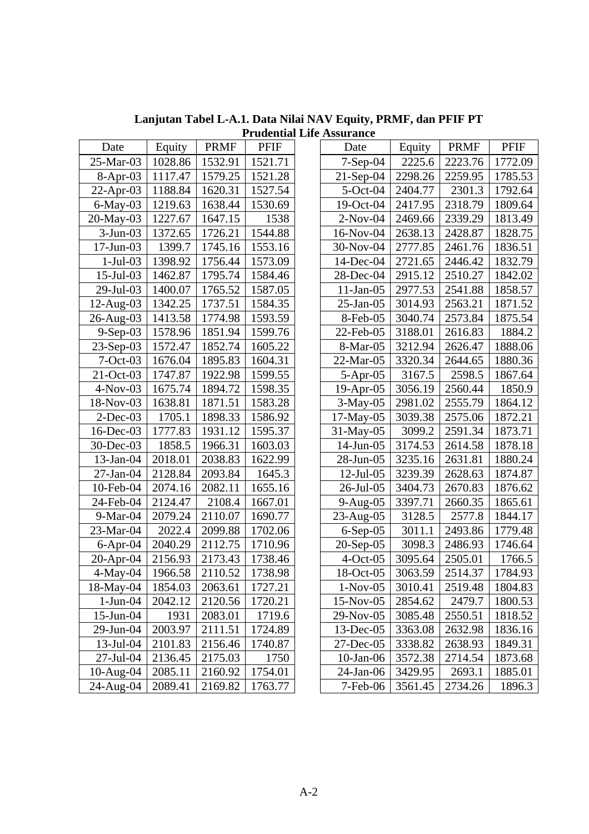| Date         | Equity  | <b>PRMF</b> | <b>PFIF</b> |
|--------------|---------|-------------|-------------|
| 25-Mar-03    | 1028.86 | 1532.91     | 1521.71     |
| $8-Apr-03$   | 1117.47 | 1579.25     | 1521.28     |
| $22$ -Apr-03 | 1188.84 | 1620.31     | 1527.54     |
| 6-May-03     | 1219.63 | 1638.44     | 1530.69     |
| 20-May-03    | 1227.67 | 1647.15     | 1538        |
| $3-Jun-03$   | 1372.65 | 1726.21     | 1544.88     |
| 17-Jun-03    | 1399.7  | 1745.16     | 1553.16     |
| $1-Jul-03$   | 1398.92 | 1756.44     | 1573.09     |
| 15-Jul-03    | 1462.87 | 1795.74     | 1584.46     |
| 29-Jul-03    | 1400.07 | 1765.52     | 1587.05     |
| $12$ -Aug-03 | 1342.25 | 1737.51     | 1584.35     |
| 26-Aug-03    | 1413.58 | 1774.98     | 1593.59     |
| $9-Sep-03$   | 1578.96 | 1851.94     | 1599.76     |
| $23-Sep-03$  | 1572.47 | 1852.74     | 1605.22     |
| $7-Oct-03$   | 1676.04 | 1895.83     | 1604.31     |
| $21-Oct-03$  | 1747.87 | 1922.98     | 1599.55     |
| $4-Nov-03$   | 1675.74 | 1894.72     | 1598.35     |
| 18-Nov-03    | 1638.81 | 1871.51     | 1583.28     |
| $2$ -Dec-03  | 1705.1  | 1898.33     | 1586.92     |
| 16-Dec-03    | 1777.83 | 1931.12     | 1595.37     |
| 30-Dec-03    | 1858.5  | 1966.31     | 1603.03     |
| 13-Jan-04    | 2018.01 | 2038.83     | 1622.99     |
| 27-Jan-04    | 2128.84 | 2093.84     | 1645.3      |
| 10-Feb-04    | 2074.16 | 2082.11     | 1655.16     |
| 24-Feb-04    | 2124.47 | 2108.4      | 1667.01     |
| 9-Mar-04     | 2079.24 | 2110.07     | 1690.77     |
| 23-Mar-04    | 2022.4  | 2099.88     | 1702.06     |
| $6$ -Apr-04  | 2040.29 | 2112.75     | 1710.96     |
| 20-Apr-04    | 2156.93 | 2173.43     | 1738.46     |
| $4$ -May-04  | 1966.58 | 2110.52     | 1738.98     |
| 18-May-04    | 1854.03 | 2063.61     | 1727.21     |
| $1-Jun-04$   | 2042.12 | 2120.56     | 1720.21     |
| 15-Jun-04    | 1931    | 2083.01     | 1719.6      |
| 29-Jun-04    | 2003.97 | 2111.51     | 1724.89     |
| 13-Jul-04    | 2101.83 | 2156.46     | 1740.87     |
| 27-Jul-04    | 2136.45 | 2175.03     | 1750        |
| 10-Aug-04    | 2085.11 | 2160.92     | 1754.01     |
| 24-Aug-04    | 2089.41 | 2169.82     | 1763.77     |

**Lanjutan Tabel L-A.1. Data Nilai NAV Equity, PRMF, dan PFIF PT Prudential Life Assurance** 

| Date         | Equity  | <b>PRMF</b> | <b>PFIF</b> | Date         | Equity  | <b>PRMF</b> | <b>PFIF</b> |
|--------------|---------|-------------|-------------|--------------|---------|-------------|-------------|
| 25-Mar-03    | 1028.86 | 1532.91     | 1521.71     | $7-Sep-04$   | 2225.6  | 2223.76     | 1772.09     |
| $8-Apr-03$   | 1117.47 | 1579.25     | 1521.28     | $21-Sep-04$  | 2298.26 | 2259.95     | 1785.53     |
| $22$ -Apr-03 | 1188.84 | 1620.31     | 1527.54     | $5$ -Oct-04  | 2404.77 | 2301.3      | 1792.64     |
| $6$ -May-03  | 1219.63 | 1638.44     | 1530.69     | 19-Oct-04    | 2417.95 | 2318.79     | 1809.64     |
| 20-May-03    | 1227.67 | 1647.15     | 1538        | $2-Nov-04$   | 2469.66 | 2339.29     | 1813.49     |
| $3-Jun-03$   | 1372.65 | 1726.21     | 1544.88     | 16-Nov-04    | 2638.13 | 2428.87     | 1828.75     |
| 17-Jun-03    | 1399.7  | 1745.16     | 1553.16     | 30-Nov-04    | 2777.85 | 2461.76     | 1836.51     |
| $1-Jul-03$   | 1398.92 | 1756.44     | 1573.09     | 14-Dec-04    | 2721.65 | 2446.42     | 1832.79     |
| 15-Jul-03    | 1462.87 | 1795.74     | 1584.46     | 28-Dec-04    | 2915.12 | 2510.27     | 1842.02     |
| 29-Jul-03    | 1400.07 | 1765.52     | 1587.05     | $11-Jan-05$  | 2977.53 | 2541.88     | 1858.57     |
| $12$ -Aug-03 | 1342.25 | 1737.51     | 1584.35     | $25$ -Jan-05 | 3014.93 | 2563.21     | 1871.52     |
| 26-Aug-03    | 1413.58 | 1774.98     | 1593.59     | 8-Feb-05     | 3040.74 | 2573.84     | 1875.54     |
| $9-Sep-03$   | 1578.96 | 1851.94     | 1599.76     | 22-Feb-05    | 3188.01 | 2616.83     | 1884.2      |
| $23-Sep-03$  | 1572.47 | 1852.74     | 1605.22     | 8-Mar-05     | 3212.94 | 2626.47     | 1888.06     |
| $7-Oct-03$   | 1676.04 | 1895.83     | 1604.31     | 22-Mar-05    | 3320.34 | 2644.65     | 1880.36     |
| 21-Oct-03    | 1747.87 | 1922.98     | 1599.55     | $5-Apr-05$   | 3167.5  | 2598.5      | 1867.64     |
| $4-Nov-03$   | 1675.74 | 1894.72     | 1598.35     | $19$ -Apr-05 | 3056.19 | 2560.44     | 1850.9      |
| 18-Nov-03    | 1638.81 | 1871.51     | 1583.28     | $3-May-05$   | 2981.02 | 2555.79     | 1864.12     |
| $2$ -Dec-03  | 1705.1  | 1898.33     | 1586.92     | 17-May-05    | 3039.38 | 2575.06     | 1872.21     |
| 16-Dec-03    | 1777.83 | 1931.12     | 1595.37     | $31$ -May-05 | 3099.2  | 2591.34     | 1873.71     |
| 30-Dec-03    | 1858.5  | 1966.31     | 1603.03     | 14-Jun-05    | 3174.53 | 2614.58     | 1878.18     |
| 13-Jan-04    | 2018.01 | 2038.83     | 1622.99     | 28-Jun-05    | 3235.16 | 2631.81     | 1880.24     |
| 27-Jan-04    | 2128.84 | 2093.84     | 1645.3      | $12$ -Jul-05 | 3239.39 | 2628.63     | 1874.87     |
| 10-Feb-04    | 2074.16 | 2082.11     | 1655.16     | 26-Jul-05    | 3404.73 | 2670.83     | 1876.62     |
| 24-Feb-04    | 2124.47 | 2108.4      | 1667.01     | $9-Aug-05$   | 3397.71 | 2660.35     | 1865.61     |
| 9-Mar-04     | 2079.24 | 2110.07     | 1690.77     | 23-Aug-05    | 3128.5  | 2577.8      | 1844.17     |
| 23-Mar-04    | 2022.4  | 2099.88     | 1702.06     | $6-Sep-05$   | 3011.1  | 2493.86     | 1779.48     |
| $6$ -Apr-04  | 2040.29 | 2112.75     | 1710.96     | $20-Sep-05$  | 3098.3  | 2486.93     | 1746.64     |
| 20-Apr-04    | 2156.93 | 2173.43     | 1738.46     | $4-Oct-05$   | 3095.64 | 2505.01     | 1766.5      |
| 4-May-04     | 1966.58 | 2110.52     | 1738.98     | 18-Oct-05    | 3063.59 | 2514.37     | 1784.93     |
| 18-May-04    | 1854.03 | 2063.61     | 1727.21     | $1-Nov-05$   | 3010.41 | 2519.48     | 1804.83     |
| $1-Jun-04$   | 2042.12 | 2120.56     | 1720.21     | 15-Nov-05    | 2854.62 | 2479.7      | 1800.53     |
| $15$ -Jun-04 | 1931    | 2083.01     | 1719.6      | 29-Nov-05    | 3085.48 | 2550.51     | 1818.52     |
| 29-Jun-04    | 2003.97 | 2111.51     | 1724.89     | 13-Dec-05    | 3363.08 | 2632.98     | 1836.16     |
| 13-Jul-04    | 2101.83 | 2156.46     | 1740.87     | 27-Dec-05    | 3338.82 | 2638.93     | 1849.31     |
| $27$ -Jul-04 | 2136.45 | 2175.03     | 1750        | $10$ -Jan-06 | 3572.38 | 2714.54     | 1873.68     |
| $10-Aug-04$  | 2085.11 | 2160.92     | 1754.01     | 24-Jan-06    | 3429.95 | 2693.1      | 1885.01     |
| 24-Aug-04    | 2089.41 | 2169.82     | 1763.77     | 7-Feb-06     | 3561.45 | 2734.26     | 1896.3      |
|              |         |             |             |              |         |             |             |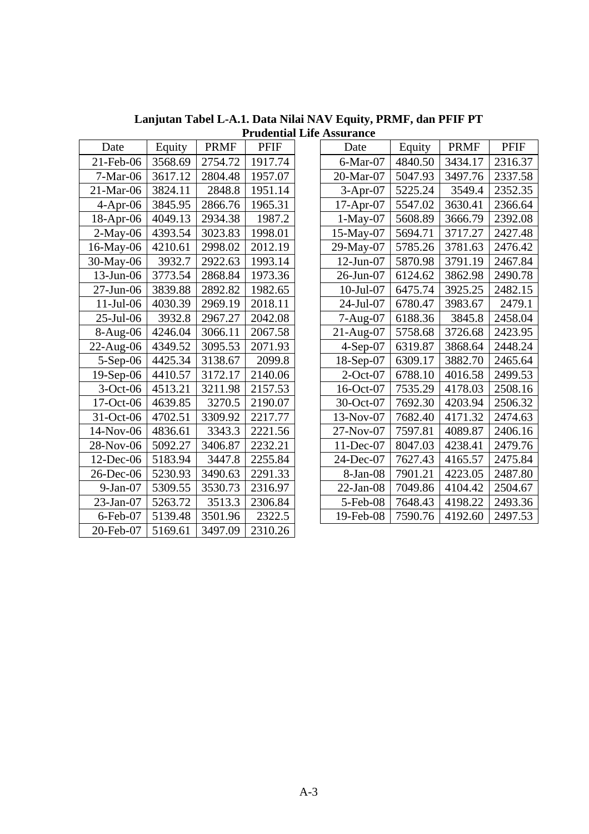| Date           | Equity  | <b>PRMF</b> | <b>PFIF</b> |
|----------------|---------|-------------|-------------|
| 21-Feb-06      | 3568.69 | 2754.72     | 1917.74     |
| 7-Mar-06       | 3617.12 | 2804.48     | 1957.07     |
| 21-Mar-06      | 3824.11 | 2848.8      | 1951.14     |
| $4-Apr-06$     | 3845.95 | 2866.76     | 1965.31     |
| 18-Apr-06      | 4049.13 | 2934.38     | 1987.2      |
| $2-May-06$     | 4393.54 | 3023.83     | 1998.01     |
| 16-May-06      | 4210.61 | 2998.02     | 2012.19     |
| 30-May-06      | 3932.7  | 2922.63     | 1993.14     |
| 13-Jun-06      | 3773.54 | 2868.84     | 1973.36     |
| 27-Jun-06      | 3839.88 | 2892.82     | 1982.65     |
| $11$ -Jul-06   | 4030.39 | 2969.19     | 2018.11     |
| 25-Jul-06      | 3932.8  | 2967.27     | 2042.08     |
| 8-Aug-06       | 4246.04 | 3066.11     | 2067.58     |
| 22-Aug-06      | 4349.52 | 3095.53     | 2071.93     |
| $5-$ Sep $-06$ | 4425.34 | 3138.67     | 2099.8      |
| 19-Sep-06      | 4410.57 | 3172.17     | 2140.06     |
| $3-Oct-06$     | 4513.21 | 3211.98     | 2157.53     |
| 17-Oct-06      | 4639.85 | 3270.5      | 2190.07     |
| 31-Oct-06      | 4702.51 | 3309.92     | 2217.77     |
| 14-Nov-06      | 4836.61 | 3343.3      | 2221.56     |
| 28-Nov-06      | 5092.27 | 3406.87     | 2232.21     |
| $12$ -Dec-06   | 5183.94 | 3447.8      | 2255.84     |
| 26-Dec-06      | 5230.93 | 3490.63     | 2291.33     |
| $9-Jan-07$     | 5309.55 | 3530.73     | 2316.97     |
| $23$ -Jan-07   | 5263.72 | 3513.3      | 2306.84     |
| $6$ -Feb-07    | 5139.48 | 3501.96     | 2322.5      |
| 20-Feb-07      | 5169.61 | 3497.09     | 2310.26     |

**Lanjutan Tabel L-A.1. Data Nilai NAV Equity, PRMF, dan PFIF PT Prudential Life Assurance** 

|              | ential Life Assai ance |             |             |  |              |         |             |             |  |  |
|--------------|------------------------|-------------|-------------|--|--------------|---------|-------------|-------------|--|--|
| Date         | Equity                 | <b>PRMF</b> | <b>PFIF</b> |  | Date         | Equity  | <b>PRMF</b> | <b>PFIF</b> |  |  |
| 21-Feb-06    | 3568.69                | 2754.72     | 1917.74     |  | 6-Mar-07     | 4840.50 | 3434.17     | 2316.37     |  |  |
| $7-Mar-06$   | 3617.12                | 2804.48     | 1957.07     |  | 20-Mar-07    | 5047.93 | 3497.76     | 2337.58     |  |  |
| 21-Mar-06    | 3824.11                | 2848.8      | 1951.14     |  | $3-Apr-07$   | 5225.24 | 3549.4      | 2352.35     |  |  |
| $4-Apr-06$   | 3845.95                | 2866.76     | 1965.31     |  | $17-Apr-07$  | 5547.02 | 3630.41     | 2366.64     |  |  |
| $18$ -Apr-06 | 4049.13                | 2934.38     | 1987.2      |  | $1-May-07$   | 5608.89 | 3666.79     | 2392.08     |  |  |
| $2-May-06$   | 4393.54                | 3023.83     | 1998.01     |  | 15-May-07    | 5694.71 | 3717.27     | 2427.48     |  |  |
| 16-May-06    | 4210.61                | 2998.02     | 2012.19     |  | 29-May-07    | 5785.26 | 3781.63     | 2476.42     |  |  |
| 30-May-06    | 3932.7                 | 2922.63     | 1993.14     |  | 12-Jun-07    | 5870.98 | 3791.19     | 2467.84     |  |  |
| $13$ -Jun-06 | 3773.54                | 2868.84     | 1973.36     |  | 26-Jun-07    | 6124.62 | 3862.98     | 2490.78     |  |  |
| $27$ -Jun-06 | 3839.88                | 2892.82     | 1982.65     |  | $10$ -Jul-07 | 6475.74 | 3925.25     | 2482.15     |  |  |
| $11-Jul-06$  | 4030.39                | 2969.19     | 2018.11     |  | 24-Jul-07    | 6780.47 | 3983.67     | 2479.1      |  |  |
| 25-Jul-06    | 3932.8                 | 2967.27     | 2042.08     |  | $7-Aug-07$   | 6188.36 | 3845.8      | 2458.04     |  |  |
| $8-Aug-06$   | 4246.04                | 3066.11     | 2067.58     |  | $21-Aug-07$  | 5758.68 | 3726.68     | 2423.95     |  |  |
| 22-Aug-06    | 4349.52                | 3095.53     | 2071.93     |  | $4-Sep-07$   | 6319.87 | 3868.64     | 2448.24     |  |  |
| $5-Sep-06$   | 4425.34                | 3138.67     | 2099.8      |  | 18-Sep-07    | 6309.17 | 3882.70     | 2465.64     |  |  |
| $19-Sep-06$  | 4410.57                | 3172.17     | 2140.06     |  | $2$ -Oct-07  | 6788.10 | 4016.58     | 2499.53     |  |  |
| $3-Oct-06$   | 4513.21                | 3211.98     | 2157.53     |  | 16-Oct-07    | 7535.29 | 4178.03     | 2508.16     |  |  |
| 17-Oct-06    | 4639.85                | 3270.5      | 2190.07     |  | 30-Oct-07    | 7692.30 | 4203.94     | 2506.32     |  |  |
| 31-Oct-06    | 4702.51                | 3309.92     | 2217.77     |  | 13-Nov-07    | 7682.40 | 4171.32     | 2474.63     |  |  |
| 14-Nov-06    | 4836.61                | 3343.3      | 2221.56     |  | $27-Nov-07$  | 7597.81 | 4089.87     | 2406.16     |  |  |
| 28-Nov-06    | 5092.27                | 3406.87     | 2232.21     |  | $11$ -Dec-07 | 8047.03 | 4238.41     | 2479.76     |  |  |
| 12-Dec-06    | 5183.94                | 3447.8      | 2255.84     |  | 24-Dec-07    | 7627.43 | 4165.57     | 2475.84     |  |  |
| 26-Dec-06    | 5230.93                | 3490.63     | 2291.33     |  | 8-Jan-08     | 7901.21 | 4223.05     | 2487.80     |  |  |
| $9-Jan-07$   | 5309.55                | 3530.73     | 2316.97     |  | $22-Jan-08$  | 7049.86 | 4104.42     | 2504.67     |  |  |
| 23-Jan-07    | 5263.72                | 3513.3      | 2306.84     |  | 5-Feb-08     | 7648.43 | 4198.22     | 2493.36     |  |  |
| $6$ -Feb-07  | 5139.48                | 3501.96     | 2322.5      |  | 19-Feb-08    | 7590.76 | 4192.60     | 2497.53     |  |  |
|              |                        |             |             |  |              |         |             |             |  |  |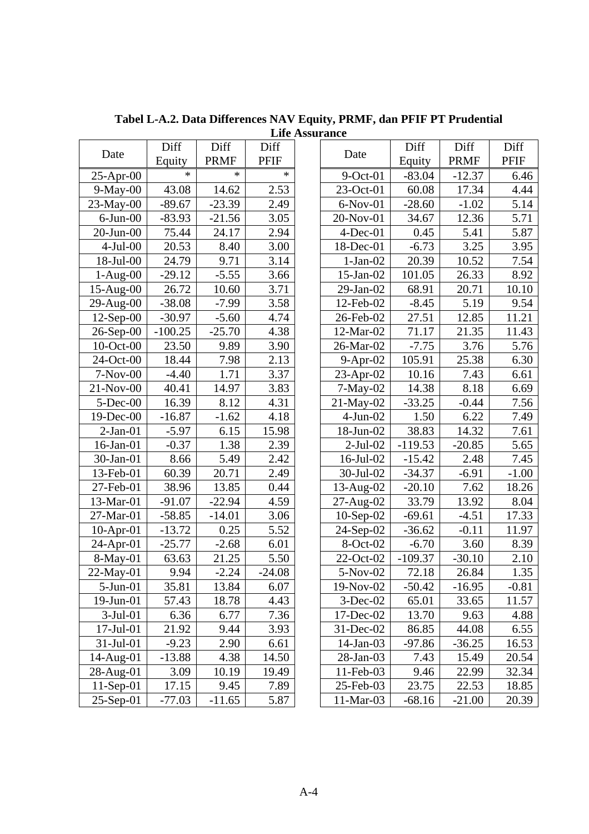|                 | Diff      | Diff        | Diff     | Date            | Diff      | Diff        | Diff               |
|-----------------|-----------|-------------|----------|-----------------|-----------|-------------|--------------------|
| Date            | Equity    | <b>PRMF</b> | PFIF     |                 | Equity    | <b>PRMF</b> | PFIF               |
| $25$ -Apr-00    | $\ast$    | $\ast$      | $\ast$   | $9$ -Oct-01     | $-83.04$  | $-12.37$    | 6.46               |
| $9-May-00$      | 43.08     | 14.62       | 2.53     | 23-Oct-01       | 60.08     | 17.34       | 4.44               |
| $23-May-00$     | $-89.67$  | $-23.39$    | 2.49     | $6-Nov-01$      | $-28.60$  | $-1.02$     | 5.14               |
| $6$ -Jun- $00$  | $-83.93$  | $-21.56$    | 3.05     | $20$ -Nov-01    | 34.67     | 12.36       | 5.71               |
| $20$ -Jun- $00$ | 75.44     | 24.17       | 2.94     | $4$ -Dec-01     | 0.45      | 5.41        | 5.87               |
| $4-Jul-00$      | 20.53     | 8.40        | 3.00     | $18$ -Dec-01    | $-6.73$   | 3.25        | 3.95               |
| 18-Jul-00       | 24.79     | 9.71        | 3.14     | $1-Jan-02$      | 20.39     | 10.52       | 7.54               |
| $1-Aug-00$      | $-29.12$  | $-5.55$     | 3.66     | $15$ -Jan- $02$ | 101.05    | 26.33       | 8.92               |
| $15-Aug-00$     | 26.72     | 10.60       | 3.71     | $29$ -Jan- $02$ | 68.91     | 20.71       | 10.10              |
| $29$ -Aug- $00$ | $-38.08$  | $-7.99$     | 3.58     | 12-Feb-02       | $-8.45$   | 5.19        | 9.54               |
| $12$ -Sep-00    | $-30.97$  | $-5.60$     | 4.74     | 26-Feb-02       | 27.51     | 12.85       | 11.21              |
| $26$ -Sep-00    | $-100.25$ | $-25.70$    | 4.38     | 12-Mar-02       | 71.17     | 21.35       | 11.43              |
| $10$ -Oct-00    | 23.50     | 9.89        | 3.90     | 26-Mar-02       | $-7.75$   | 3.76        | 5.76               |
| 24-Oct-00       | 18.44     | 7.98        | 2.13     | $9-Apr-02$      | 105.91    | 25.38       | 6.30               |
| $7-Nov-00$      | $-4.40$   | 1.71        | 3.37     | $23$ -Apr-02    | 10.16     | 7.43        | 6.61               |
| $21-Nov-00$     | 40.41     | 14.97       | 3.83     | $7-May-02$      | 14.38     | 8.18        | 6.69               |
| $5$ -Dec-00     | 16.39     | 8.12        | 4.31     | $21-May-02$     | $-33.25$  | $-0.44$     | 7.56               |
| $19$ -Dec-00    | $-16.87$  | $-1.62$     | 4.18     | $4$ -Jun- $02$  | 1.50      | 6.22        | 7.49               |
| $2-Jan-01$      | $-5.97$   | 6.15        | 15.98    | $18$ -Jun- $02$ | 38.83     | 14.32       | 7.61               |
| $16$ -Jan- $01$ | $-0.37$   | 1.38        | 2.39     | $2-Jul-02$      | $-119.53$ | $-20.85$    | 5.65               |
| $30$ -Jan- $01$ | 8.66      | 5.49        | 2.42     | $16$ -Jul-02    | $-15.42$  | 2.48        | 7.45               |
| $13$ -Feb-01    | 60.39     | 20.71       | 2.49     | $30$ -Jul- $02$ | $-34.37$  | $-6.91$     | $-1.00$            |
| 27-Feb-01       | 38.96     | 13.85       | 0.44     | $13$ -Aug-02    | $-20.10$  | 7.62        | 18.26              |
| 13-Mar-01       | $-91.07$  | $-22.94$    | 4.59     | $27$ -Aug- $02$ | 33.79     | 13.92       | 8.04               |
| 27-Mar-01       | $-58.85$  | $-14.01$    | 3.06     | $10-Sep-02$     | $-69.61$  | $-4.51$     | $\overline{17.33}$ |
| $10$ -Apr-01    | $-13.72$  | 0.25        | 5.52     | 24-Sep-02       | $-36.62$  | $-0.11$     | 11.97              |
| $24$ -Apr-01    | $-25.77$  | $-2.68$     | 6.01     | 8-Oct-02        | $-6.70$   | 3.60        | 8.39               |
| $8-May-01$      | 63.63     | 21.25       | 5.50     | 22-Oct-02       | $-109.37$ | $-30.10$    | 2.10               |
| $22-May-01$     | 9.94      | $-2.24$     | $-24.08$ | 5-Nov-02        | 72.18     | 26.84       | 1.35               |
| $5-Jun-01$      | 35.81     | 13.84       | 6.07     | 19-Nov-02       | $-50.42$  | $-16.95$    | $-0.81$            |
| $19$ -Jun- $01$ | 57.43     | 18.78       | 4.43     | $3$ -Dec-02     | 65.01     | 33.65       | 11.57              |
| $3-Jul-01$      | 6.36      | 6.77        | 7.36     | 17-Dec-02       | 13.70     | 9.63        | 4.88               |
| 17-Jul-01       | 21.92     | 9.44        | 3.93     | 31-Dec-02       | 86.85     | 44.08       | 6.55               |
| $31$ -Jul-01    | $-9.23$   | 2.90        | 6.61     | $14$ -Jan-03    | $-97.86$  | $-36.25$    | 16.53              |
| $14$ -Aug-01    | $-13.88$  | 4.38        | 14.50    | $28$ -Jan-03    | 7.43      | 15.49       | 20.54              |
| 28-Aug-01       | 3.09      | 10.19       | 19.49    | 11-Feb-03       | 9.46      | 22.99       | 32.34              |
| $11-Sep-01$     | 17.15     | 9.45        | 7.89     | 25-Feb-03       | 23.75     | 22.53       | 18.85              |
| $25-Sep-01$     | $-77.03$  | $-11.65$    | 5.87     | 11-Mar-03       | $-68.16$  | $-21.00$    | 20.39              |
|                 |           |             |          |                 |           |             |                    |

**Tabel L-A.2. Data Differences NAV Equity, PRMF, dan PFIF PT Prudential Life Assurance** 

| Date            | Diff      | Diff        | Diff    |
|-----------------|-----------|-------------|---------|
|                 | Equity    | <b>PRMF</b> | PFIF    |
| $9$ -Oct-01     | $-83.04$  | $-12.37$    | 6.46    |
| 23-Oct-01       | 60.08     | 17.34       | 4.44    |
| 6-Nov-01        | $-28.60$  | $-1.02$     | 5.14    |
| 20-Nov-01       | 34.67     | 12.36       | 5.71    |
| $4$ -Dec-01     | 0.45      | 5.41        | 5.87    |
| 18-Dec-01       | $-6.73$   | 3.25        | 3.95    |
| $1-Jan-02$      | 20.39     | 10.52       | 7.54    |
| $15$ -Jan- $02$ | 101.05    | 26.33       | 8.92    |
| 29-Jan-02       | 68.91     | 20.71       | 10.10   |
| 12-Feb-02       | $-8.45$   | 5.19        | 9.54    |
| 26-Feb-02       | 27.51     | 12.85       | 11.21   |
| 12-Mar-02       | 71.17     | 21.35       | 11.43   |
| 26-Mar-02       | $-7.75$   | 3.76        | 5.76    |
| $9-Apr-02$      | 105.91    | 25.38       | 6.30    |
| 23-Apr-02       | 10.16     | 7.43        | 6.61    |
| $7-May-02$      | 14.38     | 8.18        | 6.69    |
| 21-May-02       | $-33.25$  | $-0.44$     | 7.56    |
| $4-Jun-02$      | 1.50      | 6.22        | 7.49    |
| 18-Jun-02       | 38.83     | 14.32       | 7.61    |
| $2-Jul-02$      | $-119.53$ | $-20.85$    | 5.65    |
| 16-Jul-02       | $-15.42$  | 2.48        | 7.45    |
| 30-Jul-02       | $-34.37$  | $-6.91$     | $-1.00$ |
| 13-Aug-02       | $-20.10$  | 7.62        | 18.26   |
| 27-Aug-02       | 33.79     | 13.92       | 8.04    |
| $10-Sep-02$     | $-69.61$  | $-4.51$     | 17.33   |
| 24-Sep-02       | $-36.62$  | $-0.11$     | 11.97   |
| 8-Oct-02        | $-6.70$   | 3.60        | 8.39    |
| 22-Oct-02       | $-109.37$ | $-30.10$    | 2.10    |
| 5-Nov-02        | 72.18     | 26.84       | 1.35    |
| 19-Nov-02       | $-50.42$  | $-16.95$    | $-0.81$ |
| $3$ -Dec-02     | 65.01     | 33.65       | 11.57   |
| $17$ -Dec-02    | 13.70     | 9.63        | 4.88    |
| 31-Dec-02       | 86.85     | 44.08       | 6.55    |
| 14-Jan-03       | -97.86    | -36.25      | 16.53   |
| 28-Jan-03       | 7.43      | 15.49       | 20.54   |
| 11-Feb-03       | 9.46      | 22.99       | 32.34   |
| 25-Feb-03       | 23.75     | 22.53       | 18.85   |
| 11-Mar-03       | -68.16    | -21.00      | 20.39   |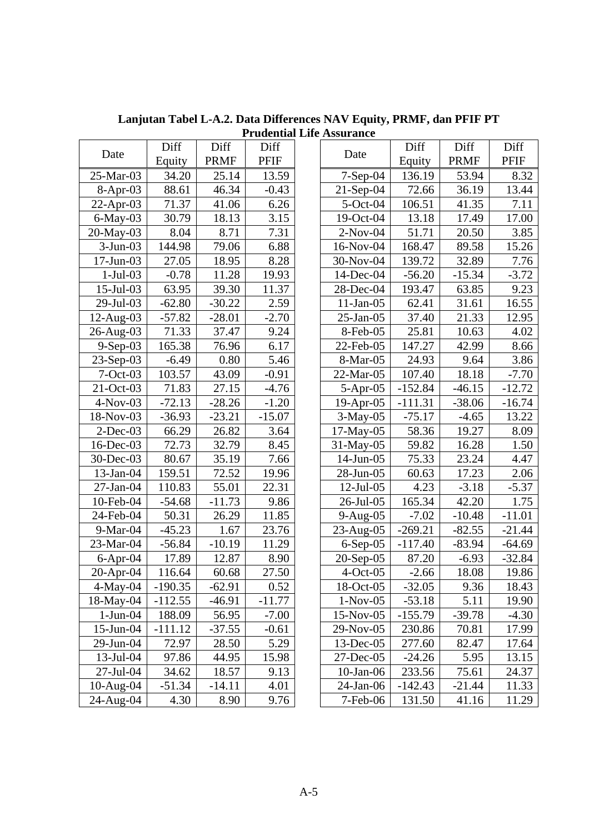|                | Diff      | Diff        | Diff     |                 | Diff      | Diff        | Diff        |
|----------------|-----------|-------------|----------|-----------------|-----------|-------------|-------------|
| Date           | Equity    | <b>PRMF</b> | PFIF     | Date            | Equity    | <b>PRMF</b> | <b>PFIF</b> |
| 25-Mar-03      | 34.20     | 25.14       | 13.59    | $7-Sep-04$      | 136.19    | 53.94       | 8.32        |
| $8-Apr-03$     | 88.61     | 46.34       | $-0.43$  | $21-Sep-04$     | 72.66     | 36.19       | 13.44       |
| $22-Apr-03$    | 71.37     | 41.06       | 6.26     | $5-Oct-04$      | 106.51    | 41.35       | 7.11        |
| $6$ -May-03    | 30.79     | 18.13       | 3.15     | $19-Oct-04$     | 13.18     | 17.49       | 17.00       |
| $20$ -May-03   | 8.04      | 8.71        | 7.31     | $2-Nov-04$      | 51.71     | 20.50       | 3.85        |
| $3-Jun-03$     | 144.98    | 79.06       | 6.88     | 16-Nov-04       | 168.47    | 89.58       | 15.26       |
| $17$ -Jun-03   | 27.05     | 18.95       | 8.28     | 30-Nov-04       | 139.72    | 32.89       | 7.76        |
| $1-Jul-03$     | $-0.78$   | 11.28       | 19.93    | 14-Dec-04       | $-56.20$  | $-15.34$    | $-3.72$     |
| $15$ -Jul-03   | 63.95     | 39.30       | 11.37    | 28-Dec-04       | 193.47    | 63.85       | 9.23        |
| 29-Jul-03      | $-62.80$  | $-30.22$    | 2.59     | $11$ -Jan-05    | 62.41     | 31.61       | 16.55       |
| $12$ -Aug-03   | $-57.82$  | $-28.01$    | $-2.70$  | $25$ -Jan-05    | 37.40     | 21.33       | 12.95       |
| 26-Aug-03      | 71.33     | 37.47       | 9.24     | 8-Feb-05        | 25.81     | 10.63       | 4.02        |
| $9-Sep-03$     | 165.38    | 76.96       | 6.17     | 22-Feb-05       | 147.27    | 42.99       | 8.66        |
| $23-Sep-03$    | $-6.49$   | 0.80        | 5.46     | 8-Mar-05        | 24.93     | 9.64        | 3.86        |
| $7 - Oct - 03$ | 103.57    | 43.09       | $-0.91$  | 22-Mar-05       | 107.40    | 18.18       | $-7.70$     |
| 21-Oct-03      | 71.83     | 27.15       | $-4.76$  | $5-Apr-05$      | $-152.84$ | $-46.15$    | $-12.72$    |
| $4-Nov-03$     | $-72.13$  | $-28.26$    | $-1.20$  | $19-Apr-05$     | $-111.31$ | $-38.06$    | $-16.74$    |
| 18-Nov-03      | $-36.93$  | $-23.21$    | $-15.07$ | $3-May-05$      | $-75.17$  | $-4.65$     | 13.22       |
| $2$ -Dec-03    | 66.29     | 26.82       | 3.64     | $17-May-05$     | 58.36     | 19.27       | 8.09        |
| $16$ -Dec-03   | 72.73     | 32.79       | 8.45     | 31-May-05       | 59.82     | 16.28       | 1.50        |
| 30-Dec-03      | 80.67     | 35.19       | 7.66     | $14$ -Jun-05    | 75.33     | 23.24       | 4.47        |
| $13$ -Jan-04   | 159.51    | 72.52       | 19.96    | 28-Jun-05       | 60.63     | 17.23       | 2.06        |
| $27$ -Jan-04   | 110.83    | 55.01       | 22.31    | $12$ -Jul-05    | 4.23      | $-3.18$     | $-5.37$     |
| 10-Feb-04      | $-54.68$  | $-11.73$    | 9.86     | 26-Jul-05       | 165.34    | 42.20       | 1.75        |
| 24-Feb-04      | 50.31     | 26.29       | 11.85    | $9-Aug-05$      | $-7.02$   | $-10.48$    | $-11.01$    |
| $9-Mar-04$     | $-45.23$  | 1.67        | 23.76    | $23$ -Aug-05    | $-269.21$ | $-82.55$    | $-21.44$    |
| 23-Mar-04      | $-56.84$  | $-10.19$    | 11.29    | $6-Sep-05$      | $-117.40$ | $-83.94$    | $-64.69$    |
| $6$ -Apr-04    | 17.89     | 12.87       | 8.90     | 20-Sep-05       | 87.20     | $-6.93$     | $-32.84$    |
| $20$ -Apr-04   | 116.64    | 60.68       | 27.50    | $4-Oct-05$      | $-2.66$   | 18.08       | 19.86       |
| $4$ -May-04    | $-190.35$ | $-62.91$    | 0.52     | 18-Oct-05       | $-32.05$  | 9.36        | 18.43       |
| 18-May-04      | $-112.55$ | $-46.91$    | $-11.77$ | $1-Nov-05$      | $-53.18$  | 5.11        | 19.90       |
| $1-Jun-04$     | 188.09    | 56.95       | $-7.00$  | 15-Nov-05       | $-155.79$ | $-39.78$    | $-4.30$     |
| 15-Jun-04      | $-111.12$ | $-37.55$    | $-0.61$  | 29-Nov-05       | 230.86    | 70.81       | 17.99       |
| 29-Jun-04      | 72.97     | 28.50       | 5.29     | 13-Dec-05       | 277.60    | 82.47       | 17.64       |
| $13$ -Jul-04   | 97.86     | 44.95       | 15.98    | 27-Dec-05       | $-24.26$  | 5.95        | 13.15       |
| 27-Jul-04      | 34.62     | 18.57       | 9.13     | $10$ -Jan- $06$ | 233.56    | 75.61       | 24.37       |
| 10-Aug-04      | $-51.34$  | $-14.11$    | 4.01     | 24-Jan-06       | $-142.43$ | $-21.44$    | 11.33       |
| 24-Aug-04      | 4.30      | 8.90        | 9.76     | 7-Feb-06        | 131.50    | 41.16       | 11.29       |
|                |           |             |          |                 |           |             |             |

**Lanjutan Tabel L-A.2. Data Differences NAV Equity, PRMF, dan PFIF PT Prudential Life Assurance**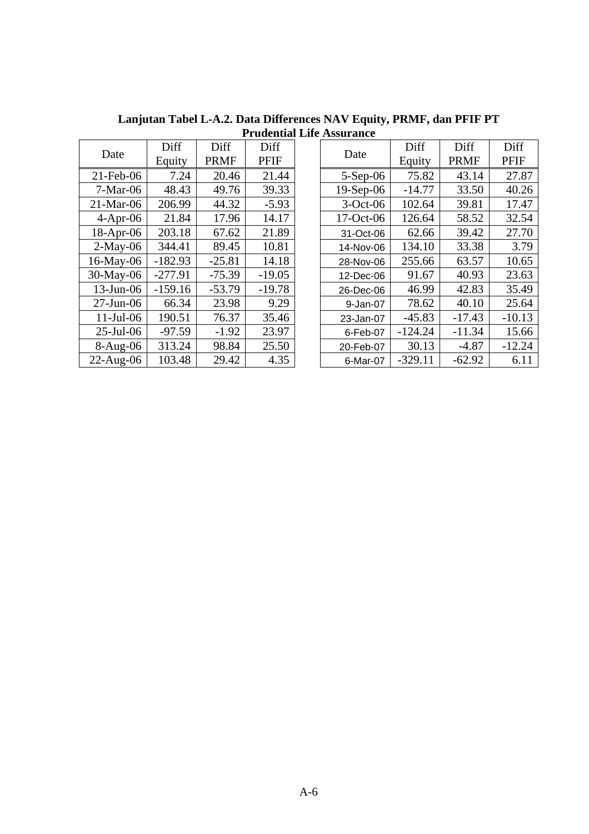|              |           |             | 1 1 uuvilud |
|--------------|-----------|-------------|-------------|
| Date         | Diff      | Diff        | Diff        |
|              | Equity    | <b>PRMF</b> | PFIF        |
| 21-Feb-06    | 7.24      | 20.46       | 21.44       |
| $7-Mar-06$   | 48.43     | 49.76       | 39.33       |
| $21-Mar-06$  | 206.99    | 44.32       | $-5.93$     |
| $4-Apr-06$   | 21.84     | 17.96       | 14.17       |
| 18-Apr-06    | 203.18    | 67.62       | 21.89       |
| $2-May-06$   | 344.41    | 89.45       | 10.81       |
| 16-May-06    | $-182.93$ | $-25.81$    | 14.18       |
| 30-May-06    | $-277.91$ | $-75.39$    | $-19.05$    |
| 13-Jun-06    | $-159.16$ | $-53.79$    | $-19.78$    |
| $27$ -Jun-06 | 66.34     | 23.98       | 9.29        |
| $11$ -Jul-06 | 190.51    | 76.37       | 35.46       |
| $25$ -Jul-06 | $-97.59$  | $-1.92$     | 23.97       |
| 8-Aug-06     | 313.24    | 98.84       | 25.50       |
| 22-Aug-06    | 103.48    | 29.42       | 4.35        |

**Lanjutan Tabel L-A.2. Data Differences NAV Equity, PRMF, dan PFIF PT Prudential Life Assurance** 

| Diff<br>Diff<br>Diff<br>Date<br><b>PRMF</b><br><b>PFIF</b> | Date      | Diff     | Diff     | Diff |             |           |             |             |
|------------------------------------------------------------|-----------|----------|----------|------|-------------|-----------|-------------|-------------|
|                                                            | Equity    |          |          |      |             | Equity    | <b>PRMF</b> | <b>PFIF</b> |
| $21$ -Feb-06                                               | 7.24      | 20.46    | 21.44    |      | $5-Sep-06$  | 75.82     | 43.14       | 27.87       |
| $7-Mar-06$                                                 | 48.43     | 49.76    | 39.33    |      | $19-Sep-06$ | $-14.77$  | 33.50       | 40.26       |
| $21-Mar-06$                                                | 206.99    | 44.32    | $-5.93$  |      | $3-Oct-06$  | 102.64    | 39.81       | 17.47       |
| $4-Apr-06$                                                 | 21.84     | 17.96    | 14.17    |      | $17-Oct-06$ | 126.64    | 58.52       | 32.54       |
| $18-Apr-06$                                                | 203.18    | 67.62    | 21.89    |      | 31-Oct-06   | 62.66     | 39.42       | 27.70       |
| $2-May-06$                                                 | 344.41    | 89.45    | 10.81    |      | 14-Nov-06   | 134.10    | 33.38       | 3.79        |
| 16-May-06                                                  | $-182.93$ | $-25.81$ | 14.18    |      | 28-Nov-06   | 255.66    | 63.57       | 10.65       |
| 30-May-06                                                  | $-277.91$ | $-75.39$ | $-19.05$ |      | 12-Dec-06   | 91.67     | 40.93       | 23.63       |
| $13$ -Jun-06                                               | $-159.16$ | $-53.79$ | $-19.78$ |      | 26-Dec-06   | 46.99     | 42.83       | 35.49       |
| $27$ -Jun-06                                               | 66.34     | 23.98    | 9.29     |      | 9-Jan-07    | 78.62     | 40.10       | 25.64       |
| $11$ -Jul-06                                               | 190.51    | 76.37    | 35.46    |      | 23-Jan-07   | $-45.83$  | $-17.43$    | $-10.13$    |
| $25$ -Jul-06                                               | $-97.59$  | $-1.92$  | 23.97    |      | 6-Feb-07    | $-124.24$ | $-11.34$    | 15.66       |
| $8-Aug-06$                                                 | 313.24    | 98.84    | 25.50    |      | 20-Feb-07   | 30.13     | $-4.87$     | $-12.24$    |
| $22$ -Aug-06                                               | 103.48    | 29.42    | 4.35     |      | 6-Mar-07    | $-329.11$ | $-62.92$    | 6.11        |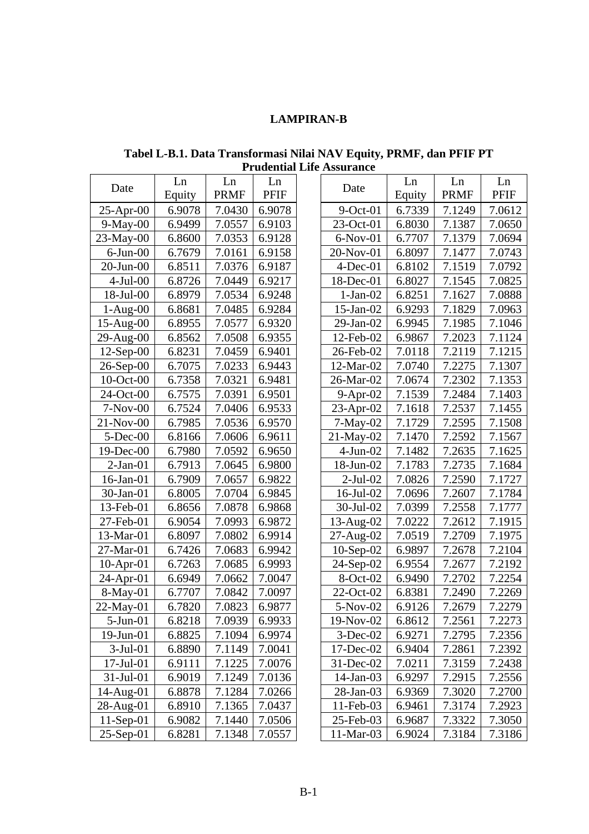## **LAMPIRAN-B**

**Tabel L-B.1. Data Transformasi Nilai NAV Equity, PRMF, dan PFIF PT Prudential Life Assurance** 

| Date             | Ln     | Ln          | Ln          | Date            | Ln     | Ln          | Ln     |
|------------------|--------|-------------|-------------|-----------------|--------|-------------|--------|
|                  | Equity | <b>PRMF</b> | <b>PFIF</b> |                 | Equity | <b>PRMF</b> | PFIF   |
| $25$ -Apr-00     | 6.9078 | 7.0430      | 6.9078      | $9$ -Oct-01     | 6.7339 | 7.1249      | 7.0612 |
| $9-May-00$       | 6.9499 | 7.0557      | 6.9103      | $23-Oct-01$     | 6.8030 | 7.1387      | 7.0650 |
| 23-May-00        | 6.8600 | 7.0353      | 6.9128      | $6-Nov-01$      | 6.7707 | 7.1379      | 7.0694 |
| $6$ -Jun- $00$   | 6.7679 | 7.0161      | 6.9158      | 20-Nov-01       | 6.8097 | 7.1477      | 7.0743 |
| 20-Jun-00        | 6.8511 | 7.0376      | 6.9187      | $4$ -Dec-01     | 6.8102 | 7.1519      | 7.0792 |
| $4-Jul-00$       | 6.8726 | 7.0449      | 6.9217      | $18$ -Dec-01    | 6.8027 | 7.1545      | 7.0825 |
| 18-Jul-00        | 6.8979 | 7.0534      | 6.9248      | $1-Jan-02$      | 6.8251 | 7.1627      | 7.0888 |
| $1-Aug-00$       | 6.8681 | 7.0485      | 6.9284      | $15$ -Jan- $02$ | 6.9293 | 7.1829      | 7.0963 |
| 15-Aug-00        | 6.8955 | 7.0577      | 6.9320      | $29$ -Jan- $02$ | 6.9945 | 7.1985      | 7.1046 |
| $29$ -Aug- $00$  | 6.8562 | 7.0508      | 6.9355      | 12-Feb-02       | 6.9867 | 7.2023      | 7.1124 |
| $12$ -Sep-00     | 6.8231 | 7.0459      | 6.9401      | 26-Feb-02       | 7.0118 | 7.2119      | 7.1215 |
| 26-Sep-00        | 6.7075 | 7.0233      | 6.9443      | 12-Mar-02       | 7.0740 | 7.2275      | 7.1307 |
| $10$ -Oct-00     | 6.7358 | 7.0321      | 6.9481      | 26-Mar-02       | 7.0674 | 7.2302      | 7.1353 |
| 24-Oct-00        | 6.7575 | 7.0391      | 6.9501      | $9-Apr-02$      | 7.1539 | 7.2484      | 7.1403 |
| $7-Nov-00$       | 6.7524 | 7.0406      | 6.9533      | $23$ -Apr-02    | 7.1618 | 7.2537      | 7.1455 |
| 21-Nov-00        | 6.7985 | 7.0536      | 6.9570      | $7-May-02$      | 7.1729 | 7.2595      | 7.1508 |
| $5$ -Dec-00      | 6.8166 | 7.0606      | 6.9611      | $21$ -May-02    | 7.1470 | 7.2592      | 7.1567 |
| 19-Dec-00        | 6.7980 | 7.0592      | 6.9650      | $4-Jun-02$      | 7.1482 | 7.2635      | 7.1625 |
| $2-Jan-01$       | 6.7913 | 7.0645      | 6.9800      | $18$ -Jun- $02$ | 7.1783 | 7.2735      | 7.1684 |
| 16-Jan-01        | 6.7909 | 7.0657      | 6.9822      | $2$ -Jul-02     | 7.0826 | 7.2590      | 7.1727 |
| 30-Jan-01        | 6.8005 | 7.0704      | 6.9845      | 16-Jul-02       | 7.0696 | 7.2607      | 7.1784 |
| 13-Feb-01        | 6.8656 | 7.0878      | 6.9868      | 30-Jul-02       | 7.0399 | 7.2558      | 7.1777 |
| 27-Feb-01        | 6.9054 | 7.0993      | 6.9872      | $13$ -Aug- $02$ | 7.0222 | 7.2612      | 7.1915 |
| 13-Mar-01        | 6.8097 | 7.0802      | 6.9914      | $27$ -Aug- $02$ | 7.0519 | 7.2709      | 7.1975 |
| 27-Mar-01        | 6.7426 | 7.0683      | 6.9942      | $10-Sep-02$     | 6.9897 | 7.2678      | 7.2104 |
| $10$ -Apr-01     | 6.7263 | 7.0685      | 6.9993      | $24-Sep-02$     | 6.9554 | 7.2677      | 7.2192 |
| $24$ -Apr-01     | 6.6949 | 7.0662      | 7.0047      | 8-Oct-02        | 6.9490 | 7.2702      | 7.2254 |
| $8-May-01$       | 6.7707 | 7.0842      | 7.0097      | $22-Oct-02$     | 6.8381 | 7.2490      | 7.2269 |
| 22-May-01        | 6.7820 | 7.0823      | 6.9877      | $5-Nov-02$      | 6.9126 | 7.2679      | 7.2279 |
| $5$ -Jun- $01$   | 6.8218 | 7.0939      | 6.9933      | $19-Nov-02$     | 6.8612 | 7.2561      | 7.2273 |
| 19-Jun-01        | 6.8825 | 7.1094      | 6.9974      | $3$ -Dec-02     | 6.9271 | 7.2795      | 7.2356 |
| $3-Jul-01$       | 6.8890 | 7.1149      | 7.0041      | 17-Dec-02       | 6.9404 | 7.2861      | 7.2392 |
| $17 -$ Jul $-01$ | 6.9111 | 7.1225      | 7.0076      | $31$ -Dec-02    | 7.0211 | 7.3159      | 7.2438 |
| $31$ -Jul-01     | 6.9019 | 7.1249      | 7.0136      | $14$ -Jan-03    | 6.9297 | 7.2915      | 7.2556 |
| 14-Aug-01        | 6.8878 | 7.1284      | 7.0266      | $28$ -Jan-03    | 6.9369 | 7.3020      | 7.2700 |
| 28-Aug-01        | 6.8910 | 7.1365      | 7.0437      | 11-Feb-03       | 6.9461 | 7.3174      | 7.2923 |
| $11-Sep-01$      | 6.9082 | 7.1440      | 7.0506      | 25-Feb-03       | 6.9687 | 7.3322      | 7.3050 |
| $25$ -Sep-01     | 6.8281 | 7.1348      | 7.0557      | $11-Mar-03$     | 6.9024 | 7.3184      | 7.3186 |
|                  |        |             |             |                 |        |             |        |

|                 | Ln     | Ln          | Ln          |              | Ln     | Ln          | Ln          |
|-----------------|--------|-------------|-------------|--------------|--------|-------------|-------------|
| Date            | Equity | <b>PRMF</b> | <b>PFIF</b> | Date         | Equity | <b>PRMF</b> | <b>PFIF</b> |
| $25$ -Apr-00    | 6.9078 | 7.0430      | 6.9078      | $9$ -Oct-01  | 6.7339 | 7.1249      | 7.0612      |
| $9-May-00$      | 6.9499 | 7.0557      | 6.9103      | $23-Oct-01$  | 6.8030 | 7.1387      | 7.0650      |
| 23-May-00       | 6.8600 | 7.0353      | 6.9128      | $6-Nov-01$   | 6.7707 | 7.1379      | 7.0694      |
| $6$ -Jun- $00$  | 6.7679 | 7.0161      | 6.9158      | 20-Nov-01    | 6.8097 | 7.1477      | 7.0743      |
| $20$ -Jun- $00$ | 6.8511 | 7.0376      | 6.9187      | $4$ -Dec-01  | 6.8102 | 7.1519      | 7.0792      |
| $4-Jul-00$      | 6.8726 | 7.0449      | 6.9217      | 18-Dec-01    | 6.8027 | 7.1545      | 7.0825      |
| 18-Jul-00       | 6.8979 | 7.0534      | 6.9248      | $1-Jan-02$   | 6.8251 | 7.1627      | 7.0888      |
| 1-Aug-00        | 6.8681 | 7.0485      | 6.9284      | 15-Jan-02    | 6.9293 | 7.1829      | 7.0963      |
| $15-Aug-00$     | 6.8955 | 7.0577      | 6.9320      | 29-Jan-02    | 6.9945 | 7.1985      | 7.1046      |
| 29-Aug-00       | 6.8562 | 7.0508      | 6.9355      | 12-Feb-02    | 6.9867 | 7.2023      | 7.1124      |
| $12$ -Sep-00    | 6.8231 | 7.0459      | 6.9401      | 26-Feb-02    | 7.0118 | 7.2119      | 7.1215      |
| $26$ -Sep-00    | 6.7075 | 7.0233      | 6.9443      | 12-Mar-02    | 7.0740 | 7.2275      | 7.1307      |
| $10$ -Oct-00    | 6.7358 | 7.0321      | 6.9481      | 26-Mar-02    | 7.0674 | 7.2302      | 7.1353      |
| $24-Oct-00$     | 6.7575 | 7.0391      | 6.9501      | $9$ -Apr-02  | 7.1539 | 7.2484      | 7.1403      |
| $7-Nov-00$      | 6.7524 | 7.0406      | 6.9533      | 23-Apr-02    | 7.1618 | 7.2537      | 7.1455      |
| $21-Nov-00$     | 6.7985 | 7.0536      | 6.9570      | $7-May-02$   | 7.1729 | 7.2595      | 7.1508      |
| $5$ -Dec-00     | 6.8166 | 7.0606      | 6.9611      | 21-May-02    | 7.1470 | 7.2592      | 7.1567      |
| 19-Dec-00       | 6.7980 | 7.0592      | 6.9650      | $4-Jun-02$   | 7.1482 | 7.2635      | 7.1625      |
| $2-Jan-01$      | 6.7913 | 7.0645      | 6.9800      | 18-Jun-02    | 7.1783 | 7.2735      | 7.1684      |
| 16-Jan-01       | 6.7909 | 7.0657      | 6.9822      | $2-Jul-02$   | 7.0826 | 7.2590      | 7.1727      |
| 30-Jan-01       | 6.8005 | 7.0704      | 6.9845      | 16-Jul-02    | 7.0696 | 7.2607      | 7.1784      |
| 13-Feb-01       | 6.8656 | 7.0878      | 6.9868      | 30-Jul-02    | 7.0399 | 7.2558      | 7.1777      |
| 27-Feb-01       | 6.9054 | 7.0993      | 6.9872      | 13-Aug-02    | 7.0222 | 7.2612      | 7.1915      |
| 13-Mar-01       | 6.8097 | 7.0802      | 6.9914      | 27-Aug-02    | 7.0519 | 7.2709      | 7.1975      |
| 27-Mar-01       | 6.7426 | 7.0683      | 6.9942      | $10-Sep-02$  | 6.9897 | 7.2678      | 7.2104      |
| $10$ -Apr-01    | 6.7263 | 7.0685      | 6.9993      | 24-Sep-02    | 6.9554 | 7.2677      | 7.2192      |
| $24$ -Apr-01    | 6.6949 | 7.0662      | 7.0047      | 8-Oct-02     | 6.9490 | 7.2702      | 7.2254      |
| 8-May-01        | 6.7707 | 7.0842      | 7.0097      | $22$ -Oct-02 | 6.8381 | 7.2490      | 7.2269      |
| 22-May-01       | 6.7820 | 7.0823      | 6.9877      | $5-Nov-02$   | 6.9126 | 7.2679      | 7.2279      |
| 5-Jun-01        | 6.8218 | 7.0939      | 6.9933      | 19-Nov-02    | 6.8612 | 7.2561      | 7.2273      |
| $19$ -Jun-01    | 6.8825 | 7.1094      | 6.9974      | $3$ -Dec-02  | 6.9271 | 7.2795      | 7.2356      |
| $3-Jul-01$      | 6.8890 | 7.1149      | 7.0041      | $17$ -Dec-02 | 6.9404 | 7.2861      | 7.2392      |
| $17$ -Jul-01    | 6.9111 | 7.1225      | 7.0076      | $31$ -Dec-02 | 7.0211 | 7.3159      | 7.2438      |
| $31-Jul-01$     | 6.9019 | 7.1249      | 7.0136      | $14$ -Jan-03 | 6.9297 | 7.2915      | 7.2556      |
| 14-Aug-01       | 6.8878 | 7.1284      | 7.0266      | $28$ -Jan-03 | 6.9369 | 7.3020      | 7.2700      |
| 28-Aug-01       | 6.8910 | 7.1365      | 7.0437      | 11-Feb-03    | 6.9461 | 7.3174      | 7.2923      |
| $11-Sep-01$     | 6.9082 | 7.1440      | 7.0506      | 25-Feb-03    | 6.9687 | 7.3322      | 7.3050      |
| $25$ -Sep-01    | 6.8281 | 7.1348      | 7.0557      | $11-Mar-03$  | 6.9024 | 7.3184      | 7.3186      |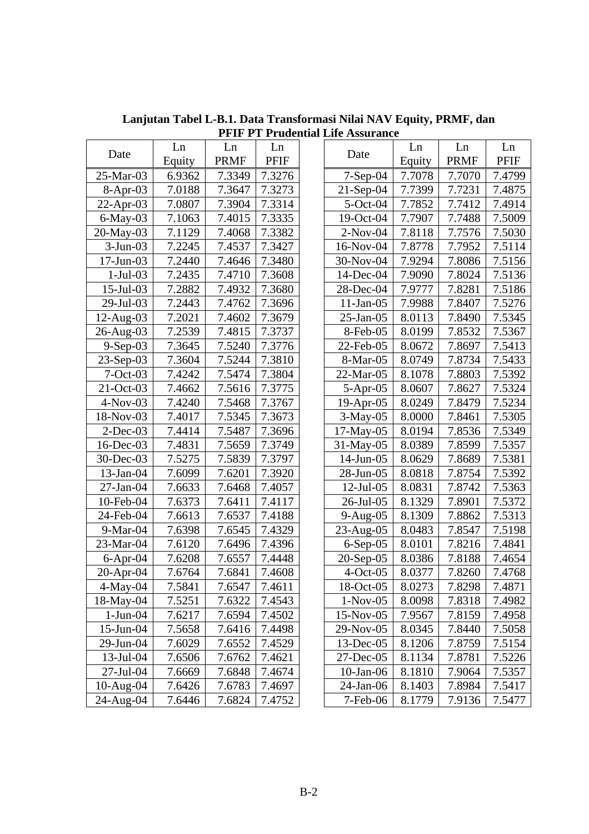| Date            | Ln     | Ln          | Ln          | Date         | Ln     | Ln          | Ln          |
|-----------------|--------|-------------|-------------|--------------|--------|-------------|-------------|
|                 | Equity | <b>PRMF</b> | <b>PFIF</b> |              | Equity | <b>PRMF</b> | <b>PFIF</b> |
| 25-Mar-03       | 6.9362 | 7.3349      | 7.3276      | $7-Sep-04$   | 7.7078 | 7.7070      | 7.4799      |
| $8-Apr-03$      | 7.0188 | 7.3647      | 7.3273      | $21$ -Sep-04 | 7.7399 | 7.7231      | 7.4875      |
| $22$ -Apr-03    | 7.0807 | 7.3904      | 7.3314      | $5$ -Oct-04  | 7.7852 | 7.7412      | 7.4914      |
| $6$ -May-03     | 7.1063 | 7.4015      | 7.3335      | 19-Oct-04    | 7.7907 | 7.7488      | 7.5009      |
| 20-May-03       | 7.1129 | 7.4068      | 7.3382      | $2-Nov-04$   | 7.8118 | 7.7576      | 7.5030      |
| $3-Jun-03$      | 7.2245 | 7.4537      | 7.3427      | 16-Nov-04    | 7.8778 | 7.7952      | 7.5114      |
| 17-Jun-03       | 7.2440 | 7.4646      | 7.3480      | 30-Nov-04    | 7.9294 | 7.8086      | 7.5156      |
| $1-Jul-03$      | 7.2435 | 7.4710      | 7.3608      | 14-Dec-04    | 7.9090 | 7.8024      | 7.5136      |
| $15$ -Jul $-03$ | 7.2882 | 7.4932      | 7.3680      | 28-Dec-04    | 7.9777 | 7.8281      | 7.5186      |
| $29$ -Jul-03    | 7.2443 | 7.4762      | 7.3696      | $11$ -Jan-05 | 7.9988 | 7.8407      | 7.5276      |
| $12$ -Aug-03    | 7.2021 | 7.4602      | 7.3679      | $25$ -Jan-05 | 8.0113 | 7.8490      | 7.5345      |
| 26-Aug-03       | 7.2539 | 7.4815      | 7.3737      | 8-Feb-05     | 8.0199 | 7.8532      | 7.5367      |
| $9-Sep-03$      | 7.3645 | 7.5240      | 7.3776      | $22$ -Feb-05 | 8.0672 | 7.8697      | 7.5413      |
| $23-Sep-03$     | 7.3604 | 7.5244      | 7.3810      | 8-Mar-05     | 8.0749 | 7.8734      | 7.5433      |
| $7-Oct-03$      | 7.4242 | 7.5474      | 7.3804      | 22-Mar-05    | 8.1078 | 7.8803      | 7.5392      |
| 21-Oct-03       | 7.4662 | 7.5616      | 7.3775      | $5-Apr-05$   | 8.0607 | 7.8627      | 7.5324      |
| $4-Nov-03$      | 7.4240 | 7.5468      | 7.3767      | $19$ -Apr-05 | 8.0249 | 7.8479      | 7.5234      |
| 18-Nov-03       | 7.4017 | 7.5345      | 7.3673      | $3-May-05$   | 8.0000 | 7.8461      | 7.5305      |
| $2$ -Dec-03     | 7.4414 | 7.5487      | 7.3696      | $17-May-05$  | 8.0194 | 7.8536      | 7.5349      |
| 16-Dec-03       | 7.4831 | 7.5659      | 7.3749      | 31-May-05    | 8.0389 | 7.8599      | 7.5357      |
| 30-Dec-03       | 7.5275 | 7.5839      | 7.3797      | $14$ -Jun-05 | 8.0629 | 7.8689      | 7.5381      |
| $13$ -Jan-04    | 7.6099 | 7.6201      | 7.3920      | 28-Jun-05    | 8.0818 | 7.8754      | 7.5392      |
| $27$ -Jan-04    | 7.6633 | 7.6468      | 7.4057      | $12$ -Jul-05 | 8.0831 | 7.8742      | 7.5363      |
| 10-Feb-04       | 7.6373 | 7.6411      | 7.4117      | 26-Jul-05    | 8.1329 | 7.8901      | 7.5372      |
| 24-Feb-04       | 7.6613 | 7.6537      | 7.4188      | $9-Aug-05$   | 8.1309 | 7.8862      | 7.5313      |
| $9-Mar-04$      | 7.6398 | 7.6545      | 7.4329      | $23$ -Aug-05 | 8.0483 | 7.8547      | 7.5198      |
| 23-Mar-04       | 7.6120 | 7.6496      | 7.4396      | $6-Sep-05$   | 8.0101 | 7.8216      | 7.4841      |
| $6$ -Apr-04     | 7.6208 | 7.6557      | 7.4448      | $20$ -Sep-05 | 8.0386 | 7.8188      | 7.4654      |
| $20$ -Apr-04    | 7.6764 | 7.6841      | 7.4608      | $4-Oct-05$   | 8.0377 | 7.8260      | 7.4768      |
| $4$ -May-04     | 7.5841 | 7.6547      | 7.4611      | $18-Oct-05$  | 8.0273 | 7.8298      | 7.4871      |
| 18-May-04       | 7.5251 | 7.6322      | 7.4543      | $1-Nov-05$   | 8.0098 | 7.8318      | 7.4982      |
| $1-Jun-04$      | 7.6217 | 7.6594      | 7.4502      | $15-Nov-05$  | 7.9567 | 7.8159      | 7.4958      |
| 15-Jun-04       | 7.5658 | 7.6416      | 7.4498      | 29-Nov-05    | 8.0345 | 7.8440      | 7.5058      |
| 29-Jun-04       | 7.6029 | 7.6552      | 7.4529      | $13$ -Dec-05 | 8.1206 | 7.8759      | 7.5154      |
| $13$ -Jul-04    | 7.6506 | 7.6762      | 7.4621      | 27-Dec-05    | 8.1134 | 7.8781      | 7.5226      |
| 27-Jul-04       | 7.6669 | 7.6848      | 7.4674      | $10$ -Jan-06 | 8.1810 | 7.9064      | 7.5357      |
| $10-Aug-04$     | 7.6426 | 7.6783      | 7.4697      | 24-Jan-06    | 8.1403 | 7.8984      | 7.5417      |
| 24-Aug-04       | 7.6446 | 7.6824      | 7.4752      | 7-Feb-06     | 8.1779 | 7.9136      | 7.5477      |

**Lanjutan Tabel L-B.1. Data Transformasi Nilai NAV Equity, PRMF, dan PFIF PT Prudential Life Assurance**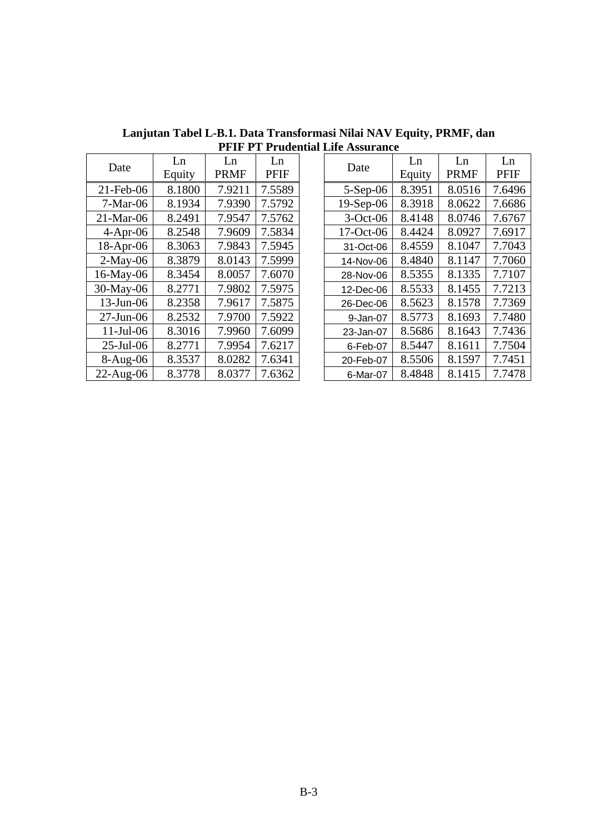| Date         | Ln<br>Equity | Ln<br><b>PRMF</b> | Ln<br><b>PFIF</b> | Date        | Ln<br>Equity | Ln<br><b>PRMF</b> | Ln<br><b>PFIF</b> |
|--------------|--------------|-------------------|-------------------|-------------|--------------|-------------------|-------------------|
| $21$ -Feb-06 | 8.1800       | 7.9211            | 7.5589            | $5-Sep-06$  | 8.3951       | 8.0516            | 7.6496            |
| $7-Mar-06$   | 8.1934       | 7.9390            | 7.5792            | $19-Sep-06$ | 8.3918       | 8.0622            | 7.6686            |
| $21$ -Mar-06 | 8.2491       | 7.9547            | 7.5762            | $3-Oct-06$  | 8.4148       | 8.0746            | 7.6767            |
| $4-Apr-06$   | 8.2548       | 7.9609            | 7.5834            | 17-Oct-06   | 8.4424       | 8.0927            | 7.6917            |
| $18$ -Apr-06 | 8.3063       | 7.9843            | 7.5945            | 31-Oct-06   | 8.4559       | 8.1047            | 7.7043            |
| $2-May-06$   | 8.3879       | 8.0143            | 7.5999            | 14-Nov-06   | 8.4840       | 8.1147            | 7.7060            |
| $16$ -May-06 | 8.3454       | 8.0057            | 7.6070            | 28-Nov-06   | 8.5355       | 8.1335            | 7.7107            |
| $30$ -May-06 | 8.2771       | 7.9802            | 7.5975            | 12-Dec-06   | 8.5533       | 8.1455            | 7.7213            |
| $13$ -Jun-06 | 8.2358       | 7.9617            | 7.5875            | 26-Dec-06   | 8.5623       | 8.1578            | 7.7369            |
| $27$ -Jun-06 | 8.2532       | 7.9700            | 7.5922            | 9-Jan-07    | 8.5773       | 8.1693            | 7.7480            |
| $11$ -Jul-06 | 8.3016       | 7.9960            | 7.6099            | 23-Jan-07   | 8.5686       | 8.1643            | 7.7436            |
| $25$ -Jul-06 | 8.2771       | 7.9954            | 7.6217            | 6-Feb-07    | 8.5447       | 8.1611            | 7.7504            |
| $8-Aug-06$   | 8.3537       | 8.0282            | 7.6341            | 20-Feb-07   | 8.5506       | 8.1597            | 7.7451            |
| $22$ -Aug-06 | 8.3778       | 8.0377            | 7.6362            | 6-Mar-07    | 8.4848       | 8.1415            | 7.7478            |

**Lanjutan Tabel L-B.1. Data Transformasi Nilai NAV Equity, PRMF, dan PFIF PT Prudential Life Assurance**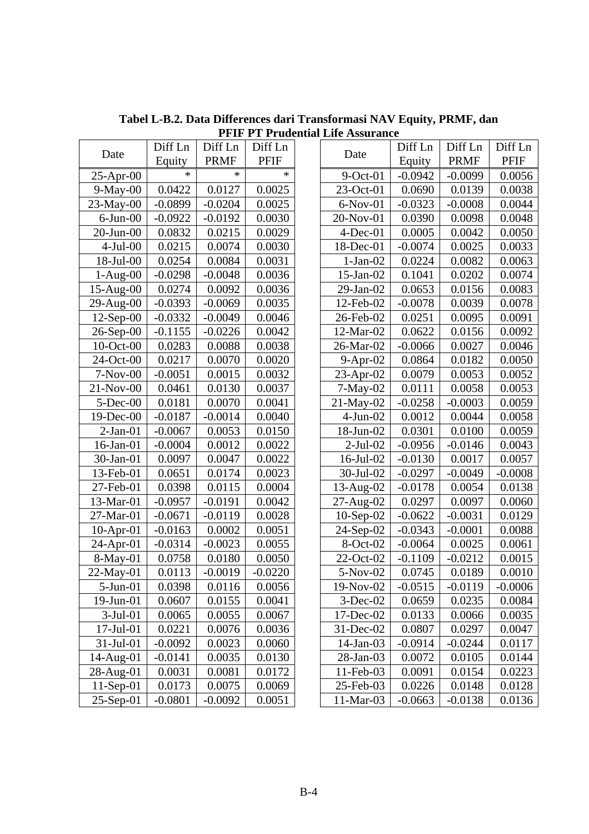|                 | Diff Ln   | Diff Ln     | Diff Ln     |                 | Diff Ln   | Diff Ln   | Diff Ln   |
|-----------------|-----------|-------------|-------------|-----------------|-----------|-----------|-----------|
| Date            | Equity    | <b>PRMF</b> | <b>PFIF</b> | Date            | Equity    | PRMF      | PFIF      |
| $25$ -Apr-00    | $\ast$    | $\ast$      | $\ast$      | $9$ -Oct-01     | $-0.0942$ | $-0.0099$ | 0.0056    |
| $9-May-00$      | 0.0422    | 0.0127      | 0.0025      | $23-Oct-01$     | 0.0690    | 0.0139    | 0.0038    |
| $23-May-00$     | $-0.0899$ | $-0.0204$   | 0.0025      | $6-Nov-01$      | $-0.0323$ | $-0.0008$ | 0.0044    |
| $6$ -Jun- $00$  | $-0.0922$ | $-0.0192$   | 0.0030      | 20-Nov-01       | 0.0390    | 0.0098    | 0.0048    |
| $20$ -Jun- $00$ | 0.0832    | 0.0215      | 0.0029      | $4$ -Dec-01     | 0.0005    | 0.0042    | 0.0050    |
| $4-Jul-00$      | 0.0215    | 0.0074      | 0.0030      | 18-Dec-01       | $-0.0074$ | 0.0025    | 0.0033    |
| $18$ -Jul-00    | 0.0254    | 0.0084      | 0.0031      | $1-Jan-02$      | 0.0224    | 0.0082    | 0.0063    |
| $1-Aug-00$      | $-0.0298$ | $-0.0048$   | 0.0036      | $15$ -Jan- $02$ | 0.1041    | 0.0202    | 0.0074    |
| $15$ -Aug- $00$ | 0.0274    | 0.0092      | 0.0036      | $29$ -Jan- $02$ | 0.0653    | 0.0156    | 0.0083    |
| $29$ -Aug- $00$ | $-0.0393$ | $-0.0069$   | 0.0035      | 12-Feb-02       | $-0.0078$ | 0.0039    | 0.0078    |
| $12$ -Sep-00    | $-0.0332$ | $-0.0049$   | 0.0046      | 26-Feb-02       | 0.0251    | 0.0095    | 0.0091    |
| $26$ -Sep-00    | $-0.1155$ | $-0.0226$   | 0.0042      | 12-Mar-02       | 0.0622    | 0.0156    | 0.0092    |
| $10$ -Oct-00    | 0.0283    | 0.0088      | 0.0038      | 26-Mar-02       | $-0.0066$ | 0.0027    | 0.0046    |
| $24$ -Oct-00    | 0.0217    | 0.0070      | 0.0020      | 9-Apr-02        | 0.0864    | 0.0182    | 0.0050    |
| $7-Nov-00$      | $-0.0051$ | 0.0015      | 0.0032      | $23$ -Apr-02    | 0.0079    | 0.0053    | 0.0052    |
| $21-Nov-00$     | 0.0461    | 0.0130      | 0.0037      | $7-May-02$      | 0.0111    | 0.0058    | 0.0053    |
| $5$ -Dec-00     | 0.0181    | 0.0070      | 0.0041      | $21$ -May-02    | $-0.0258$ | $-0.0003$ | 0.0059    |
| 19-Dec-00       | $-0.0187$ | $-0.0014$   | 0.0040      | $4-Jun-02$      | 0.0012    | 0.0044    | 0.0058    |
| $2-Jan-01$      | $-0.0067$ | 0.0053      | 0.0150      | 18-Jun-02       | 0.0301    | 0.0100    | 0.0059    |
| $16$ -Jan- $01$ | $-0.0004$ | 0.0012      | 0.0022      | $2$ -Jul-02     | $-0.0956$ | $-0.0146$ | 0.0043    |
| $30$ -Jan-01    | 0.0097    | 0.0047      | 0.0022      | $16$ -Jul-02    | $-0.0130$ | 0.0017    | 0.0057    |
| 13-Feb-01       | 0.0651    | 0.0174      | 0.0023      | 30-Jul-02       | $-0.0297$ | $-0.0049$ | $-0.0008$ |
| 27-Feb-01       | 0.0398    | 0.0115      | 0.0004      | $13$ -Aug-02    | $-0.0178$ | 0.0054    | 0.0138    |
| 13-Mar-01       | $-0.0957$ | $-0.0191$   | 0.0042      | $27$ -Aug- $02$ | 0.0297    | 0.0097    | 0.0060    |
| 27-Mar-01       | $-0.0671$ | $-0.0119$   | 0.0028      | $10-Sep-02$     | $-0.0622$ | $-0.0031$ | 0.0129    |
| $10$ -Apr-01    | $-0.0163$ | 0.0002      | 0.0051      | 24-Sep-02       | $-0.0343$ | $-0.0001$ | 0.0088    |
| $24$ -Apr-01    | $-0.0314$ | $-0.0023$   | 0.0055      | 8-Oct-02        | $-0.0064$ | 0.0025    | 0.0061    |
| 8-May-01        | 0.0758    | 0.0180      | 0.0050      | 22-Oct-02       | $-0.1109$ | $-0.0212$ | 0.0015    |
| $22-May-01$     | 0.0113    | $-0.0019$   | $-0.0220$   | 5-Nov-02        | 0.0745    | 0.0189    | 0.0010    |
| $5-Jun-01$      | 0.0398    | 0.0116      | 0.0056      | 19-Nov-02       | $-0.0515$ | $-0.0119$ | $-0.0006$ |
| 19-Jun-01       | 0.0607    | 0.0155      | 0.0041      | $3-Dec-02$      | 0.0659    | 0.0235    | 0.0084    |
| $3-Jul-01$      | 0.0065    | 0.0055      | 0.0067      | 17-Dec-02       | 0.0133    | 0.0066    | 0.0035    |
| $17$ -Jul- $01$ | 0.0221    | 0.0076      | 0.0036      | 31-Dec-02       | 0.0807    | 0.0297    | 0.0047    |
| 31-Jul-01       | $-0.0092$ | 0.0023      | 0.0060      | $14$ -Jan-03    | $-0.0914$ | $-0.0244$ | 0.0117    |
| 14-Aug-01       | $-0.0141$ | 0.0035      | 0.0130      | 28-Jan-03       | 0.0072    | 0.0105    | 0.0144    |
| 28-Aug-01       | 0.0031    | 0.0081      | 0.0172      | 11-Feb-03       | 0.0091    | 0.0154    | 0.0223    |
| $11-Sep-01$     | 0.0173    | 0.0075      | 0.0069      | 25-Feb-03       | 0.0226    | 0.0148    | 0.0128    |
| $25-Sep-01$     | $-0.0801$ | $-0.0092$   | 0.0051      | 11-Mar-03       | $-0.0663$ | $-0.0138$ | 0.0136    |
|                 |           |             |             |                 |           |           |           |

**Tabel L-B.2. Data Differences dari Transformasi NAV Equity, PRMF, dan PFIF PT Prudential Life Assurance** 

| Date            | Diff Ln   | Diff Ln     | Diff Ln     | Date            | Diff Ln   | Diff Ln     | Diff Ln     |
|-----------------|-----------|-------------|-------------|-----------------|-----------|-------------|-------------|
|                 | Equity    | <b>PRMF</b> | <b>PFIF</b> |                 | Equity    | <b>PRMF</b> | <b>PFIF</b> |
| $25$ -Apr-00    | $\ast$    | $\ast$      | $\ast$      | $9$ -Oct-01     | $-0.0942$ | $-0.0099$   | 0.0056      |
| $9$ -May-00     | 0.0422    | 0.0127      | 0.0025      | 23-Oct-01       | 0.0690    | 0.0139      | 0.0038      |
| 23-May-00       | $-0.0899$ | $-0.0204$   | 0.0025      | $6-Nov-01$      | $-0.0323$ | $-0.0008$   | 0.0044      |
| $6$ -Jun- $00$  | $-0.0922$ | $-0.0192$   | 0.0030      | 20-Nov-01       | 0.0390    | 0.0098      | 0.0048      |
| $20$ -Jun- $00$ | 0.0832    | 0.0215      | 0.0029      | $4$ -Dec-01     | 0.0005    | 0.0042      | 0.0050      |
| $4-Jul-00$      | 0.0215    | 0.0074      | 0.0030      | 18-Dec-01       | $-0.0074$ | 0.0025      | 0.0033      |
| 18-Jul-00       | 0.0254    | 0.0084      | 0.0031      | $1-Jan-02$      | 0.0224    | 0.0082      | 0.0063      |
| $1-Aug-00$      | $-0.0298$ | $-0.0048$   | 0.0036      | $15$ -Jan- $02$ | 0.1041    | 0.0202      | 0.0074      |
| $15-Aug-00$     | 0.0274    | 0.0092      | 0.0036      | 29-Jan-02       | 0.0653    | 0.0156      | 0.0083      |
| 29-Aug-00       | $-0.0393$ | $-0.0069$   | 0.0035      | 12-Feb-02       | $-0.0078$ | 0.0039      | 0.0078      |
| 12-Sep-00       | $-0.0332$ | $-0.0049$   | 0.0046      | 26-Feb-02       | 0.0251    | 0.0095      | 0.0091      |
| $26-Sep-00$     | $-0.1155$ | $-0.0226$   | 0.0042      | 12-Mar-02       | 0.0622    | 0.0156      | 0.0092      |
| $10$ -Oct-00    | 0.0283    | 0.0088      | 0.0038      | 26-Mar-02       | $-0.0066$ | 0.0027      | 0.0046      |
| 24-Oct-00       | 0.0217    | 0.0070      | 0.0020      | $9-Apr-02$      | 0.0864    | 0.0182      | 0.0050      |
| $7-Nov-00$      | $-0.0051$ | 0.0015      | 0.0032      | 23-Apr-02       | 0.0079    | 0.0053      | 0.0052      |
| 21-Nov-00       | 0.0461    | 0.0130      | 0.0037      | $7-May-02$      | 0.0111    | 0.0058      | 0.0053      |
| $5$ -Dec-00     | 0.0181    | 0.0070      | 0.0041      | $21$ -May-02    | $-0.0258$ | $-0.0003$   | 0.0059      |
| 19-Dec-00       | $-0.0187$ | $-0.0014$   | 0.0040      | $4-Jun-02$      | 0.0012    | 0.0044      | 0.0058      |
| $2-Jan-01$      | $-0.0067$ | 0.0053      | 0.0150      | 18-Jun-02       | 0.0301    | 0.0100      | 0.0059      |
| $16$ -Jan- $01$ | $-0.0004$ | 0.0012      | 0.0022      | $2-Jul-02$      | $-0.0956$ | $-0.0146$   | 0.0043      |
| $30$ -Jan- $01$ | 0.0097    | 0.0047      | 0.0022      | 16-Jul-02       | $-0.0130$ | 0.0017      | 0.0057      |
| 13-Feb-01       | 0.0651    | 0.0174      | 0.0023      | 30-Jul-02       | $-0.0297$ | $-0.0049$   | $-0.0008$   |
| 27-Feb-01       | 0.0398    | 0.0115      | 0.0004      | 13-Aug-02       | $-0.0178$ | 0.0054      | 0.0138      |
| 13-Mar-01       | $-0.0957$ | $-0.0191$   | 0.0042      | 27-Aug-02       | 0.0297    | 0.0097      | 0.0060      |
| 27-Mar-01       | $-0.0671$ | $-0.0119$   | 0.0028      | $10-Sep-02$     | $-0.0622$ | $-0.0031$   | 0.0129      |
| $10$ -Apr-01    | $-0.0163$ | 0.0002      | 0.0051      | 24-Sep-02       | $-0.0343$ | $-0.0001$   | 0.0088      |
| $24$ -Apr-01    | $-0.0314$ | $-0.0023$   | 0.0055      | 8-Oct-02        | $-0.0064$ | 0.0025      | 0.0061      |
| $8-May-01$      | 0.0758    | 0.0180      | 0.0050      | 22-Oct-02       | $-0.1109$ | $-0.0212$   | 0.0015      |
| 22-May-01       | 0.0113    | $-0.0019$   | $-0.0220$   | 5-Nov-02        | 0.0745    | 0.0189      | 0.0010      |
| $5$ -Jun-01     | 0.0398    | 0.0116      | 0.0056      | 19-Nov-02       | $-0.0515$ | $-0.0119$   | $-0.0006$   |
| $19$ -Jun- $01$ | 0.0607    | 0.0155      | 0.0041      | $3$ -Dec-02     | 0.0659    | 0.0235      | 0.0084      |
| $3-Jul-01$      | 0.0065    | 0.0055      | 0.0067      | 17-Dec-02       | 0.0133    | 0.0066      | 0.0035      |
| $17$ -Jul- $01$ | 0.0221    | 0.0076      | 0.0036      | $31$ -Dec-02    | 0.0807    | 0.0297      | 0.0047      |
| $31$ -Jul-01    | $-0.0092$ | 0.0023      | 0.0060      | $14$ -Jan-03    | $-0.0914$ | $-0.0244$   | 0.0117      |
| $14$ -Aug-01    | $-0.0141$ | 0.0035      | 0.0130      | 28-Jan-03       | 0.0072    | 0.0105      | 0.0144      |
| 28-Aug-01       | 0.0031    | 0.0081      | 0.0172      | 11-Feb-03       | 0.0091    | 0.0154      | 0.0223      |
| $11-Sep-01$     | 0.0173    | 0.0075      | 0.0069      | 25-Feb-03       | 0.0226    | 0.0148      | 0.0128      |
| $25$ -Sep-01    | $-0.0801$ | $-0.0092$   | 0.0051      | $11-Mar-03$     | $-0.0663$ | $-0.0138$   | 0.0136      |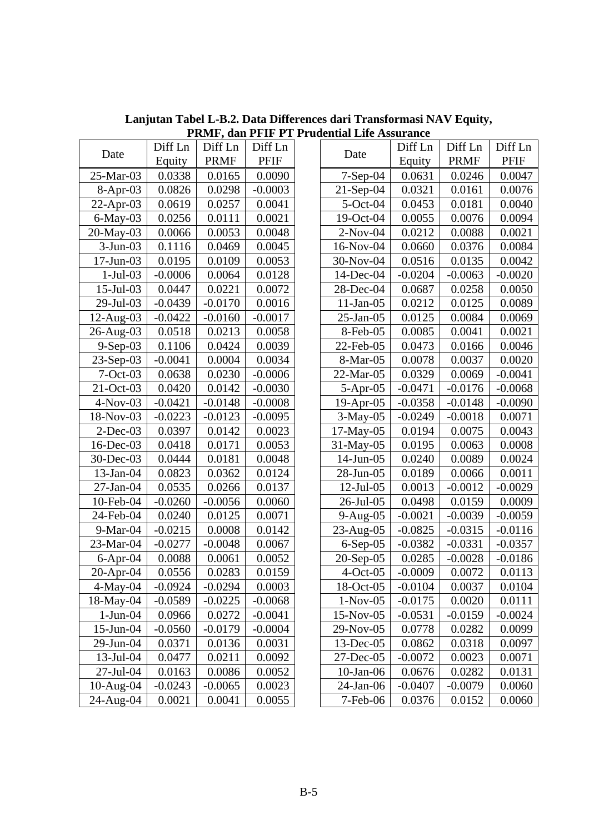|                 |           |             |           | I KINT, Gall I FIF I I I Tugential Life Assurance |           |             |           |
|-----------------|-----------|-------------|-----------|---------------------------------------------------|-----------|-------------|-----------|
| Date            | Diff Ln   | Diff Ln     | Diff Ln   | Date                                              | Diff Ln   | Diff Ln     | Diff Ln   |
|                 | Equity    | <b>PRMF</b> | PFIF      |                                                   | Equity    | <b>PRMF</b> | PFIF      |
| 25-Mar-03       | 0.0338    | 0.0165      | 0.0090    | $7-Sep-04$                                        | 0.0631    | 0.0246      | 0.0047    |
| $8-Apr-03$      | 0.0826    | 0.0298      | $-0.0003$ | $21$ -Sep-04                                      | 0.0321    | 0.0161      | 0.0076    |
| $22-Apr-03$     | 0.0619    | 0.0257      | 0.0041    | $5-Oct-04$                                        | 0.0453    | 0.0181      | 0.0040    |
| $6$ -May-03     | 0.0256    | 0.0111      | 0.0021    | $19-Oct-04$                                       | 0.0055    | 0.0076      | 0.0094    |
| 20-May-03       | 0.0066    | 0.0053      | 0.0048    | $2-Nov-04$                                        | 0.0212    | 0.0088      | 0.0021    |
| $3-Jun-03$      | 0.1116    | 0.0469      | 0.0045    | $16$ -Nov-04                                      | 0.0660    | 0.0376      | 0.0084    |
| $17$ -Jun-03    | 0.0195    | 0.0109      | 0.0053    | 30-Nov-04                                         | 0.0516    | 0.0135      | 0.0042    |
| $1-Jul-03$      | $-0.0006$ | 0.0064      | 0.0128    | $14$ -Dec-04                                      | $-0.0204$ | $-0.0063$   | $-0.0020$ |
| $15$ -Jul-03    | 0.0447    | 0.0221      | 0.0072    | 28-Dec-04                                         | 0.0687    | 0.0258      | 0.0050    |
| 29-Jul-03       | $-0.0439$ | $-0.0170$   | 0.0016    | $11-Jan-05$                                       | 0.0212    | 0.0125      | 0.0089    |
| $12$ -Aug-03    | $-0.0422$ | $-0.0160$   | $-0.0017$ | $25$ -Jan-05                                      | 0.0125    | 0.0084      | 0.0069    |
| $26$ -Aug- $03$ | 0.0518    | 0.0213      | 0.0058    | 8-Feb-05                                          | 0.0085    | 0.0041      | 0.0021    |
| $9-Sep-03$      | 0.1106    | 0.0424      | 0.0039    | $22$ -Feb-05                                      | 0.0473    | 0.0166      | 0.0046    |
| $23-Sep-03$     | $-0.0041$ | 0.0004      | 0.0034    | 8-Mar-05                                          | 0.0078    | 0.0037      | 0.0020    |
| $7 - Oct - 03$  | 0.0638    | 0.0230      | $-0.0006$ | 22-Mar-05                                         | 0.0329    | 0.0069      | $-0.0041$ |
| $21-Oct-03$     | 0.0420    | 0.0142      | $-0.0030$ | $5-Apr-05$                                        | $-0.0471$ | $-0.0176$   | $-0.0068$ |
| $4-Nov-03$      | $-0.0421$ | $-0.0148$   | $-0.0008$ | $19$ -Apr-05                                      | $-0.0358$ | $-0.0148$   | $-0.0090$ |
| 18-Nov-03       | $-0.0223$ | $-0.0123$   | $-0.0095$ | $3-May-05$                                        | $-0.0249$ | $-0.0018$   | 0.0071    |
| $2$ -Dec-03     | 0.0397    | 0.0142      | 0.0023    | 17-May-05                                         | 0.0194    | 0.0075      | 0.0043    |
| $16$ -Dec-03    | 0.0418    | 0.0171      | 0.0053    | $31$ -May-05                                      | 0.0195    | 0.0063      | 0.0008    |
| $30$ -Dec-03    | 0.0444    | 0.0181      | 0.0048    | $14$ -Jun-05                                      | 0.0240    | 0.0089      | 0.0024    |
| $13$ -Jan-04    | 0.0823    | 0.0362      | 0.0124    | 28-Jun-05                                         | 0.0189    | 0.0066      | 0.0011    |
| $27$ -Jan-04    | 0.0535    | 0.0266      | 0.0137    | $12$ -Jul-05                                      | 0.0013    | $-0.0012$   | $-0.0029$ |
| 10-Feb-04       | $-0.0260$ | $-0.0056$   | 0.0060    | $26$ -Jul-05                                      | 0.0498    | 0.0159      | 0.0009    |
| 24-Feb-04       | 0.0240    | 0.0125      | 0.0071    | $9-Aug-05$                                        | $-0.0021$ | $-0.0039$   | $-0.0059$ |
| $9-Mar-04$      | $-0.0215$ | 0.0008      | 0.0142    | $23$ -Aug-05                                      | $-0.0825$ | $-0.0315$   | $-0.0116$ |
| 23-Mar-04       | $-0.0277$ | $-0.0048$   | 0.0067    | $6-Sep-05$                                        | $-0.0382$ | $-0.0331$   | $-0.0357$ |
| $6$ -Apr-04     | 0.0088    | 0.0061      | 0.0052    | $20$ -Sep-05                                      | 0.0285    | $-0.0028$   | $-0.0186$ |
| $20$ -Apr-04    | 0.0556    | 0.0283      | 0.0159    | $4-Oct-05$                                        | $-0.0009$ | 0.0072      | 0.0113    |
| $4$ -May-04     | $-0.0924$ | $-0.0294$   | 0.0003    | 18-Oct-05                                         | $-0.0104$ | 0.0037      | 0.0104    |
| 18-May-04       | $-0.0589$ | $-0.0225$   | $-0.0068$ | $1-Nov-05$                                        | $-0.0175$ | 0.0020      | 0.0111    |
| $1-Jun-04$      | 0.0966    | 0.0272      | $-0.0041$ | $15-Nov-05$                                       | $-0.0531$ | $-0.0159$   | $-0.0024$ |
| 15-Jun-04       | $-0.0560$ | $-0.0179$   | $-0.0004$ | 29-Nov-05                                         | 0.0778    | 0.0282      | 0.0099    |
| 29-Jun-04       | 0.0371    | 0.0136      | 0.0031    | $13$ -Dec-05                                      | 0.0862    | 0.0318      | 0.0097    |
| $13$ -Jul-04    | 0.0477    | 0.0211      | 0.0092    | $27$ -Dec-05                                      | $-0.0072$ | 0.0023      | 0.0071    |
| 27-Jul-04       | 0.0163    | 0.0086      | 0.0052    | $10-Jan-06$                                       | 0.0676    | 0.0282      | 0.0131    |
| 10-Aug-04       | $-0.0243$ | $-0.0065$   | 0.0023    | 24-Jan-06                                         | $-0.0407$ | $-0.0079$   | 0.0060    |
| 24-Aug-04       | 0.0021    | 0.0041      | 0.0055    | 7-Feb-06                                          | 0.0376    | 0.0152      | 0.0060    |

**Lanjutan Tabel L-B.2. Data Differences dari Transformasi NAV Equity, PRMF, dan PFIF PT Prudential Life Assurance** 

| Date            | Diff Ln   | Diff Ln     | Diff Ln     | Date         | Diff Ln   | Diff Ln     | Diff Ln     |
|-----------------|-----------|-------------|-------------|--------------|-----------|-------------|-------------|
|                 | Equity    | <b>PRMF</b> | <b>PFIF</b> |              | Equity    | <b>PRMF</b> | <b>PFIF</b> |
| 25-Mar-03       | 0.0338    | 0.0165      | 0.0090      | $7-Sep-04$   | 0.0631    | 0.0246      | 0.0047      |
| $8-Apr-03$      | 0.0826    | 0.0298      | $-0.0003$   | $21-Sep-04$  | 0.0321    | 0.0161      | 0.0076      |
| $22-Apr-03$     | 0.0619    | 0.0257      | 0.0041      | $5$ -Oct-04  | 0.0453    | 0.0181      | 0.0040      |
| $6$ -May-03     | 0.0256    | 0.0111      | 0.0021      | 19-Oct-04    | 0.0055    | 0.0076      | 0.0094      |
| 20-May-03       | 0.0066    | 0.0053      | 0.0048      | $2-Nov-04$   | 0.0212    | 0.0088      | 0.0021      |
| $3-Jun-03$      | 0.1116    | 0.0469      | 0.0045      | 16-Nov-04    | 0.0660    | 0.0376      | 0.0084      |
| $17$ -Jun-03    | 0.0195    | 0.0109      | 0.0053      | 30-Nov-04    | 0.0516    | 0.0135      | 0.0042      |
| $1-Jul-03$      | $-0.0006$ | 0.0064      | 0.0128      | 14-Dec-04    | $-0.0204$ | $-0.0063$   | $-0.0020$   |
| 15-Jul-03       | 0.0447    | 0.0221      | 0.0072      | 28-Dec-04    | 0.0687    | 0.0258      | 0.0050      |
| 29-Jul-03       | $-0.0439$ | $-0.0170$   | 0.0016      | $11-Jan-05$  | 0.0212    | 0.0125      | 0.0089      |
| 12-Aug-03       | $-0.0422$ | $-0.0160$   | $-0.0017$   | $25$ -Jan-05 | 0.0125    | 0.0084      | 0.0069      |
| 26-Aug-03       | 0.0518    | 0.0213      | 0.0058      | 8-Feb-05     | 0.0085    | 0.0041      | 0.0021      |
| $9-Sep-03$      | 0.1106    | 0.0424      | 0.0039      | 22-Feb-05    | 0.0473    | 0.0166      | 0.0046      |
| $23-Sep-03$     | $-0.0041$ | 0.0004      | 0.0034      | 8-Mar-05     | 0.0078    | 0.0037      | 0.0020      |
| $7-Oct-03$      | 0.0638    | 0.0230      | $-0.0006$   | 22-Mar-05    | 0.0329    | 0.0069      | $-0.0041$   |
| 21-Oct-03       | 0.0420    | 0.0142      | $-0.0030$   | $5-Apr-05$   | $-0.0471$ | $-0.0176$   | $-0.0068$   |
| $4-Nov-03$      | $-0.0421$ | $-0.0148$   | $-0.0008$   | $19$ -Apr-05 | $-0.0358$ | $-0.0148$   | $-0.0090$   |
| 18-Nov-03       | $-0.0223$ | $-0.0123$   | $-0.0095$   | $3-May-05$   | $-0.0249$ | $-0.0018$   | 0.0071      |
| $2$ -Dec-03     | 0.0397    | 0.0142      | 0.0023      | 17-May-05    | 0.0194    | 0.0075      | 0.0043      |
| 16-Dec-03       | 0.0418    | 0.0171      | 0.0053      | 31-May-05    | 0.0195    | 0.0063      | 0.0008      |
| 30-Dec-03       | 0.0444    | 0.0181      | 0.0048      | $14$ -Jun-05 | 0.0240    | 0.0089      | 0.0024      |
| 13-Jan-04       | 0.0823    | 0.0362      | 0.0124      | 28-Jun-05    | 0.0189    | 0.0066      | 0.0011      |
| $27$ -Jan-04    | 0.0535    | 0.0266      | 0.0137      | $12$ -Jul-05 | 0.0013    | $-0.0012$   | $-0.0029$   |
| 10-Feb-04       | $-0.0260$ | $-0.0056$   | 0.0060      | 26-Jul-05    | 0.0498    | 0.0159      | 0.0009      |
| 24-Feb-04       | 0.0240    | 0.0125      | 0.0071      | $9-Aug-05$   | $-0.0021$ | $-0.0039$   | $-0.0059$   |
| 9-Mar-04        | $-0.0215$ | 0.0008      | 0.0142      | $23$ -Aug-05 | $-0.0825$ | $-0.0315$   | $-0.0116$   |
| 23-Mar-04       | $-0.0277$ | $-0.0048$   | 0.0067      | $6-Sep-05$   | $-0.0382$ | $-0.0331$   | $-0.0357$   |
| $6$ -Apr-04     | 0.0088    | 0.0061      | 0.0052      | $20-Sep-05$  | 0.0285    | $-0.0028$   | $-0.0186$   |
| 20-Apr-04       | 0.0556    | 0.0283      | 0.0159      | $4-Oct-05$   | $-0.0009$ | 0.0072      | 0.0113      |
| $4$ -May-04     | $-0.0924$ | $-0.0294$   | 0.0003      | 18-Oct-05    | $-0.0104$ | 0.0037      | 0.0104      |
| 18-May-04       | $-0.0589$ | $-0.0225$   | $-0.0068$   | $1-Nov-05$   | $-0.0175$ | 0.0020      | 0.0111      |
| $1-Jun-04$      | 0.0966    | 0.0272      | $-0.0041$   | 15-Nov-05    | $-0.0531$ | $-0.0159$   | $-0.0024$   |
| 15-Jun-04       | $-0.0560$ | $-0.0179$   | $-0.0004$   | 29-Nov-05    | 0.0778    | 0.0282      | 0.0099      |
| 29-Jun-04       | 0.0371    | 0.0136      | 0.0031      | 13-Dec-05    | 0.0862    | 0.0318      | 0.0097      |
| $13$ -Jul-04    | 0.0477    | 0.0211      | 0.0092      | 27-Dec-05    | $-0.0072$ | 0.0023      | 0.0071      |
| $27$ -Jul-04    | 0.0163    | 0.0086      | 0.0052      | $10$ -Jan-06 | 0.0676    | 0.0282      | 0.0131      |
| $10$ -Aug- $04$ | $-0.0243$ | $-0.0065$   | 0.0023      | 24-Jan-06    | $-0.0407$ | $-0.0079$   | 0.0060      |
| $24$ -Aug-04    | 0.0021    | 0.0041      | 0.0055      | $7$ -Feb-06  | 0.0376    | 0.0152      | 0.0060      |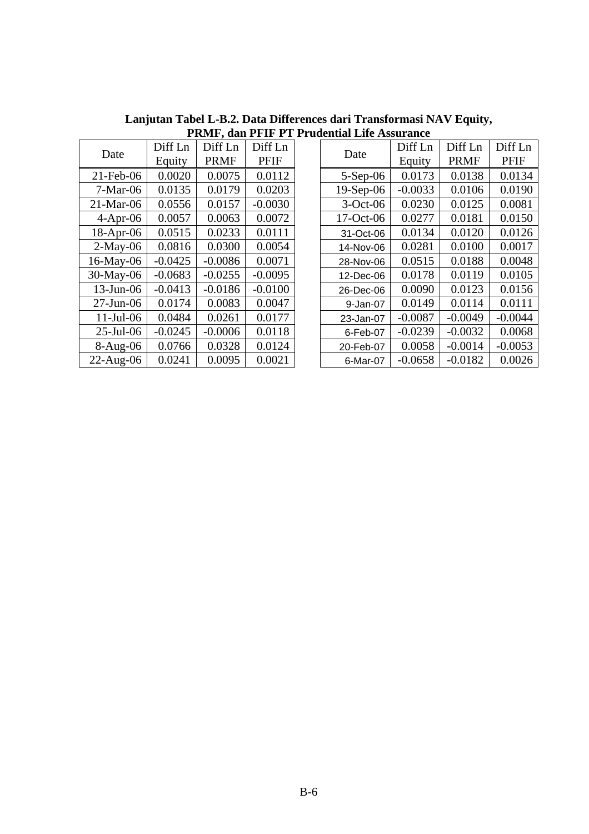|              |           | 1 IUILI , UAILLI IL 1 |           |
|--------------|-----------|-----------------------|-----------|
| Date         | Diff Ln   | Diff Ln               | Diff Ln   |
|              | Equity    | <b>PRMF</b>           | PFIF      |
| $21$ -Feb-06 | 0.0020    | 0.0075                | 0.0112    |
| $7-Mar-06$   | 0.0135    | 0.0179                | 0.0203    |
| $21-Mar-06$  | 0.0556    | 0.0157                | $-0.0030$ |
| $4-Apr-06$   | 0.0057    | 0.0063                | 0.0072    |
| 18-Apr-06    | 0.0515    | 0.0233                | 0.0111    |
| $2-May-06$   | 0.0816    | 0.0300                | 0.0054    |
| 16-May-06    | $-0.0425$ | $-0.0086$             | 0.0071    |
| 30-May-06    | $-0.0683$ | $-0.0255$             | $-0.0095$ |
| 13-Jun-06    | $-0.0413$ | $-0.0186$             | $-0.0100$ |
| $27$ -Jun-06 | 0.0174    | 0.0083                | 0.0047    |
| $11$ -Jul-06 | 0.0484    | 0.0261                | 0.0177    |
| 25-Jul-06    | $-0.0245$ | $-0.0006$             | 0.0118    |
| 8-Aug-06     | 0.0766    | 0.0328                | 0.0124    |
| 22-Aug-06    | 0.0241    | 0.0095                | 0.0021    |

**Lanjutan Tabel L-B.2. Data Differences dari Transformasi NAV Equity, PRMF, dan PFIF PT Prudential Life Assurance** 

| Date         | Diff Ln   | Diff Ln     | Diff Ln     |  | Date        | Diff Ln   | Diff Ln     | Diff Ln     |
|--------------|-----------|-------------|-------------|--|-------------|-----------|-------------|-------------|
|              | Equity    | <b>PRMF</b> | <b>PFIF</b> |  |             | Equity    | <b>PRMF</b> | <b>PFIF</b> |
| $21$ -Feb-06 | 0.0020    | 0.0075      | 0.0112      |  | $5-Sep-06$  | 0.0173    | 0.0138      | 0.0134      |
| $7-Mar-06$   | 0.0135    | 0.0179      | 0.0203      |  | $19-Sep-06$ | $-0.0033$ | 0.0106      | 0.0190      |
| $21-Mar-06$  | 0.0556    | 0.0157      | $-0.0030$   |  | $3-Oct-06$  | 0.0230    | 0.0125      | 0.0081      |
| $4-Apr-06$   | 0.0057    | 0.0063      | 0.0072      |  | 17-Oct-06   | 0.0277    | 0.0181      | 0.0150      |
| $18$ -Apr-06 | 0.0515    | 0.0233      | 0.0111      |  | 31-Oct-06   | 0.0134    | 0.0120      | 0.0126      |
| $2-May-06$   | 0.0816    | 0.0300      | 0.0054      |  | 14-Nov-06   | 0.0281    | 0.0100      | 0.0017      |
| 16-May-06    | $-0.0425$ | $-0.0086$   | 0.0071      |  | 28-Nov-06   | 0.0515    | 0.0188      | 0.0048      |
| 30-May-06    | $-0.0683$ | $-0.0255$   | $-0.0095$   |  | 12-Dec-06   | 0.0178    | 0.0119      | 0.0105      |
| $13$ -Jun-06 | $-0.0413$ | $-0.0186$   | $-0.0100$   |  | 26-Dec-06   | 0.0090    | 0.0123      | 0.0156      |
| $27$ -Jun-06 | 0.0174    | 0.0083      | 0.0047      |  | 9-Jan-07    | 0.0149    | 0.0114      | 0.0111      |
| $11$ -Jul-06 | 0.0484    | 0.0261      | 0.0177      |  | 23-Jan-07   | $-0.0087$ | $-0.0049$   | $-0.0044$   |
| $25$ -Jul-06 | $-0.0245$ | $-0.0006$   | 0.0118      |  | 6-Feb-07    | $-0.0239$ | $-0.0032$   | 0.0068      |
| $8-Aug-06$   | 0.0766    | 0.0328      | 0.0124      |  | 20-Feb-07   | 0.0058    | $-0.0014$   | $-0.0053$   |
| 22-Aug-06    | 0.0241    | 0.0095      | 0.0021      |  | 6-Mar-07    | $-0.0658$ | $-0.0182$   | 0.0026      |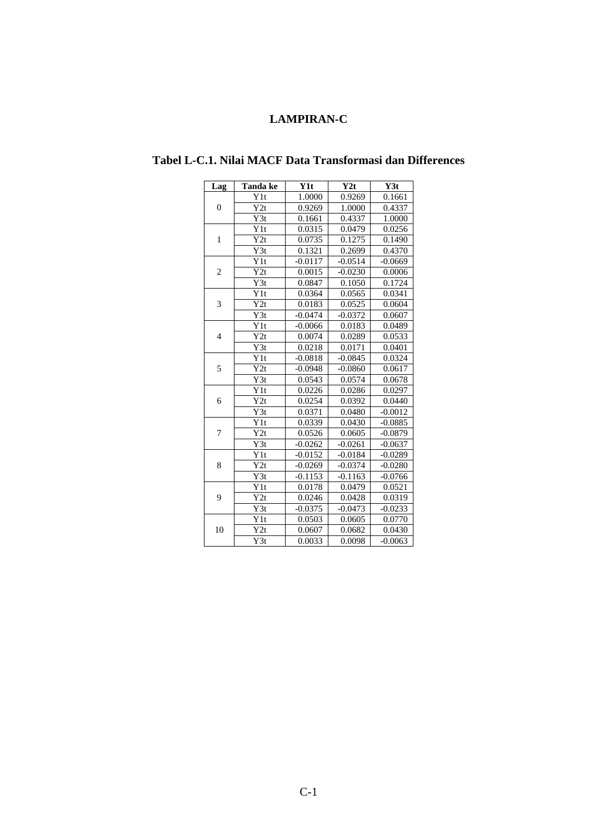## **LAMPIRAN-C**

| Lag            | Tanda ke                     | Y1t                  | Y2t       | Y3t       |
|----------------|------------------------------|----------------------|-----------|-----------|
|                | Y1t                          | 1.0000               | 0.9269    | 0.1661    |
| $\theta$       | Y2t                          | 0.9269               | 1.0000    | 0.4337    |
|                | Y3t                          | 0.1661               | 0.4337    | 1.0000    |
|                | Y1t                          | 0.0315               | 0.0479    | 0.0256    |
| $\mathbf{1}$   | Y2t                          | 0.0735               | 0.1275    | 0.1490    |
|                | Y3t                          | 0.1321               | 0.2699    | 0.4370    |
|                | Y1t                          | $-0.0117$            | $-0.0514$ | $-0.0669$ |
| $\overline{c}$ | Y2t                          | 0.0015               | $-0.0230$ | 0.0006    |
|                | $\overline{Y3t}$             | 0.0847               | 0.1050    | 0.1724    |
|                | $\overline{Y}$ <sup>1t</sup> | 0.0364               | 0.0565    | 0.0341    |
| 3              | Y2t                          | 0.0183               | 0.0525    | 0.0604    |
|                | Y3t                          | $-0.0474$            | $-0.0372$ | 0.0607    |
|                | Y1t                          | $-0.0066$            | 0.0183    | 0.0489    |
| $\overline{4}$ | Y2t                          | 0.0074               | 0.0289    | 0.0533    |
|                | Y3t                          | 0.0218               | 0.0171    | 0.0401    |
|                | Y1t                          | $-0.0818$            | $-0.0845$ | 0.0324    |
| 5              | Y2t                          | $-0.0948$            | $-0.0860$ | 0.0617    |
|                | Y3t                          | 0.0543               | 0.0574    | 0.0678    |
|                | Y1t                          | 0.0226               | 0.0286    | 0.0297    |
| 6              | Y2t                          | 0.0254               | 0.0392    | 0.0440    |
|                | Y3t                          | 0.0371               | 0.0480    | $-0.0012$ |
|                | Y1t                          | 0.0339               | 0.0430    | $-0.0885$ |
| 7              | $\overline{Y2}t$             | 0.0526               | 0.0605    | $-0.0879$ |
|                | $\overline{Y3t}$             | $-0.0262$            | $-0.0261$ | $-0.0637$ |
|                | Y1t                          | $-0.0152$            | $-0.0184$ | $-0.0289$ |
| 8              | Y2t                          | $-0.0269$            | $-0.0374$ | $-0.0280$ |
|                | Y3t                          | $-0.115\overline{3}$ | $-0.1163$ | $-0.0766$ |
|                | Y1t                          | 0.0178               | 0.0479    | 0.0521    |
| 9              | Y2t                          | 0.0246               | 0.0428    | 0.0319    |
|                | Y3t                          | $-0.0375$            | $-0.0473$ | $-0.0233$ |
|                | Y1t                          | 0.0503               | 0.0605    | 0.0770    |
| 10             | Y2t                          | 0.0607               | 0.0682    | 0.0430    |
|                | Y3t                          | 0.0033               | 0.0098    | $-0.0063$ |

## **Tabel L-C.1. Nilai MACF Data Transformasi dan Differences**

 $\overline{a}$ 

 $\overline{\phantom{a}}$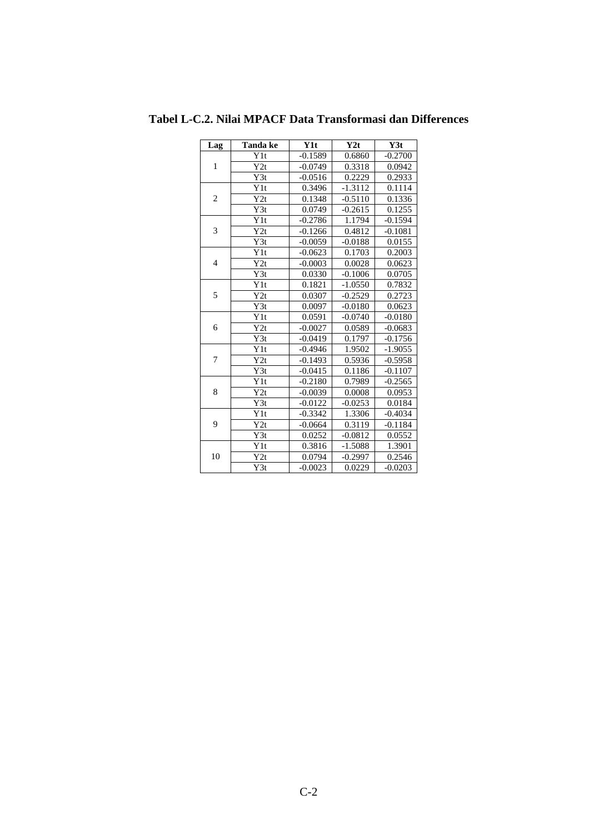| Lag            | Tanda ke | Y <sub>1</sub> t | Y2t       | Y3t       |
|----------------|----------|------------------|-----------|-----------|
|                | Y1t      | $-0.1589$        | 0.6860    | $-0.2700$ |
| $\mathbf{1}$   | Y2t      | $-0.0749$        | 0.3318    | 0.0942    |
|                | Y3t      | $-0.0516$        | 0.2229    | 0.2933    |
|                | Y1t      | 0.3496           | $-1.3112$ | 0.1114    |
| $\overline{c}$ | Y2t      | 0.1348           | $-0.5110$ | 0.1336    |
|                | Y3t      | 0.0749           | $-0.2615$ | 0.1255    |
|                | Y1t      | $-0.2786$        | 1.1794    | $-0.1594$ |
| 3              | Y2t      | $-0.1266$        | 0.4812    | $-0.1081$ |
|                | Y3t      | $-0.0059$        | $-0.0188$ | 0.0155    |
|                | Y1t      | $-0.0623$        | 0.1703    | 0.2003    |
| $\overline{4}$ | Y2t      | $-0.0003$        | 0.0028    | 0.0623    |
|                | Y3t      | 0.0330           | $-0.1006$ | 0.0705    |
|                | Y1t      | 0.1821           | $-1.0550$ | 0.7832    |
| 5              | Y2t      | 0.0307           | $-0.2529$ | 0.2723    |
|                | Y3t      | 0.0097           | $-0.0180$ | 0.0623    |
|                | Y1t      | 0.0591           | $-0.0740$ | $-0.0180$ |
| 6              | Y2t      | $-0.0027$        | 0.0589    | $-0.0683$ |
|                | Y3t      | $-0.0419$        | 0.1797    | $-0.1756$ |
|                | Y1t      | $-0.4946$        | 1.9502    | $-1.9055$ |
| 7              | Y2t      | $-0.1493$        | 0.5936    | $-0.5958$ |
|                | Y3t      | $-0.0415$        | 0.1186    | $-0.1107$ |
|                | Y1t      | $-0.2180$        | 0.7989    | $-0.2565$ |
| 8              | Y2t      | $-0.0039$        | 0.0008    | 0.0953    |
|                | Y3t      | $-0.0122$        | $-0.0253$ | 0.0184    |
|                | Y1t      | $-0.3342$        | 1.3306    | $-0.4034$ |
| 9              | Y2t      | $-0.0664$        | 0.3119    | $-0.1184$ |
|                | Y3t      | 0.0252           | $-0.0812$ | 0.0552    |
|                | Y1t      | 0.3816           | $-1.5088$ | 1.3901    |
| 10             | Y2t      | 0.0794           | $-0.2997$ | 0.2546    |
|                | Y3t      | $-0.0023$        | 0.0229    | $-0.0203$ |

**Tabel L-C.2. Nilai MPACF Data Transformasi dan Differences**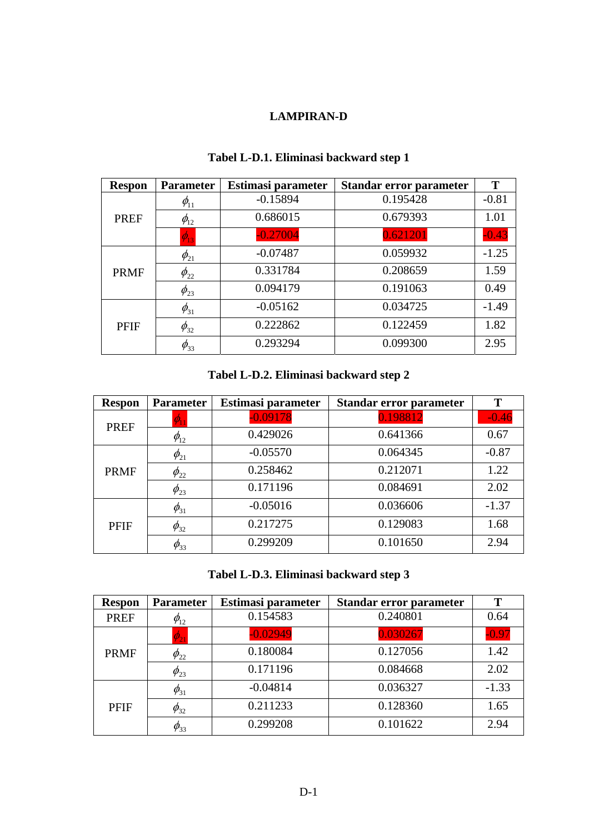# **LAMPIRAN-D**

| <b>Respon</b> | <b>Parameter</b> | Estimasi parameter | Standar error parameter | Т       |
|---------------|------------------|--------------------|-------------------------|---------|
|               | $\phi_{11}$      | $-0.15894$         | 0.195428                | $-0.81$ |
| <b>PREF</b>   | $\phi_{12}$      | 0.686015           | 0.679393                | 1.01    |
|               | $\phi_{13}$      | $-0.27004$         | 0.621201                | $-0.43$ |
|               | $\phi_{21}$      | $-0.07487$         | 0.059932                | $-1.25$ |
| <b>PRMF</b>   | $\phi_{22}$      | 0.331784           | 0.208659                | 1.59    |
|               | $\phi_{23}$      | 0.094179           | 0.191063                | 0.49    |
|               | $\phi_{31}$      | $-0.05162$         | 0.034725                | $-1.49$ |
| <b>PFIF</b>   | $\phi_{32}$      | 0.222862           | 0.122459                | 1.82    |
|               | $\varphi_{33}$   | 0.293294           | 0.099300                | 2.95    |

# **Tabel L-D.1. Eliminasi backward step 1**

# **Tabel L-D.2. Eliminasi backward step 2**

| <b>Respon</b> | <b>Parameter</b>                     | Estimasi parameter | Standar error parameter | T       |
|---------------|--------------------------------------|--------------------|-------------------------|---------|
| <b>PREF</b>   | $\varphi_{\scriptscriptstyle \rm I}$ | $-0.09178$         | 0.198812                | $-0.46$ |
|               | $\phi_{12}$                          | 0.429026           | 0.641366                | 0.67    |
|               | $\phi_{21}$                          | $-0.05570$         | 0.064345                | $-0.87$ |
| <b>PRMF</b>   | $\phi_{22}$                          | 0.258462           | 0.212071                | 1.22    |
|               | $\phi_{23}$                          | 0.171196           | 0.084691                | 2.02    |
|               | $\phi_{31}$                          | $-0.05016$         | 0.036606                | $-1.37$ |
| <b>PFIF</b>   | $\phi_{32}$                          | 0.217275           | 0.129083                | 1.68    |
|               | $\phi_{33}$                          | 0.299209           | 0.101650                | 2.94    |

# **Tabel L-D.3. Eliminasi backward step 3**

| <b>Respon</b> | <b>Parameter</b> | Estimasi parameter | Standar error parameter | T       |
|---------------|------------------|--------------------|-------------------------|---------|
| <b>PREF</b>   | $\phi_{12}$      | 0.154583           | 0.240801                | 0.64    |
|               | $\phi_{21}$      | $-0.02949$         | 0.030267                | $-0.97$ |
| <b>PRMF</b>   | $\phi_{22}$      | 0.180084           | 0.127056                | 1.42    |
|               | $\phi_{23}$      | 0.171196           | 0.084668                | 2.02    |
|               | $\phi_{31}$      | $-0.04814$         | 0.036327                | $-1.33$ |
| <b>PFIF</b>   | $\phi_{32}$      | 0.211233           | 0.128360                | 1.65    |
|               | $\phi_{33}$      | 0.299208           | 0.101622                | 2.94    |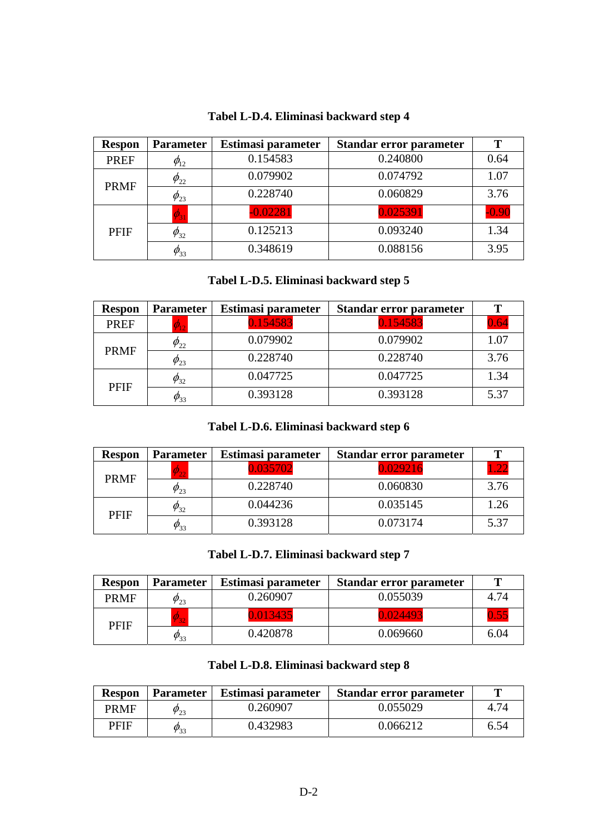| <b>Respon</b> | <b>Parameter</b>                  | Estimasi parameter | Standar error parameter | Т       |
|---------------|-----------------------------------|--------------------|-------------------------|---------|
| <b>PREF</b>   | $\varphi_{12}$                    | 0.154583           | 0.240800                | 0.64    |
|               | $\varphi_{22}$                    | 0.079902           | 0.074792                | 1.07    |
| <b>PRMF</b>   | $\varphi_{23}$                    | 0.228740           | 0.060829                | 3.76    |
|               | $\phi_{\scriptscriptstyle 31}^{}$ | $-0.02281$         | 0.025391                | $-0.90$ |
| <b>PFIF</b>   | $\varphi_{32}$                    | 0.125213           | 0.093240                | 1.34    |
|               | $\varphi_{33}$                    | 0.348619           | 0.088156                | 3.95    |

# **Tabel L-D.4. Eliminasi backward step 4**

# **Tabel L-D.5. Eliminasi backward step 5**

| <b>Respon</b> | <b>Parameter</b>                | Estimasi parameter | Standar error parameter | т    |
|---------------|---------------------------------|--------------------|-------------------------|------|
| <b>PREF</b>   | $\phi_{\scriptscriptstyle{12}}$ | 0.154583           | 0.154583                | 0.64 |
|               | $\phi_{22}$                     | 0.079902           | 0.079902                | 1.07 |
| <b>PRMF</b>   | $\phi_{23}$                     | 0.228740           | 0.228740                | 3.76 |
|               | $\phi_{32}$                     | 0.047725           | 0.047725                | 1.34 |
| <b>PFIF</b>   | $\varphi_{33}$                  | 0.393128           | 0.393128                | 5.37 |

### **Tabel L-D.6. Eliminasi backward step 6**

| <b>Respon</b> | <b>Parameter</b>                         | Estimasi parameter | Standar error parameter | T    |
|---------------|------------------------------------------|--------------------|-------------------------|------|
|               | ${\textcolor{black} {\mathcal{D}}_{22}}$ | 0.035702           | 0.029216                |      |
| <b>PRMF</b>   | $\varphi_{23}$                           | 0.228740           | 0.060830                | 3.76 |
|               | $\varphi_{32}$                           | 0.044236           | 0.035145                | 1.26 |
| <b>PFIF</b>   | $\phi_{33}$                              | 0.393128           | 0.073174                | 5.37 |

# **Tabel L-D.7. Eliminasi backward step 7**

| <b>Respon</b> | <b>Parameter</b> | Estimasi parameter | Standar error parameter | т    |
|---------------|------------------|--------------------|-------------------------|------|
| <b>PRMF</b>   | $\varphi_{23}$   | 0.260907           | 0.055039                | 4.74 |
| PFIF          | $\rho_{_{32}}$   | 0.013435           | 0.024493                | ).55 |
|               | $\phi_{33}$      | 0.420878           | 0.069660                | 6.04 |

### **Tabel L-D.8. Eliminasi backward step 8**

| <b>Respon</b> | <b>Parameter</b>  | Estimasi parameter | Standar error parameter | m    |
|---------------|-------------------|--------------------|-------------------------|------|
| PRMF          | $\varphi_{23}^{}$ | 0.260907           | 0.055029                |      |
| PFIF          | $\phi_{33}$       | 0.432983           | 0.066212                | 6.54 |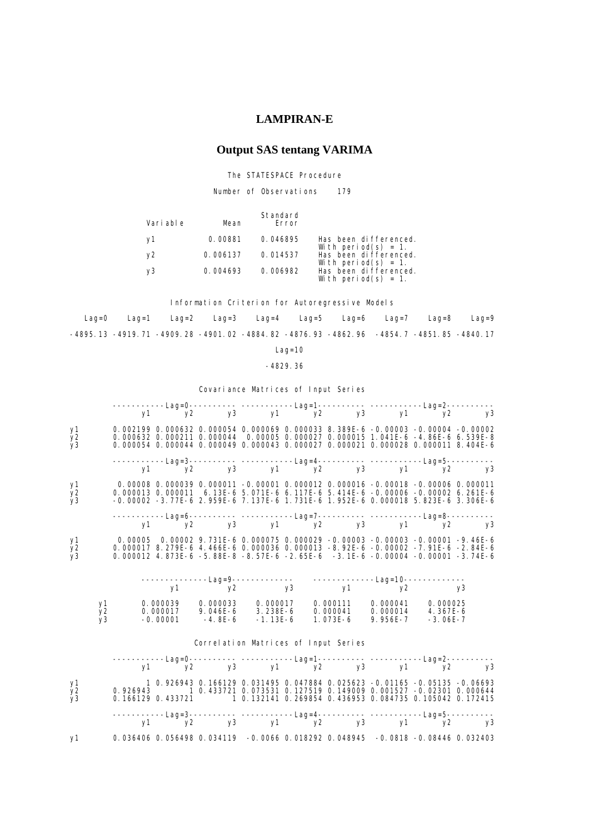### **LAMPIRAN-E**

# **Output SAS tentang VARIMA**

The STATESPACE Procedure

Number of Observations 179

| Vari abl e | Mean     | Standard<br>Error |                                              |
|------------|----------|-------------------|----------------------------------------------|
| VT         | 0.00881  | 0.046895          | Has been differenced.<br>With period(s) = 1. |
| ν2         | 0.006137 | 0.014537          | Has been differenced.<br>With period(s) = 1. |
| v3         | 0.004693 | 0.006982          | Has been differenced.<br>With period(s) = 1. |

Information Criterion for Autoregressive Models

 Lag=0 Lag=1 Lag=2 Lag=3 Lag=4 Lag=5 Lag=6 Lag=7 Lag=8 Lag=9 -4895.13 -4919.71 -4909.28 -4901.02 -4884.82 -4876.93 -4862.96 -4854.7 -4851.85 -4840.17

Lag=10

-4829.36

Covariance Matrices of Input Series

| y1<br>$y_2$<br>y3          |                                    |  |                                       |  | 0.002199 0.000632 0.000054 0.000069 0.000033 8.389E-6 -0.00003 -0.00004 -0.00002<br>0.000632 0.000211 0.000044 0.00005 0.000027 0.000015 1.041E-6 -4.86E-6 6.539E-8<br>0.000054 0.000044 0.000049 0.000043 0.000027 0.000021 0.000028 0.000011 8.404E-6 |  |  |
|----------------------------|------------------------------------|--|---------------------------------------|--|---------------------------------------------------------------------------------------------------------------------------------------------------------------------------------------------------------------------------------------------------------|--|--|
|                            |                                    |  |                                       |  | ------------Lag=3---------- ------------Lag=4---------- -------------Lag=5-----------<br>y1     y2     y1         y2     y1       y2                                                                                                                    |  |  |
| y1<br>$\overline{y}$<br>y3 |                                    |  |                                       |  | 0.00008 0.000039 0.000011 -0.00001 0.000012 0.000016 -0.00018 -0.00006 0.000011<br>0.000013 0.000011 6.13E-6 5.071E-6 6.117E-6 5.414E-6 -0.00006 -0.00002 6.261E-6<br>-0.00002 -3.77E-6 2.959E-6 7.137E-6 1.731E-6 1.952E-6 0.000018 5.823E-6 3.306E-6  |  |  |
|                            |                                    |  |                                       |  |                                                                                                                                                                                                                                                         |  |  |
| y1<br>$\frac{y}{y^3}$      |                                    |  |                                       |  | 0.00005 0.00002 9.731E-6 0.000075 0.000029 -0.00003 -0.00003 -0.00001 -9.46E-6<br>0.000017 8.279E-6 4.466E-6 0.000036 0.000013 -8.92E-6 -0.00002 -7.91E-6 -2.84E-6<br>0.000012 4.873E-6 -5.88E-8 -8.57E-6 -2.65E-6 -3.1E-6 -0.00004 -0.00001 -3.74E-6   |  |  |
|                            |                                    |  |                                       |  |                                                                                                                                                                                                                                                         |  |  |
|                            |                                    |  |                                       |  |                                                                                                                                                                                                                                                         |  |  |
|                            |                                    |  |                                       |  |                                                                                                                                                                                                                                                         |  |  |
|                            | y1<br>y <sub>2</sub><br>$\bar{v}3$ |  |                                       |  | 0. 000039        0. 000033        0. 000017        0. 000111        0. 000041        0. 000025<br>0. 000017           9. 046E-6         3. 238E-6        0. 000041        0. 000014        4. 367E-6<br>-0. 00001            -4. 8E-                    |  |  |
|                            |                                    |  | Correl ation Matrices of Input Series |  |                                                                                                                                                                                                                                                         |  |  |
|                            |                                    |  |                                       |  | ------------Lag=0----------- -----------Lag=1----------- ------------Lag=2-----------<br>y1 y2 y3 y1 y2 y3 y1 y2 y3                                                                                                                                     |  |  |
| y1<br>$\frac{y}{y3}$       |                                    |  |                                       |  | 1 0.926943 0.166129 0.031495 0.047884 0.025623 -0.01165 -0.05135 -0.06693<br>0.926943 1 0.433721 0.073531 0.127519 0.149009 0.001527 -0.02301 0.000644<br>0.166129 0.433721 1 0.132141 0.269854 0.436953 0.084735 0.105042 0.172415                     |  |  |

y1 0.036406 0.056498 0.034119 -0.0066 0.018292 0.048945 -0.0818 -0.08446 0.032403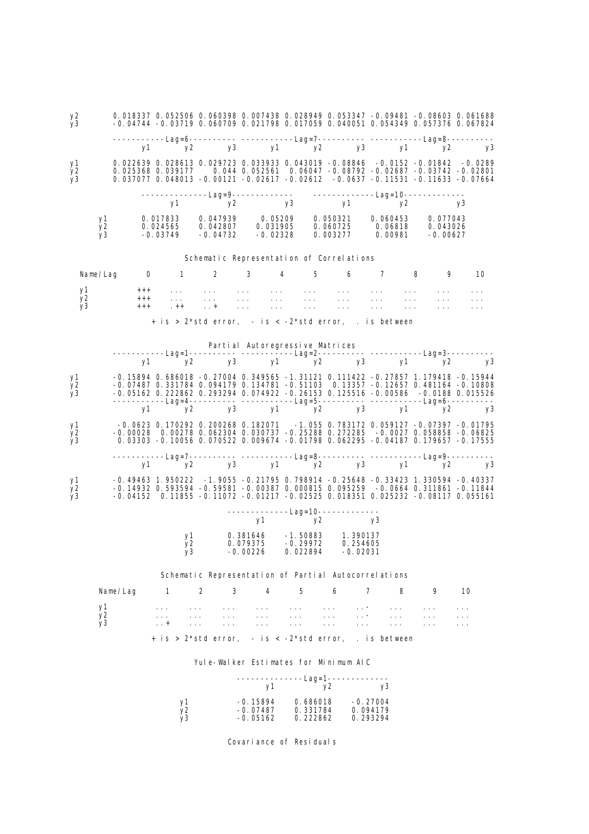| y2<br>y3         |                            |                         |                |                                                     |                                                                                                       |                                                                                                                                                                                                                                                                                                                                                                                                                                                                                                                           |                                       |                                  |                                                                                                                |                                        | 0.018337 0.052506 0.060398 0.007438 0.028949 0.053347 -0.09481 -0.08603 0.061688<br>-0.04744 -0.03719 0.060709 0.021798 0.017059 0.040051 0.054349 0.057376 0.067824                                                                                            |    |
|------------------|----------------------------|-------------------------|----------------|-----------------------------------------------------|-------------------------------------------------------------------------------------------------------|---------------------------------------------------------------------------------------------------------------------------------------------------------------------------------------------------------------------------------------------------------------------------------------------------------------------------------------------------------------------------------------------------------------------------------------------------------------------------------------------------------------------------|---------------------------------------|----------------------------------|----------------------------------------------------------------------------------------------------------------|----------------------------------------|-----------------------------------------------------------------------------------------------------------------------------------------------------------------------------------------------------------------------------------------------------------------|----|
|                  |                            |                         |                |                                                     |                                                                                                       |                                                                                                                                                                                                                                                                                                                                                                                                                                                                                                                           |                                       |                                  |                                                                                                                |                                        | -----------Lag=6---------- -----------Lag=7---------- -----------Lag=8----------                                                                                                                                                                                |    |
|                  |                            |                         |                |                                                     |                                                                                                       |                                                                                                                                                                                                                                                                                                                                                                                                                                                                                                                           |                                       |                                  |                                                                                                                |                                        | y1 y2 y3 y1 y2 y3 y1 y2 y3                                                                                                                                                                                                                                      |    |
| y1<br>y2<br>y3   |                            |                         |                |                                                     |                                                                                                       |                                                                                                                                                                                                                                                                                                                                                                                                                                                                                                                           |                                       |                                  |                                                                                                                |                                        | 0.022639 0.028613 0.029723 0.033933 0.043019 -0.08846 -0.0152 -0.01842 -0.0289<br>0.025368 0.039177 0.044 0.052561 0.06047 -0.08792 -0.02687 -0.03742 -0.02801<br>0.037077 0.048013 -0.00121 -0.02617 -0.02612 -0.0637 -0.11531 -0.11633 -0.07664               |    |
|                  |                            |                         |                |                                                     |                                                                                                       |                                                                                                                                                                                                                                                                                                                                                                                                                                                                                                                           |                                       |                                  |                                                                                                                |                                        |                                                                                                                                                                                                                                                                 | y3 |
|                  | y1<br>y <sub>2</sub><br>y3 |                         |                |                                                     | $-0.03749$ $-0.04732$                                                                                 | $-0.02328$                                                                                                                                                                                                                                                                                                                                                                                                                                                                                                                |                                       |                                  | 0.003277                                                                                                       |                                        | $\begin{array}{cccc} 0.017833 & 0.047939 & 0.05209 & 0.050321 & 0.060453 & 0.077043 \\ 0.024565 & 0.042807 & 0.031905 & 0.060725 & 0.06818 & 0.043026 \end{array}$                                                                                              |    |
|                  |                            |                         |                |                                                     | Schematic Representation of Correlations                                                              |                                                                                                                                                                                                                                                                                                                                                                                                                                                                                                                           |                                       |                                  |                                                                                                                |                                        |                                                                                                                                                                                                                                                                 |    |
|                  | Name/Lag                   | $\overline{\mathbf{0}}$ |                |                                                     |                                                                                                       |                                                                                                                                                                                                                                                                                                                                                                                                                                                                                                                           |                                       |                                  |                                                                                                                |                                        | 1 2 3 4 5 6 7 8 9 10                                                                                                                                                                                                                                            |    |
| у1 —<br>у2<br>y3 |                            |                         | $+++$<br>$+++$ | $\qquad \qquad + + +$<br><b>Contractor</b><br>$+ +$ | and a state of the state of the<br><b>Contract Contract</b><br>$\cdots$                               | $\label{eq:2} \begin{split} \mathcal{L}_{\text{eff}}(\mathbf{r}) &= \mathcal{L}_{\text{eff}}(\mathbf{r}) \mathcal{L}_{\text{eff}}(\mathbf{r}) \mathcal{L}_{\text{eff}}(\mathbf{r}) \mathcal{L}_{\text{eff}}(\mathbf{r}) \mathcal{L}_{\text{eff}}(\mathbf{r}) \mathcal{L}_{\text{eff}}(\mathbf{r}) \mathcal{L}_{\text{eff}}(\mathbf{r}) \mathcal{L}_{\text{eff}}(\mathbf{r}) \mathcal{L}_{\text{eff}}(\mathbf{r}) \mathcal{L}_{\text{eff}}(\mathbf{r}) \mathcal{L}_{\text{eff}}(\mathbf{r}) \mathcal$<br><b>Contractor</b> |                                       | <b>Contractor</b>                | the contract of the contract of the con-<br>$\frac{1}{2} \left( \frac{1}{2} \frac{1}{2} \frac{1}{2} \right)$ . | <b>Contractor</b><br><b>Contractor</b> | <b>Contractor</b><br><b>Contractor</b>                                                                                                                                                                                                                          |    |
|                  |                            |                         |                |                                                     | $+$ is > 2*std error, $-$ is < $-2$ *std error, . is between                                          | $\sim 100$ km $^{-1}$                                                                                                                                                                                                                                                                                                                                                                                                                                                                                                     |                                       | $\sim 100$ km $^{-1}$            |                                                                                                                | $\sim 100$ km s $^{-1}$                | $\mathcal{L}(\mathcal{A},\mathcal{A})$                                                                                                                                                                                                                          |    |
|                  |                            |                         |                |                                                     |                                                                                                       |                                                                                                                                                                                                                                                                                                                                                                                                                                                                                                                           |                                       |                                  |                                                                                                                |                                        |                                                                                                                                                                                                                                                                 |    |
|                  |                            |                         |                |                                                     |                                                                                                       |                                                                                                                                                                                                                                                                                                                                                                                                                                                                                                                           |                                       |                                  |                                                                                                                |                                        | Partial Autoregressive Matrices<br>-----------Lag=1----------- -------------Lag=2----------- -----------Lag=3-----------<br>y1 y2 y3 y1 y2 y3 y3 y3                                                                                                             |    |
|                  |                            |                         |                |                                                     |                                                                                                       |                                                                                                                                                                                                                                                                                                                                                                                                                                                                                                                           |                                       |                                  |                                                                                                                |                                        |                                                                                                                                                                                                                                                                 |    |
| y1<br>y2<br>y3   |                            |                         |                |                                                     |                                                                                                       |                                                                                                                                                                                                                                                                                                                                                                                                                                                                                                                           |                                       |                                  |                                                                                                                |                                        | -0. 15894 0. 686018 -0. 27004 0. 349565 -1. 31121 0. 111422 -0. 27857 1. 179418 -0. 15944<br>-0.07487 0.331784 0.094179 0.134781 -0.51103 0.13357 -0.12657 0.481164 -0.10808<br>-0.05162 0.222862 0.293294 0.074922 -0.26153 0.125516 -0.00586 -0.0188 0.015526 |    |
|                  |                            |                         | y1             |                                                     |                                                                                                       |                                                                                                                                                                                                                                                                                                                                                                                                                                                                                                                           |                                       |                                  |                                                                                                                |                                        | -----------Lag=4---------- -----------Lag=5---------- ------------Lag=6----------<br>° y2 y3 y1 ° y2 y3 y1 ° y2 y3                                                                                                                                              |    |
| y1<br>y2<br>y3   |                            |                         |                |                                                     |                                                                                                       |                                                                                                                                                                                                                                                                                                                                                                                                                                                                                                                           |                                       |                                  |                                                                                                                |                                        | -0.0623 0.170292 0.200268 0.182071 -1.055 0.783172 0.059127 -0.07397 -0.01795<br>-0.00028 0.00278 0.062304 0.030737 -0.25288 0.272285 -0.0027 0.058858 -0.06825<br>0.03303 -0.10056 0.070522 0.009674 -0.01798 0.062295 -0.04187 0.179657 -0.17555              |    |
|                  |                            |                         |                |                                                     |                                                                                                       |                                                                                                                                                                                                                                                                                                                                                                                                                                                                                                                           |                                       |                                  |                                                                                                                |                                        |                                                                                                                                                                                                                                                                 |    |
| y1               |                            |                         |                |                                                     |                                                                                                       |                                                                                                                                                                                                                                                                                                                                                                                                                                                                                                                           |                                       |                                  |                                                                                                                |                                        | -0.49463 1.950222 -1.9055 -0.21795 0.798914 -0.25648 -0.33423 1.330594 -0.40337                                                                                                                                                                                 |    |
| y2<br>y3         |                            |                         |                |                                                     |                                                                                                       |                                                                                                                                                                                                                                                                                                                                                                                                                                                                                                                           |                                       |                                  |                                                                                                                |                                        | -0. 14932 0. 593594 -0. 59581 -0. 00387 0. 000815 0. 095259 -0. 0664 0. 311861 -0. 11844<br>-0.04152 0.11855 -0.11072 -0.01217 -0.02525 0.018351 0.025232 -0.08117 0.055161                                                                                     |    |
|                  |                            |                         |                |                                                     |                                                                                                       |                                                                                                                                                                                                                                                                                                                                                                                                                                                                                                                           |                                       |                                  | -------------Lag=10-------------<br>y1 y2 y3                                                                   |                                        |                                                                                                                                                                                                                                                                 |    |
|                  |                            |                         |                | y1<br>y2<br>y3                                      |                                                                                                       | -0.00226                                                                                                                                                                                                                                                                                                                                                                                                                                                                                                                  | 0.022894                              |                                  | -0. 02031                                                                                                      |                                        |                                                                                                                                                                                                                                                                 |    |
|                  |                            |                         |                |                                                     | Schematic Representation of Partial Autocorrelations                                                  |                                                                                                                                                                                                                                                                                                                                                                                                                                                                                                                           |                                       |                                  |                                                                                                                |                                        |                                                                                                                                                                                                                                                                 |    |
|                  |                            | Name/Lag                |                | $\mathbf{1}$                                        | 2<br>3                                                                                                | 4                                                                                                                                                                                                                                                                                                                                                                                                                                                                                                                         | 5                                     |                                  | 6                                                                                                              | $\overline{7}$<br>8                    | 9                                                                                                                                                                                                                                                               | 10 |
|                  | y1                         |                         |                | $\cdots$                                            | $\sim 100$ km s $^{-1}$<br>$\cdots$                                                                   | $\alpha$ , $\alpha$ , $\alpha$                                                                                                                                                                                                                                                                                                                                                                                                                                                                                            | $\sim 100$ km s $^{-1}$               |                                  | $\sim 100$ km s $^{-1}$<br>$\ldots$ -                                                                          | $\cdots$                               |                                                                                                                                                                                                                                                                 | .  |
|                  | y2<br>y3                   |                         |                | $\cdots$<br>$\dots$ +                               | $\sim 100$ km s $^{-1}$<br>$\sim 100$ km s $^{-1}$<br>$\sim$ $\sim$ $\sim$<br>$\sim 100$ km s $^{-1}$ | $\sim 100$ km s $^{-1}$<br>$\sim$ $\sim$ $\sim$                                                                                                                                                                                                                                                                                                                                                                                                                                                                           | $\sim 100$ km $^{-1}$<br>$\sim 100$ . |                                  | $\sim 100$<br>$\ldots$ =<br>$\sim$ $\sim$ $\sim$<br>$\sim$ $\sim$ $\sim$                                       | $\cdots$<br>$\sim 100$                 | $\cdots$<br>.                                                                                                                                                                                                                                                   |    |
|                  |                            |                         |                |                                                     | + is > $2*std$ error, - is < - $2*std$ error, . is between                                            |                                                                                                                                                                                                                                                                                                                                                                                                                                                                                                                           |                                       |                                  |                                                                                                                |                                        |                                                                                                                                                                                                                                                                 |    |
|                  |                            |                         |                |                                                     | Yule-Walker Estimates for Minimum AIC                                                                 |                                                                                                                                                                                                                                                                                                                                                                                                                                                                                                                           |                                       |                                  |                                                                                                                |                                        |                                                                                                                                                                                                                                                                 |    |
|                  |                            |                         |                |                                                     |                                                                                                       | у1                                                                                                                                                                                                                                                                                                                                                                                                                                                                                                                        |                                       |                                  | --------Lag=1-------------<br>y2                                                                               | y3                                     |                                                                                                                                                                                                                                                                 |    |
|                  |                            |                         |                | y1<br>y2<br>vЗ                                      |                                                                                                       | -0. 15894<br>$-0.07487$<br>-0.05162                                                                                                                                                                                                                                                                                                                                                                                                                                                                                       |                                       | 0.686018<br>0.331784<br>0.222862 |                                                                                                                | $-0.27004$<br>0.094179<br>0.293294     |                                                                                                                                                                                                                                                                 |    |

Covariance of Residuals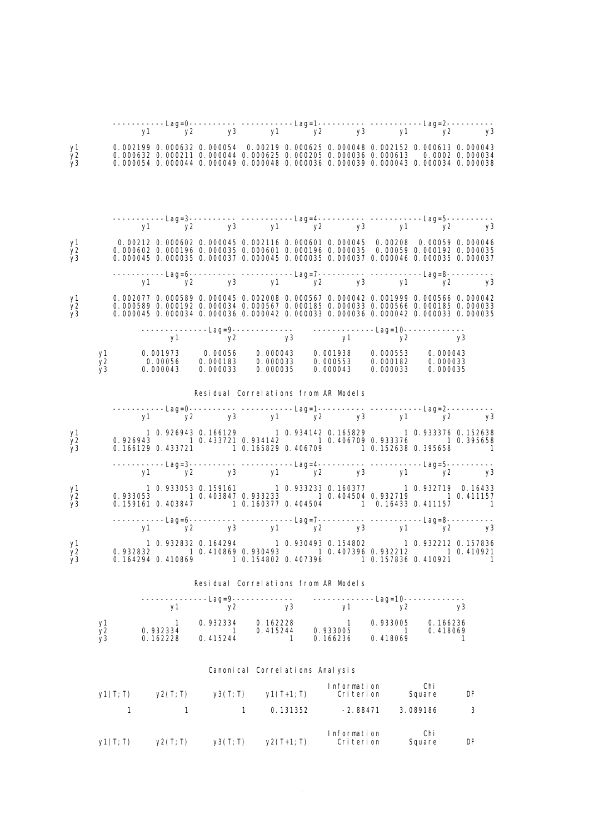| y1<br>y2<br>y3             |                | $\begin{array}{cccccccc} 0. & 002199 & 0. & 000632 & 0. & 000054 & 0. & 00219 & 0. & 000645 & 0. & 000048 & 0. & 002152 & 0. & 000613 & 0. & 000043 \\ 0. & 000632 & 0. & 000211 & 0. & 000044 & 0. & 000625 & 0. & 000205 & 0. & 000036 & 0. & 000613 & 0. & 0002 & 0. & 000034$<br>0.000054 0.000044 0.000049 0.000048 0.000036 0.000039 0.000043 0.000034 0.000038 |                                      |                                 |      |                                        |                            |                      |          |
|----------------------------|----------------|-----------------------------------------------------------------------------------------------------------------------------------------------------------------------------------------------------------------------------------------------------------------------------------------------------------------------------------------------------------------------|--------------------------------------|---------------------------------|------|----------------------------------------|----------------------------|----------------------|----------|
|                            |                |                                                                                                                                                                                                                                                                                                                                                                       |                                      |                                 |      |                                        |                            |                      |          |
|                            |                |                                                                                                                                                                                                                                                                                                                                                                       |                                      |                                 |      |                                        |                            |                      |          |
|                            |                | -----------Lag=3---------- -----------Lag=4----------- -----------Lag=5-----------<br>y1 y2 y3 y1 y2 y3 y1 y2 y3                                                                                                                                                                                                                                                      |                                      |                                 |      |                                        |                            |                      |          |
| y1<br>y2<br>y <sub>3</sub> |                | 0.000045 0.000035 0.000037 0.000045 0.000035 0.000037 0.000046 0.000035 0.000037                                                                                                                                                                                                                                                                                      |                                      |                                 |      |                                        |                            |                      |          |
|                            |                | ------------Lag=6---------- ------------Lag=7----------- ------------Lag=8-----------<br>y1 y2 y3 y1 y2 y3 y1 y2 y3                                                                                                                                                                                                                                                   |                                      |                                 |      |                                        |                            |                      |          |
| y1<br>y <sub>2</sub><br>y3 |                | 0.002077 0.000589 0.000045 0.002008 0.000567 0.000042 0.001999 0.000566 0.000042<br>0.000589 0.000192 0.000034 0.000567 0.000185 0.000033 0.000566 0.000185 0.000033<br>0.000045 0.000034 0.000036 0.000042 0.000033 0.000036 0.000042 0.000033 0.000035                                                                                                              |                                      |                                 |      |                                        |                            |                      |          |
|                            |                |                                                                                                                                                                                                                                                                                                                                                                       |                                      |                                 |      |                                        |                            |                      |          |
|                            |                |                                                                                                                                                                                                                                                                                                                                                                       |                                      |                                 |      |                                        |                            |                      |          |
|                            |                | $\begin{array}{cccccccc} y1 & \hspace{1.5mm} 0. \hspace{.05mm} 001973 & \hspace{.05mm} 0. \hspace{.05mm} 00056 & \hspace{.05mm} 0. \hspace{.05mm} 000043 & \hspace{.05mm} 0. \hspace{.05mm} 000553 & \hspace{.05mm} 0. \hspace{.05mm} 000043 \\ y2 & \hspace{.05mm} 0. \hspace{.05mm} 00056 & \hspace{.05mm} 0. \hspace{.05mm} 000183 & \hspace{.$                    |                                      |                                 |      |                                        |                            |                      |          |
|                            |                |                                                                                                                                                                                                                                                                                                                                                                       | Residual Correlations from AR Models |                                 |      |                                        |                            |                      |          |
|                            |                | $-$ -----------Lag=0---------- -------------Lag=1----------- ------------Lag=2-----------<br>y1 y2 y3 y1 y2 y3 y1 y2 y3                                                                                                                                                                                                                                               |                                      |                                 |      |                                        |                            |                      |          |
| y1<br>y2                   |                | 1 0.926943 0.166129 1 0.934142 0.165829 1 0.933376 0.152638<br>0.926943 1 0.433721 0.934142 1 0.406709 0.933376 1 0.395658                                                                                                                                                                                                                                            |                                      |                                 |      |                                        |                            |                      |          |
| y3                         |                | 0.166129 0.433721 1 0.165829 0.406709 1 0.152638 0.395658 1                                                                                                                                                                                                                                                                                                           |                                      |                                 |      |                                        |                            |                      |          |
|                            |                | ------------Lag=3----------- -------------Lag=4----------- ------------Lag=5-----------<br>y1 y2 y3 y1 y2 y3 y1 y2 y3                                                                                                                                                                                                                                                 |                                      |                                 |      |                                        |                            |                      |          |
| y1<br>y2<br>y <sub>3</sub> |                | 1 0.933053 0.159161 1 0.933233 0.160377 1 0.932719 0.16433<br>0.933053 1 0.403847 0.933233 1 0.404504 0.932719 1 0.411157<br>0.159161 0.403847 1 0.160377 0.404504 1 0.16433 0.411157                                                                                                                                                                                 |                                      |                                 |      |                                        |                            |                      | $\sim$ 1 |
|                            |                |                                                                                                                                                                                                                                                                                                                                                                       |                                      |                                 |      |                                        |                            |                      |          |
| y1<br>y2<br>y3             |                | 1 0.932832 0.164294 1 0.930493 0.154802 1 0.932212 0.157836<br>0.932832 1 0.410869 0.930493 1 0.407396 0.932212 1 0.410921<br>0.164294 0.410869 1 0.154802 0.407396 1 0.157836 0.410921 1                                                                                                                                                                             |                                      |                                 |      |                                        |                            |                      |          |
|                            |                |                                                                                                                                                                                                                                                                                                                                                                       | Residual Correlations from AR Models |                                 |      |                                        |                            |                      |          |
|                            |                |                                                                                                                                                                                                                                                                                                                                                                       | ------Lag=9-------------             |                                 |      | -------------Lag=10-----------         |                            |                      |          |
|                            |                | y1                                                                                                                                                                                                                                                                                                                                                                    | y2                                   |                                 | у3 — | y1                                     | y2                         |                      | y3       |
|                            | у1<br>y2<br>y3 | $\mathbf{1}$<br>0.932334<br>0.162228                                                                                                                                                                                                                                                                                                                                  | 0.932334<br>- 1<br>0.415244          | 0.162228<br>0.415244            | 1    | $\overline{1}$<br>0.933005<br>0.166236 | 0.933005<br>-1<br>0.418069 | 0.166236<br>0.418069 | 1        |
|                            |                |                                                                                                                                                                                                                                                                                                                                                                       |                                      | Canonical Correlations Analysis |      |                                        |                            |                      |          |
|                            |                | $y1(T; T)$ $y2(T; T)$                                                                                                                                                                                                                                                                                                                                                 | $y3(T; T)$ $y1(T+1; T)$              |                                 |      | Information<br>Criterion               |                            | Chi<br>Square        | DF       |
|                            | $\mathbf{1}$   | $\mathbf{1}$                                                                                                                                                                                                                                                                                                                                                          |                                      | $\mathbf{1}$                    |      | $0.131352 -2.88471$                    |                            | 3.089186             | 3        |
|                            |                | $y1(T; T)$ $y2(T; T)$ $y3(T; T)$ $y2(T+1; T)$                                                                                                                                                                                                                                                                                                                         |                                      |                                 |      | Information<br>Criterion               |                            | Chi<br>Square        | DF       |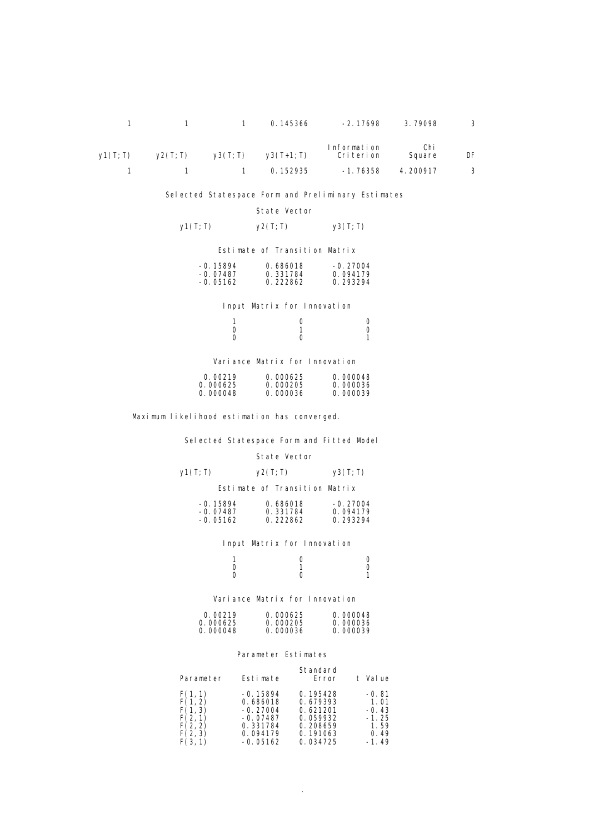|    | $-2.17698$ 3.79098 |                            |                                 | 1 1 0.145366 |         |
|----|--------------------|----------------------------|---------------------------------|--------------|---------|
| DF | Chi<br>Square      | Information<br>Cri teri on | $y2(T;T)$ $y3(T;T)$ $y3(T+1;T)$ |              | V1(T;T) |
|    | 4.200917           | -1. 76358                  | 1 1 0.152935                    |              |         |

Selected Statespace Form and Preliminary Estimates

#### State Vector

### $y1(T; T)$   $y2(T; T)$   $y3(T; T)$

Estimate of Transition Matrix

| $-0.15894$ | 0.686018 | $-0.27004$ |
|------------|----------|------------|
| $-0.07487$ | 0.331784 | 0.094179   |
| $-0.05162$ | 0.222862 | 0.293294   |

Input Matrix for Innovation

|                | $\overline{0}$ and $\overline{0}$ and $\overline{0}$ and $\overline{0}$ and $\overline{0}$ and $\overline{0}$ and $\overline{0}$ and $\overline{0}$ and $\overline{0}$ and $\overline{0}$ and $\overline{0}$ and $\overline{0}$ and $\overline{0}$ and $\overline{0}$ and $\overline{0}$ and $\overline{0}$ and $\overline{0}$ and |  |
|----------------|------------------------------------------------------------------------------------------------------------------------------------------------------------------------------------------------------------------------------------------------------------------------------------------------------------------------------------|--|
| $\overline{a}$ | $\sim$ 1                                                                                                                                                                                                                                                                                                                           |  |
|                | $\overline{a}$                                                                                                                                                                                                                                                                                                                     |  |

Variance Matrix for Innovation

| 0.00219  | 0.000625 | 0.000048 |
|----------|----------|----------|
| 0.000625 | 0.000205 | 0.000036 |
| 0.000048 | 0.000036 | 0.000039 |

Maximum likelihood estimation has converged.

Selected Statespace Form and Fitted Model

#### State Vector

| y1(T; T) | y2(T; T) | y3(T; T) |
|----------|----------|----------|
|          |          |          |

Estimate of Transition Matrix

| $-0.15894$ | 0.686018 | $-0.27004$ |
|------------|----------|------------|
| $-0.07487$ | 0.331784 | 0.094179   |
| $-0.05162$ | 0.222862 | 0.293294   |
|            |          |            |

#### Input Matrix for Innovation

|  | $\overline{0}$ and $\overline{0}$               |  |
|--|-------------------------------------------------|--|
|  | $\begin{array}{ccc} 1 & 0 \\ 0 & 1 \end{array}$ |  |
|  | $\overline{a}$                                  |  |

#### Variance Matrix for Innovation

| 0.00219  | 0.000625 | 0.000048 |
|----------|----------|----------|
| 0.000625 | 0.000205 | 0.000036 |
| 0.000048 | 0.000036 | 0.000039 |

#### Parameter Estimates

| Parameter | Estimate                                                                   | Standard<br>Error                                                    | Val ue<br>t.                                          |
|-----------|----------------------------------------------------------------------------|----------------------------------------------------------------------|-------------------------------------------------------|
|           | $-0.15894$<br>0.686018<br>$-0.27004$<br>$-0.07487$<br>0.331784<br>0.094179 | 0.195428<br>0.679393<br>0.621201<br>0.059932<br>0.208659<br>0.191063 | $-0.81$<br>1.01<br>$-0.43$<br>$-1.25$<br>1.59<br>0.49 |
|           | $-0.05162$                                                                 | 0.034725                                                             | $-1.49$                                               |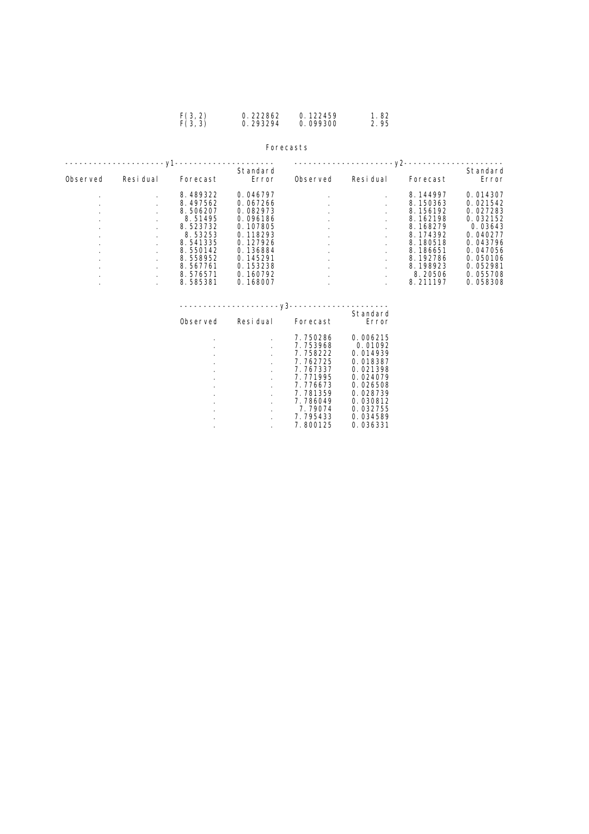#### Forecasts

|                                                                                                 | -v1       |                                                                                                        |                                                                                                          |          |           | -v2-                                                                                                     |                                                                                                         |
|-------------------------------------------------------------------------------------------------|-----------|--------------------------------------------------------------------------------------------------------|----------------------------------------------------------------------------------------------------------|----------|-----------|----------------------------------------------------------------------------------------------------------|---------------------------------------------------------------------------------------------------------|
| Observed                                                                                        | Resi dual | Forecast                                                                                               | Standard<br>Error                                                                                        | Observed | Resi dual | Forecast                                                                                                 | Standard<br>Error                                                                                       |
| $\cdot$<br>$\cdot$<br>$\cdot$<br>$\cdot$<br>$\cdot$<br>$\cdot$<br>$\cdot$<br>$\cdot$<br>$\cdot$ |           | 8.489322<br>8.497562<br>8.506207<br>8.51495<br>8.523732<br>8.53253<br>8.541335<br>8.550142<br>8.558952 | 0.046797<br>0.067266<br>0.082973<br>0.096186<br>0.107805<br>0.118293<br>0.127926<br>0.136884<br>0.145291 | $\cdot$  |           | 8.144997<br>8.150363<br>8.156192<br>8.162198<br>8.168279<br>8.174392<br>8.180518<br>8.186651<br>8.192786 | 0.014307<br>0.021542<br>0.027283<br>0.032152<br>0.03643<br>0.040277<br>0.043796<br>0.047056<br>0.050106 |
| $\cdot$<br>٠<br>٠                                                                               |           | 8.567761<br>8.576571<br>8.585381                                                                       | 0.153238<br>0.160792<br>0.168007                                                                         |          |           | 8.198923<br>8.20506<br>8.211197                                                                          | 0.052981<br>0.055708<br>0.058308                                                                        |

# ---------------------y3--------------------- Standard

| Observed | Resi dual | Forecast | Error    |
|----------|-----------|----------|----------|
|          | ٠         | 7.750286 | 0.006215 |
|          | ٠         | 7.753968 | 0.01092  |
|          |           | 7.758222 | 0.014939 |
|          | ٠         | 7.762725 | 0.018387 |
|          | ٠         | 7.767337 | 0.021398 |
|          |           | 7.771995 | 0.024079 |
|          |           | 7.776673 | 0.026508 |
|          | ٠         | 7.781359 | 0.028739 |
|          |           | 7.786049 | 0.030812 |
|          |           | 7.79074  | 0.032755 |
|          |           | 7.795433 | 0.034589 |
|          |           | 7.800125 | 0.036331 |
|          |           |          |          |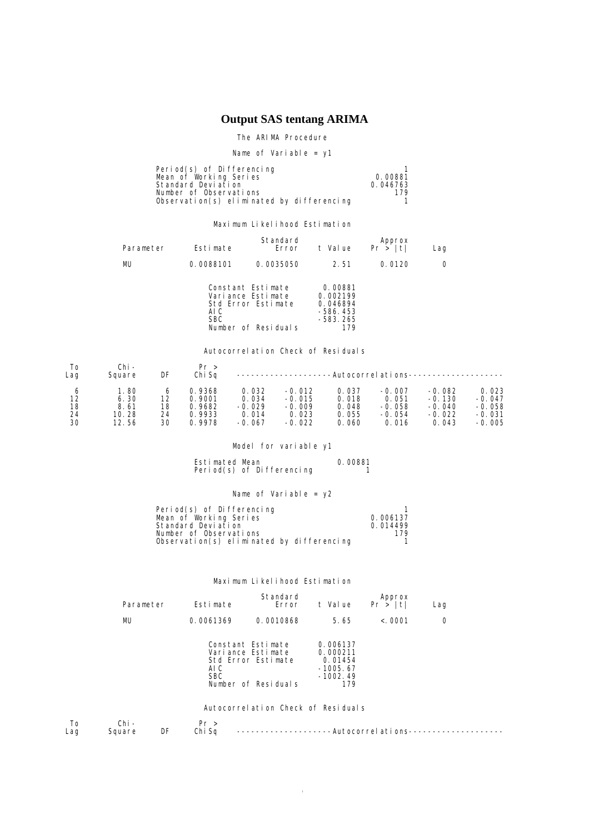# **Output SAS tentang ARIMA**

#### The ARIMA Procedure

Name of Variable = y1

| Period(s) of Differencing                 |          |
|-------------------------------------------|----------|
| Mean of Working Series                    | 0.00881  |
| Standard Deviation                        | 0.046763 |
| Number of Observations                    | 179      |
| Observation(s) eliminated by differencing |          |

#### Maximum Likelihood Estimation

| Parameter | Estimate           | Standard<br>Error                                                                   | t Value                                                          | Approx<br>Pr >  t | Lag |
|-----------|--------------------|-------------------------------------------------------------------------------------|------------------------------------------------------------------|-------------------|-----|
| MU        | 0.0088101          | 0.0035050                                                                           | 2.51                                                             | 0.0120            | O   |
|           | AI C<br><b>SBC</b> | Constant Estimate<br>Variance Estimate<br>Std Error Estimate<br>Number of Residuals | 0.00881<br>0.002199<br>0.046894<br>$-586.453$<br>-583.265<br>179 |                   |     |

#### Autocorrelation Check of Residuals

| To<br>Lag | Chi –<br>Square | DF | Pr ><br>Chi Sa |          |          |       |          | -Autocorrel ati ons---------------- |          |
|-----------|-----------------|----|----------------|----------|----------|-------|----------|-------------------------------------|----------|
| O         | . 80            | 6  | 0.9368         | 0.032    | $-0.012$ | 0.037 | $-0.007$ | $-0.082$                            | 0.023    |
| 12        | 6.30            | 12 | 0.9001         | 0.034    | $-0.015$ | 0.018 | 0.051    | $-0.130$                            | $-0.047$ |
| 18        | 8.61            | 18 | 0.9682         | $-0.029$ | $-0.009$ | 0.048 | $-0.058$ | $-0.040$                            | $-0.058$ |
| 24        | 10. 28          | 24 | 0.9933         | 0.014    | 0.023    | 0.055 | $-0.054$ | $-0.022$                            | $-0.031$ |
| 30        | 12.56           | 30 | 0.9978         | $-0.067$ | $-0.022$ | 0.060 | 0.016    | 0.043                               | $-0.005$ |

### Model for variable y1

Estimated Mean 0.00881 Period(s) of Differencing 1

### Name of Variable = y2

| Period(s) of Differencing                 |          |
|-------------------------------------------|----------|
| Mean of Working Series                    | 0.006137 |
| Standard Deviation                        | 0.014499 |
| Number of Observations                    | 179      |
| Observation(s) eliminated by differencing |          |

#### Maximum Likelihood Estimation

| Parameter | Estimate           | Standard<br>Error                                                                   | t Value                                                            | Approx<br>Pr >  t | Lag |
|-----------|--------------------|-------------------------------------------------------------------------------------|--------------------------------------------------------------------|-------------------|-----|
| MU        | 0.0061369          | 0.0010868                                                                           | 5.65                                                               | < 0.001           | 0   |
|           | AI C<br><b>SBC</b> | Constant Estimate<br>Variance Estimate<br>Std Error Estimate<br>Number of Residuals | 0.006137<br>0.000211<br>0.01454<br>$-1005.67$<br>$-1002.49$<br>179 |                   |     |
|           |                    | Autocorrelation Check of Residuals                                                  |                                                                    |                   |     |

|     |        |    | ۔ د    |                                                              |
|-----|--------|----|--------|--------------------------------------------------------------|
| Lag | iguare | DF | Chi So | ---------------------Autocorrel ati ons--------------------- |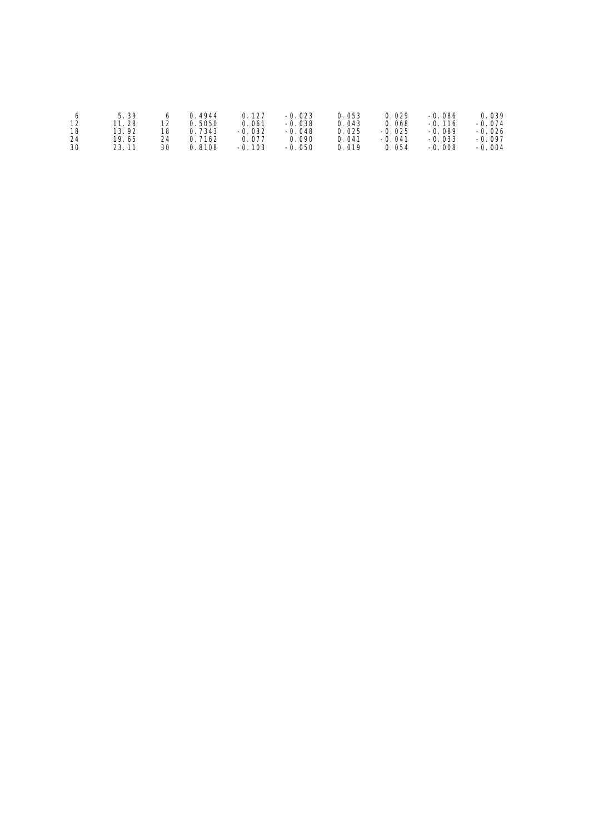|    | 5.39       |    | 4944   | 0.127         | $-0.023$ | ว. 053 | 0.029    | $-0.086$ | 0.039    |
|----|------------|----|--------|---------------|----------|--------|----------|----------|----------|
| 12 | . 28<br>11 | 12 | . 5050 | 0. 061        | $-0.038$ | 0.043  | 0.068    | $-0.116$ | $-0.074$ |
| 18 | 13.92      | 18 | 7343   | $-0.032$      | $-0.048$ | 0.025  | $-0.025$ | $-0.089$ | -0. 026  |
| 24 | 19. 65     | 24 | 7162   | 0.077         | 0. 090   | 0.041  | $-0.041$ | $-0.033$ | $-0.097$ |
| 30 | 23.11      | 30 | 8108   | 103<br>$-0$ . | $-0.050$ | 0.019  | 0.054    | $-0.008$ | $-0.004$ |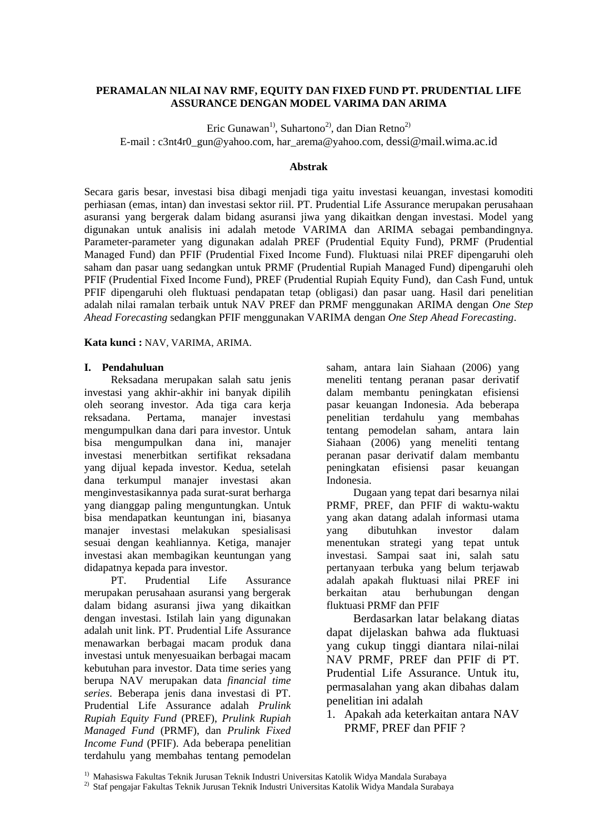### **PERAMALAN NILAI NAV RMF, EQUITY DAN FIXED FUND PT. PRUDENTIAL LIFE ASSURANCE DENGAN MODEL VARIMA DAN ARIMA**

Eric Gunawan<sup>1)</sup>, Suhartono<sup>2)</sup>, dan Dian Retno<sup>2)</sup> E-mail : c3nt4r0\_gun@yahoo.com, har\_arema@yahoo.com, dessi@mail.wima.ac.id

### **Abstrak**

Secara garis besar, investasi bisa dibagi menjadi tiga yaitu investasi keuangan, investasi komoditi perhiasan (emas, intan) dan investasi sektor riil. PT. Prudential Life Assurance merupakan perusahaan asuransi yang bergerak dalam bidang asuransi jiwa yang dikaitkan dengan investasi. Model yang digunakan untuk analisis ini adalah metode VARIMA dan ARIMA sebagai pembandingnya. Parameter-parameter yang digunakan adalah PREF (Prudential Equity Fund), PRMF (Prudential Managed Fund) dan PFIF (Prudential Fixed Income Fund). Fluktuasi nilai PREF dipengaruhi oleh saham dan pasar uang sedangkan untuk PRMF (Prudential Rupiah Managed Fund) dipengaruhi oleh PFIF (Prudential Fixed Income Fund), PREF (Prudential Rupiah Equity Fund), dan Cash Fund, untuk PFIF dipengaruhi oleh fluktuasi pendapatan tetap (obligasi) dan pasar uang. Hasil dari penelitian adalah nilai ramalan terbaik untuk NAV PREF dan PRMF menggunakan ARIMA dengan *One Step Ahead Forecasting* sedangkan PFIF menggunakan VARIMA dengan *One Step Ahead Forecasting*.

### **Kata kunci :** NAV, VARIMA, ARIMA.

### **I. Pendahuluan**

Reksadana merupakan salah satu jenis investasi yang akhir-akhir ini banyak dipilih oleh seorang investor. Ada tiga cara kerja reksadana. Pertama, manajer investasi mengumpulkan dana dari para investor. Untuk bisa mengumpulkan dana ini, manajer investasi menerbitkan sertifikat reksadana yang dijual kepada investor. Kedua, setelah dana terkumpul manajer investasi akan menginvestasikannya pada surat-surat berharga yang dianggap paling menguntungkan. Untuk bisa mendapatkan keuntungan ini, biasanya manajer investasi melakukan spesialisasi sesuai dengan keahliannya. Ketiga*,* manajer investasi akan membagikan keuntungan yang didapatnya kepada para investor.

PT. Prudential Life Assurance merupakan perusahaan asuransi yang bergerak dalam bidang asuransi jiwa yang dikaitkan dengan investasi. Istilah lain yang digunakan adalah unit link. PT. Prudential Life Assurance menawarkan berbagai macam produk dana investasi untuk menyesuaikan berbagai macam kebutuhan para investor. Data time series yang berupa NAV merupakan data *financial time series*. Beberapa jenis dana investasi di PT. Prudential Life Assurance adalah *Prulink Rupiah Equity Fund* (PREF), *Prulink Rupiah Managed Fund* (PRMF), dan *Prulink Fixed Income Fund* (PFIF). Ada beberapa penelitian terdahulu yang membahas tentang pemodelan saham, antara lain Siahaan (2006) yang meneliti tentang peranan pasar derivatif dalam membantu peningkatan efisiensi pasar keuangan Indonesia. Ada beberapa penelitian terdahulu yang membahas tentang pemodelan saham, antara lain Siahaan (2006) yang meneliti tentang peranan pasar derivatif dalam membantu peningkatan efisiensi pasar keuangan Indonesia.

Dugaan yang tepat dari besarnya nilai PRMF, PREF, dan PFIF di waktu-waktu yang akan datang adalah informasi utama yang dibutuhkan investor dalam menentukan strategi yang tepat untuk investasi. Sampai saat ini, salah satu pertanyaan terbuka yang belum terjawab adalah apakah fluktuasi nilai PREF ini berkaitan atau berhubungan dengan fluktuasi PRMF dan PFIF

Berdasarkan latar belakang diatas dapat dijelaskan bahwa ada fluktuasi yang cukup tinggi diantara nilai-nilai NAV PRMF, PREF dan PFIF di PT. Prudential Life Assurance. Untuk itu, permasalahan yang akan dibahas dalam penelitian ini adalah

1. Apakah ada keterkaitan antara NAV PRMF, PREF dan PFIF ?

<sup>1)</sup> Mahasiswa Fakultas Teknik Jurusan Teknik Industri Universitas Katolik Widya Mandala Surabaya

<sup>2)</sup> Staf pengajar Fakultas Teknik Jurusan Teknik Industri Universitas Katolik Widya Mandala Surabaya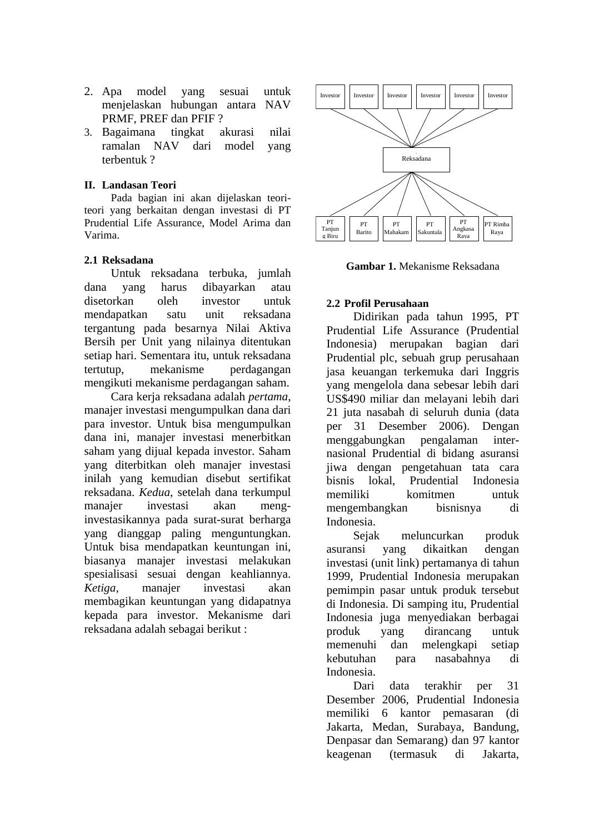- 2. Apa model yang sesuai untuk menjelaskan hubungan antara NAV PRMF, PREF dan PFIF ?
- 3. Bagaimana tingkat akurasi nilai ramalan NAV dari model yang terbentuk ?

### **II. Landasan Teori**

Pada bagian ini akan dijelaskan teoriteori yang berkaitan dengan investasi di PT Prudential Life Assurance, Model Arima dan Varima.

### **2.1 Reksadana**

Untuk reksadana terbuka, jumlah dana yang harus dibayarkan atau disetorkan oleh investor untuk mendapatkan satu unit reksadana tergantung pada besarnya Nilai Aktiva Bersih per Unit yang nilainya ditentukan setiap hari. Sementara itu, untuk reksadana tertutup, mekanisme perdagangan mengikuti mekanisme perdagangan saham.

Cara kerja reksadana adalah *pertama*, manajer investasi mengumpulkan dana dari para investor. Untuk bisa mengumpulkan dana ini, manajer investasi menerbitkan saham yang dijual kepada investor. Saham yang diterbitkan oleh manajer investasi inilah yang kemudian disebut sertifikat reksadana. *Kedua*, setelah dana terkumpul manajer investasi akan menginvestasikannya pada surat-surat berharga yang dianggap paling menguntungkan. Untuk bisa mendapatkan keuntungan ini, biasanya manajer investasi melakukan spesialisasi sesuai dengan keahliannya. *Ketiga,* manajer investasi akan membagikan keuntungan yang didapatnya kepada para investor. Mekanisme dari reksadana adalah sebagai berikut :



**Gambar 1.** Mekanisme Reksadana

### **2.2 Profil Perusahaan**

Didirikan pada tahun 1995, PT Prudential Life Assurance (Prudential Indonesia) merupakan bagian dari Prudential plc, sebuah grup perusahaan jasa keuangan terkemuka dari Inggris yang mengelola dana sebesar lebih dari US\$490 miliar dan melayani lebih dari 21 juta nasabah di seluruh dunia (data per 31 Desember 2006). Dengan menggabungkan pengalaman internasional Prudential di bidang asuransi jiwa dengan pengetahuan tata cara bisnis lokal, Prudential Indonesia memiliki komitmen untuk mengembangkan bisnisnya di Indonesia.

Sejak meluncurkan produk asuransi yang dikaitkan dengan investasi (unit link) pertamanya di tahun 1999, Prudential Indonesia merupakan pemimpin pasar untuk produk tersebut di Indonesia. Di samping itu, Prudential Indonesia juga menyediakan berbagai produk yang dirancang untuk memenuhi dan melengkapi setiap kebutuhan para nasabahnya di Indonesia.

Dari data terakhir per 31 Desember 2006, Prudential Indonesia memiliki 6 kantor pemasaran (di Jakarta, Medan, Surabaya, Bandung, Denpasar dan Semarang) dan 97 kantor keagenan (termasuk di Jakarta,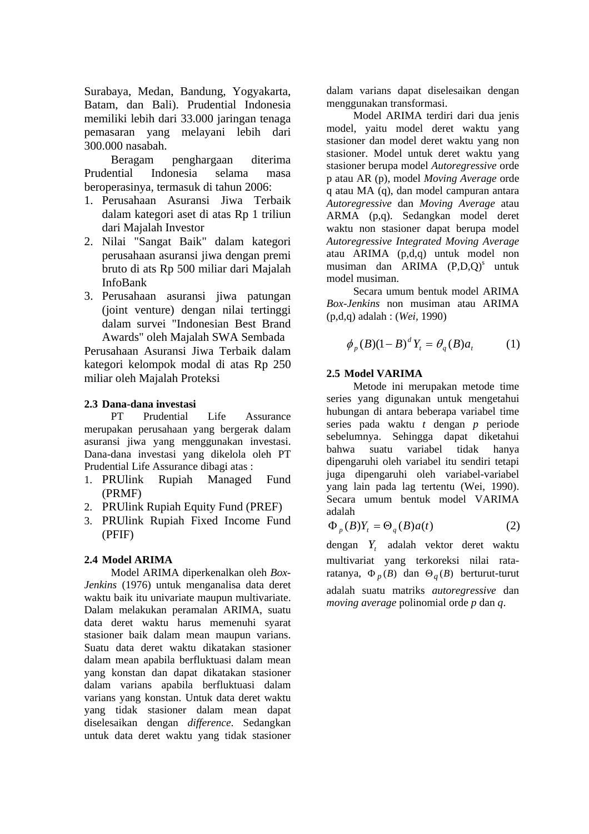Surabaya, Medan, Bandung, Yogyakarta, Batam, dan Bali). Prudential Indonesia memiliki lebih dari 33.000 jaringan tenaga pemasaran yang melayani lebih dari 300.000 nasabah.

Beragam penghargaan diterima Prudential Indonesia selama masa beroperasinya, termasuk di tahun 2006:

- 1. Perusahaan Asuransi Jiwa Terbaik dalam kategori aset di atas Rp 1 triliun dari Majalah Investor
- 2. Nilai "Sangat Baik" dalam kategori perusahaan asuransi jiwa dengan premi bruto di ats Rp 500 miliar dari Majalah InfoBank
- 3. Perusahaan asuransi jiwa patungan (joint venture) dengan nilai tertinggi dalam survei "Indonesian Best Brand Awards" oleh Majalah SWA Sembada

Perusahaan Asuransi Jiwa Terbaik dalam kategori kelompok modal di atas Rp 250 miliar oleh Majalah Proteksi

### **2.3 Dana-dana investasi**

PT Prudential Life Assurance merupakan perusahaan yang bergerak dalam asuransi jiwa yang menggunakan investasi. Dana-dana investasi yang dikelola oleh PT Prudential Life Assurance dibagi atas :

- 1. PRUlink Rupiah Managed Fund (PRMF)
- 2. PRUlink Rupiah Equity Fund (PREF)
- 3. PRUlink Rupiah Fixed Income Fund (PFIF)

### **2.4 Model ARIMA**

Model ARIMA diperkenalkan oleh *Box-Jenkins* (1976) untuk menganalisa data deret waktu baik itu univariate maupun multivariate. Dalam melakukan peramalan ARIMA, suatu data deret waktu harus memenuhi syarat stasioner baik dalam mean maupun varians. Suatu data deret waktu dikatakan stasioner dalam mean apabila berfluktuasi dalam mean yang konstan dan dapat dikatakan stasioner dalam varians apabila berfluktuasi dalam varians yang konstan. Untuk data deret waktu yang tidak stasioner dalam mean dapat diselesaikan dengan *difference*. Sedangkan untuk data deret waktu yang tidak stasioner dalam varians dapat diselesaikan dengan menggunakan transformasi.

Model ARIMA terdiri dari dua jenis model, yaitu model deret waktu yang stasioner dan model deret waktu yang non stasioner. Model untuk deret waktu yang stasioner berupa model *Autoregressive* orde p atau AR (p), model *Moving Average* orde q atau MA (q), dan model campuran antara *Autoregressive* dan *Moving Average* atau ARMA (p,q). Sedangkan model deret waktu non stasioner dapat berupa model *Autoregressive Integrated Moving Average*  atau ARIMA (p,d,q) untuk model non musiman dan  $ARIMA$   $(P,D,Q)^s$  untuk model musiman.

Secara umum bentuk model ARIMA *Box-Jenkins* non musiman atau ARIMA (p,d,q) adalah : (*Wei,* 1990)

$$
\phi_p(B)(1-B)^d Y_t = \theta_q(B)a_t \tag{1}
$$

### **2.5 Model VARIMA**

Metode ini merupakan metode time series yang digunakan untuk mengetahui hubungan di antara beberapa variabel time series pada waktu *t* dengan *p* periode sebelumnya. Sehingga dapat diketahui bahwa suatu variabel tidak hanya dipengaruhi oleh variabel itu sendiri tetapi juga dipengaruhi oleh variabel-variabel yang lain pada lag tertentu (Wei, 1990). Secara umum bentuk model VARIMA adalah

$$
\Phi_p(B)Y_t = \Theta_q(B)a(t) \tag{2}
$$

dengan Y<sub>t</sub> adalah vektor deret waktu multivariat yang terkoreksi nilai rataratanya,  $\Phi_p(B)$  dan  $\Theta_q(B)$  berturut-turut adalah suatu matriks *autoregressive* dan *moving average* polinomial orde *p* dan *q*.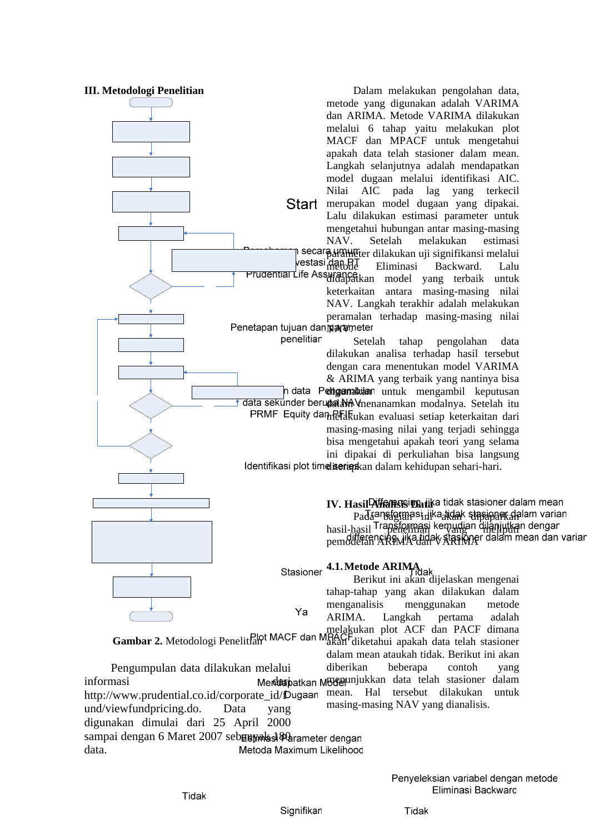

**Gambar 2.** Metodologi Penelitian

Pengumpulan data dilakukan melalui diberikan beberapa contoh yang menunjukkan data telah stasioner dalam informasi **dari** Merdi**an**i mean. Hal tersebut dilakukan untuk http://www.prudential.co.id/corporate\_id/fDugaan masing-masing NAV yang dianalisis. und/viewfundpricing.do. Data yang digunakan dimulai dari 25 April 2000 sampai dengan 6 Maret 2007 seb**unyak sebanyak terdengan** data. Metoda Maximum Likelihood

Signifikan

akan diketahui apakah data telah stasioner dalam mean ataukah tidak. Berikut ini akan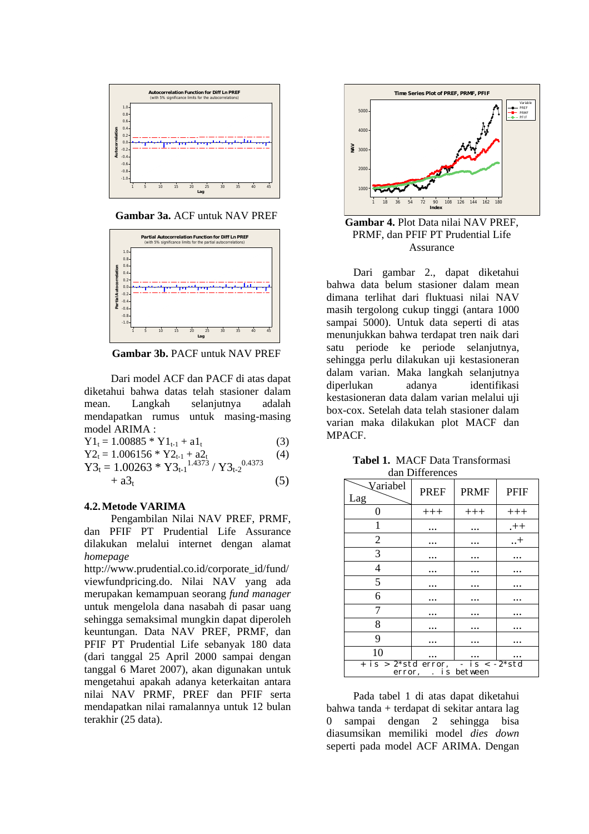

**Gambar 3a.** ACF untuk NAV PREF



**Gambar 3b.** PACF untuk NAV PREF

Dari model ACF dan PACF di atas dapat diketahui bahwa datas telah stasioner dalam mean. Langkah selanjutnya adalah mendapatkan rumus untuk masing-masing model ARIMA :

$$
Y1_t = 1.00885 * Y1_{t-1} + a1_t
$$
 (3)

$$
Y2_t = 1.006156 * Y2_{t-1} + a2_t
$$
 (4)

$$
Y3_{t} = 1.00263 * Y3_{t-1}^{1.4373} / Y3_{t-2}^{0.4373}
$$
  
+ a3<sub>t</sub> (5)

**4.2.Metode VARIMA** 

Pengambilan Nilai NAV PREF, PRMF, dan PFIF PT Prudential Life Assurance dilakukan melalui internet dengan alamat *homepage*

[http://www.prudential.co.id/corporate\\_id/fund/](http://www.prudential.co.id/corporate_id/fund/viewfundpricing.do.%20Perhitungan) [viewfundpricing.do.](http://www.prudential.co.id/corporate_id/fund/viewfundpricing.do.%20Perhitungan) Nilai NAV yang ada merupakan kemampuan seorang *fund manager* untuk mengelola dana nasabah di pasar uang sehingga semaksimal mungkin dapat diperoleh keuntungan. Data NAV PREF, PRMF, dan PFIF PT Prudential Life sebanyak 180 data (dari tanggal 25 April 2000 sampai dengan tanggal 6 Maret 2007), akan digunakan untuk mengetahui apakah adanya keterkaitan antara nilai NAV PRMF, PREF dan PFIF serta mendapatkan nilai ramalannya untuk 12 bulan terakhir (25 data).



**Gambar 4.** Plot Data nilai NAV PREF, PRMF, dan PFIF PT Prudential Life Assurance

Dari gambar 2., dapat diketahui bahwa data belum stasioner dalam mean dimana terlihat dari fluktuasi nilai NAV masih tergolong cukup tinggi (antara 1000 sampai 5000). Untuk data seperti di atas menunjukkan bahwa terdapat tren naik dari satu periode ke periode selanjutnya, sehingga perlu dilakukan uji kestasioneran dalam varian. Maka langkah selanjutnya diperlukan adanya identifikasi kestasioneran data dalam varian melalui uji box-cox. Setelah data telah stasioner dalam varian maka dilakukan plot MACF dan MPACF.

| <b>Tabel 1. MACF Data Transformasi</b> |
|----------------------------------------|
| dan Differences                        |

| Variabel<br>Lag                                          | <b>PREF</b> | <b>PRMF</b> | <b>PFIF</b> |  |  |
|----------------------------------------------------------|-------------|-------------|-------------|--|--|
| 0                                                        | $+++$       | $+++$       | $+++$       |  |  |
| 1                                                        |             |             | $++$        |  |  |
| $\overline{2}$                                           |             |             | $\dots$ +   |  |  |
| 3                                                        |             |             |             |  |  |
| $\overline{4}$                                           |             |             |             |  |  |
| 5                                                        |             |             |             |  |  |
| 6                                                        |             |             |             |  |  |
| 7                                                        |             |             |             |  |  |
| 8                                                        |             |             |             |  |  |
| 9                                                        |             |             |             |  |  |
| 10                                                       |             |             |             |  |  |
| + is > 2*std error, - is < -2*std<br>error, . is between |             |             |             |  |  |

Pada tabel 1 di atas dapat diketahui bahwa tanda + terdapat di sekitar antara lag 0 sampai dengan 2 sehingga bisa diasumsikan memiliki model *dies down* seperti pada model ACF ARIMA. Dengan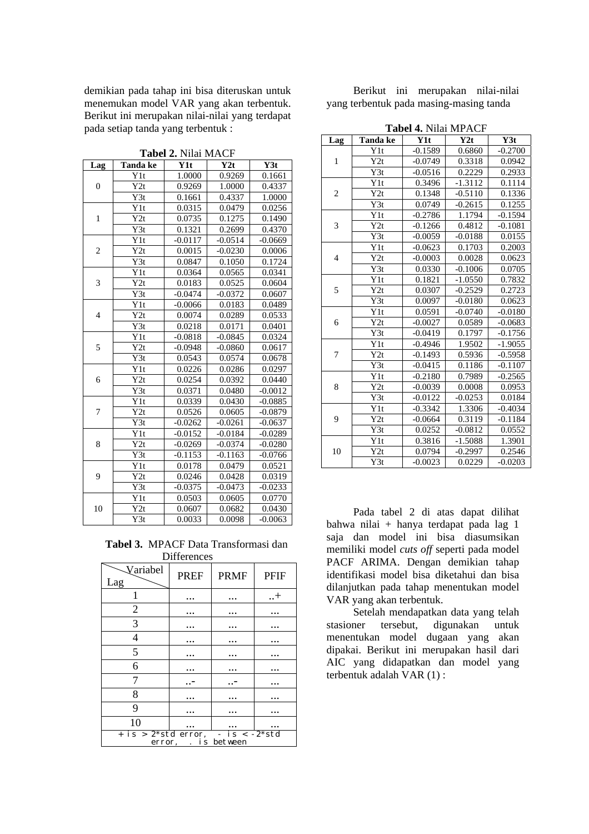demikian pada tahap ini bisa diteruskan untuk menemukan model VAR yang akan terbentuk. Berikut ini merupakan nilai-nilai yang terdapat pada setiap tanda yang terbentuk :

| Lag                      | Tanda ke         | Y1t                 | Y2t       | Y3t       |
|--------------------------|------------------|---------------------|-----------|-----------|
|                          | Y1t              | 1.0000              | 0.9269    | 0.1661    |
| 0                        | Y2t              | 0.9269              | 1.0000    | 0.4337    |
|                          | Y3t              | 0.1661              | 0.4337    | 1.0000    |
|                          | Y1t              | 0.0315              | 0.0479    | 0.0256    |
| $\mathbf{1}$             | Y2t              | 0.0735              | 0.1275    | 0.1490    |
|                          | $\overline{Y3t}$ | 0.1321              | 0.2699    | 0.4370    |
|                          | $\overline{Y}1t$ | $-0.0117$           | $-0.0514$ | $-0.0669$ |
| $\overline{c}$           | Y2t              | 0.0015              | $-0.0230$ | 0.0006    |
|                          | Y3t              | 0.0847              | 0.1050    | 0.1724    |
|                          | Y1t              | 0.0364              | 0.0565    | 0.0341    |
| 3                        | Y2t              | 0.0183              | 0.0525    | 0.0604    |
|                          | Y3t              | $-0.0474$           | $-0.0372$ | 0.0607    |
|                          | Y1t              | $-0.0066$           | 0.0183    | 0.0489    |
| $\overline{\mathcal{L}}$ | Y2t              | 0.0074              | 0.0289    | 0.0533    |
|                          | Y3t              | 0.0218              | 0.0171    | 0.0401    |
|                          | Y1t              | $-0.0818$           | $-0.0845$ | 0.0324    |
| 5                        | $\overline{Y2t}$ | $-0.0948$           | $-0.0860$ | 0.0617    |
|                          | $\overline{Y3t}$ | 0.0543              | 0.0574    | 0.0678    |
|                          | Y1t              | 0.0226              | 0.0286    | 0.0297    |
| 6                        | Y2t              | $0.025\overline{4}$ | 0.0392    | 0.0440    |
|                          | Y3t              | 0.0371              | 0.0480    | $-0.0012$ |
|                          | Y1t              | 0.0339              | 0.0430    | $-0.0885$ |
| 7                        | Y2t              | 0.0526              | 0.0605    | $-0.0879$ |
|                          | Y3t              | $-0.0262$           | $-0.0261$ | $-0.0637$ |
|                          | Y1t              | $-0.0152$           | $-0.0184$ | $-0.0289$ |
| 8                        | Y2t              | $-0.0269$           | $-0.0374$ | $-0.0280$ |
|                          | Y3t              | $-0.1153$           | $-0.1163$ | $-0.0766$ |
|                          | Y1t              | 0.0178              | 0.0479    | 0.0521    |
| 9                        | Y2t              | 0.0246              | 0.0428    | 0.0319    |
|                          | Y3t              | $-0.0375$           | $-0.0473$ | $-0.0233$ |
|                          | Y1t              | 0.0503              | 0.0605    | 0.0770    |
| 10                       | Y2t              | 0.0607              | 0.0682    | 0.0430    |
|                          | Y3t              | 0.0033              | 0.0098    | $-0.0063$ |

**Tabel 2.** Nilai MACF

**Tabel 3.** MPACF Data Transformasi dan **Differences** 

|                     | ,,,,,,,,,,, |             |             |  |  |
|---------------------|-------------|-------------|-------------|--|--|
| Variabel<br>Lag     | <b>PREF</b> | <b>PRMF</b> | <b>PFIF</b> |  |  |
|                     |             |             | $\dots$     |  |  |
| $\mathfrak{2}$      |             |             |             |  |  |
| 3                   |             |             |             |  |  |
| 4                   |             |             |             |  |  |
| 5                   |             |             |             |  |  |
| 6                   |             |             |             |  |  |
| 7                   |             |             |             |  |  |
| 8                   |             |             |             |  |  |
| 9                   |             |             |             |  |  |
| 10                  |             |             |             |  |  |
| error, . is between |             |             |             |  |  |

Berikut ini merupakan nilai-nilai yang terbentuk pada masing-masing tanda

| <b>Tabel 4. Nilai MPACF</b> |  |  |  |  |
|-----------------------------|--|--|--|--|
|-----------------------------|--|--|--|--|

| Lag            | Tanda ke         | Y1t       | Y2t       | Y3t       |
|----------------|------------------|-----------|-----------|-----------|
| $\mathbf{1}$   | Y1t              | $-0.1589$ | 0.6860    | $-0.2700$ |
|                | Y2t              | $-0.0749$ | 0.3318    | 0.0942    |
|                | Y3t              | $-0.0516$ | 0.2229    | 0.2933    |
|                | Y1t              | 0.3496    | -1.3112   | 0.1114    |
| 2              | Y2t              | 0.1348    | $-0.5110$ | 0.1336    |
|                | Y3t              | 0.0749    | $-0.2615$ | 0.1255    |
|                | Y1t              | $-0.2786$ | 1.1794    | $-0.1594$ |
| 3              | Y2t              | $-0.1266$ | 0.4812    | $-0.1081$ |
|                | Y3t              | $-0.0059$ | $-0.0188$ | 0.0155    |
|                | Y1t              | $-0.0623$ | 0.1703    | 0.2003    |
| $\overline{4}$ | Y2t              | $-0.0003$ | 0.0028    | 0.0623    |
|                | Y3t              | 0.0330    | $-0.1006$ | 0.0705    |
|                | Y1t              | 0.1821    | $-1.0550$ | 0.7832    |
| 5              | Y2t              | 0.0307    | $-0.2529$ | 0.2723    |
|                | Y3t              | 0.0097    | $-0.0180$ | 0.0623    |
| 6              | Y1t              | 0.0591    | $-0.0740$ | $-0.0180$ |
|                | Y2t              | $-0.0027$ | 0.0589    | $-0.0683$ |
|                | Y3t              | $-0.0419$ | 0.1797    | $-0.1756$ |
|                | Y1t              | $-0.4946$ | 1.9502    | $-1.9055$ |
| 7              | Y2t              | $-0.1493$ | 0.5936    | $-0.5958$ |
|                | Y3t              | $-0.0415$ | 0.1186    | $-0.1107$ |
|                | Y1t              | $-0.2180$ | 0.7989    | $-0.2565$ |
| 8              | Y2t              | $-0.0039$ | 0.0008    | 0.0953    |
|                | Y3t              | $-0.0122$ | $-0.0253$ | 0.0184    |
|                | Y1t              | $-0.3342$ | 1.3306    | $-0.4034$ |
| 9              | $\overline{Y2t}$ | $-0.0664$ | 0.3119    | $-0.1184$ |
|                | Y3t              | 0.0252    | $-0.0812$ | 0.0552    |
|                | Y1t              | 0.3816    | $-1.5088$ | 1.3901    |
| 10             | Y2t              | 0.0794    | $-0.2997$ | 0.2546    |
|                | Y3t              | $-0.0023$ | 0.0229    | $-0.0203$ |

Pada tabel 2 di atas dapat dilihat bahwa nilai + hanya terdapat pada lag 1 saja dan model ini bisa diasumsikan memiliki model *cuts off* seperti pada model PACF ARIMA. Dengan demikian tahap identifikasi model bisa diketahui dan bisa dilanjutkan pada tahap menentukan model VAR yang akan terbentuk.

Setelah mendapatkan data yang telah stasioner tersebut, digunakan untuk menentukan model dugaan yang akan dipakai. Berikut ini merupakan hasil dari AIC yang didapatkan dan model yang terbentuk adalah VAR (1) :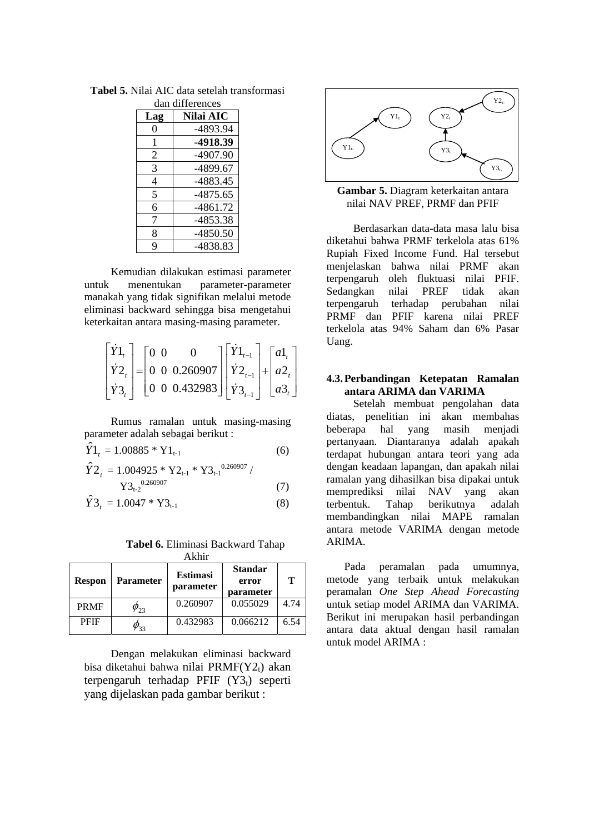| Lag | Nilai AIC  |  |  |  |  |
|-----|------------|--|--|--|--|
| 0   | -4893.94   |  |  |  |  |
| 1   | -4918.39   |  |  |  |  |
| 2   | -4907.90   |  |  |  |  |
| 3   | -4899.67   |  |  |  |  |
| 4   | -4883.45   |  |  |  |  |
| 5   | -4875.65   |  |  |  |  |
| 6   | -4861.72   |  |  |  |  |
| 7   | -4853.38   |  |  |  |  |
| 8   | $-4850.50$ |  |  |  |  |
| q   | -4838.83   |  |  |  |  |

**Tabel 5.** Nilai AIC data setelah transformasi dan differences

Kemudian dilakukan estimasi parameter untuk menentukan parameter-parameter manakah yang tidak signifikan melalui metode eliminasi backward sehingga bisa mengetahui keterkaitan antara masing-masing parameter.

$$
\begin{bmatrix} \dot{Y}1_t \\ \dot{Y}2_t \\ \dot{Y}3_t \end{bmatrix} = \begin{bmatrix} 0 & 0 & 0 \\ 0 & 0 & 0.260907 \\ 0 & 0 & 0.432983 \end{bmatrix} \begin{bmatrix} \dot{Y}1_{t-1} \\ \dot{Y}2_{t-1} \\ \dot{Y}3_{t-1} \end{bmatrix} + \begin{bmatrix} a1_t \\ a2_t \\ a3_t \end{bmatrix}
$$

Rumus ramalan untuk masing-masing parameter adalah sebagai berikut :

$$
\hat{Y}1_t = 1.00885 * Y1_{t-1}
$$
 (6)

$$
\hat{Y}2_{t} = 1.004925 * Y2_{t-1} * Y3_{t-1}^{0.260907} / Y3_{t-2}^{0.260907}
$$
\n
$$
(7)
$$

$$
\hat{Y3}_t = 1.0047 * Y3_{t-1}
$$
 (8)

#### **Tabel 6.** Eliminasi Backward Tahap Akhir

| <b>ANIII</b>  |                  |                              |                                      |      |
|---------------|------------------|------------------------------|--------------------------------------|------|
| <b>Respon</b> | <b>Parameter</b> | <b>Estimasi</b><br>parameter | <b>Standar</b><br>error<br>parameter | т    |
| <b>PRMF</b>   | $\varphi_{23}$   | 0.260907                     | 0.055029                             | 4.74 |
| <b>PFIF</b>   | $\nu_{33}$       | 0.432983                     | 0.066212                             | 6.54 |

Dengan melakukan eliminasi backward bisa diketahui bahwa nilai PRMF(Y2t) akan terpengaruh terhadap PFIF  $(Y3_t)$  seperti yang dijelaskan pada gambar berikut :



**Gambar 5.** Diagram keterkaitan antara nilai NAV PREF, PRMF dan PFIF

Berdasarkan data-data masa lalu bisa diketahui bahwa PRMF terkelola atas 61% Rupiah Fixed Income Fund. Hal tersebut menjelaskan bahwa nilai PRMF akan terpengaruh oleh fluktuasi nilai PFIF. Sedangkan nilai PREF tidak akan terpengaruh terhadap perubahan nilai PRMF dan PFIF karena nilai PREF terkelola atas 94% Saham dan 6% Pasar Uang.

### **4.3.Perbandingan Ketepatan Ramalan antara ARIMA dan VARIMA**

Setelah membuat pengolahan data diatas, penelitian ini akan membahas beberapa hal yang masih menjadi pertanyaan. Diantaranya adalah apakah terdapat hubungan antara teori yang ada dengan keadaan lapangan, dan apakah nilai ramalan yang dihasilkan bisa dipakai untuk memprediksi nilai NAV yang akan terbentuk. Tahap berikutnya adalah membandingkan nilai MAPE ramalan antara metode VARIMA dengan metode ARIMA.

Pada peramalan pada umumnya, metode yang terbaik untuk melakukan peramalan *One Step Ahead Forecasting* untuk setiap model ARIMA dan VARIMA. Berikut ini merupakan hasil perbandingan antara data aktual dengan hasil ramalan untuk model ARIMA :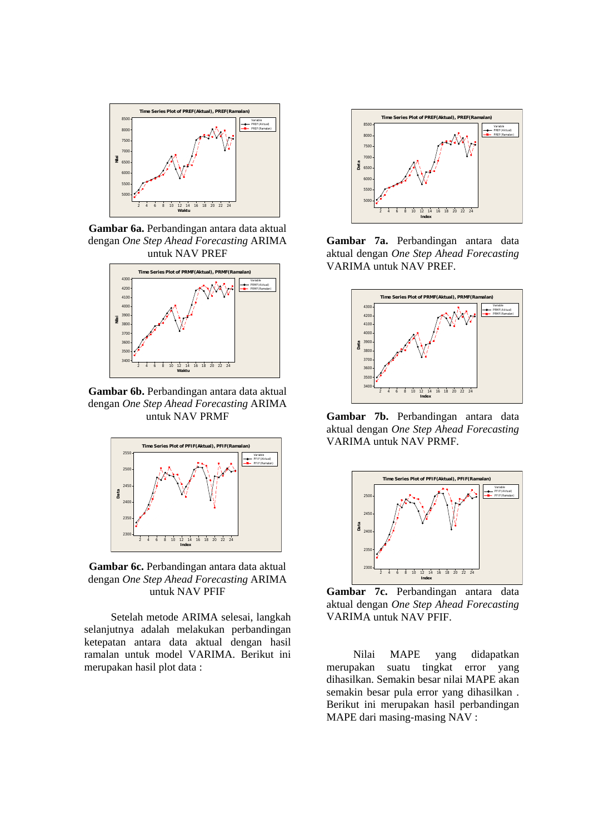

**Gambar 6a.** Perbandingan antara data aktual dengan *One Step Ahead Forecasting* ARIMA untuk NAV PREF



**Gambar 6b.** Perbandingan antara data aktual dengan *One Step Ahead Forecasting* ARIMA untuk NAV PRMF



**Gambar 6c.** Perbandingan antara data aktual dengan *One Step Ahead Forecasting* ARIMA untuk NAV PFIF

Setelah metode ARIMA selesai, langkah selanjutnya adalah melakukan perbandingan ketepatan antara data aktual dengan hasil ramalan untuk model VARIMA. Berikut ini merupakan hasil plot data :



**Gambar 7a.** Perbandingan antara data aktual dengan *One Step Ahead Forecasting*  VARIMA untuk NAV PREF.



**Gambar 7b.** Perbandingan antara data aktual dengan *One Step Ahead Forecasting*  VARIMA untuk NAV PRMF.



**Gambar 7c.** Perbandingan antara data aktual dengan *One Step Ahead Forecasting*  VARIMA untuk NAV PFIF.

Nilai MAPE yang didapatkan merupakan suatu tingkat error yang dihasilkan. Semakin besar nilai MAPE akan semakin besar pula error yang dihasilkan . Berikut ini merupakan hasil perbandingan MAPE dari masing-masing NAV :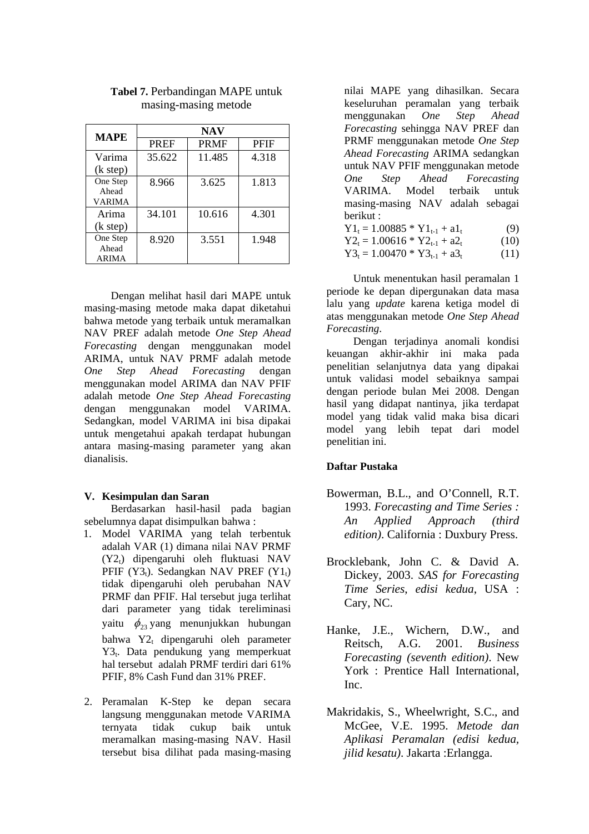| <b>MAPE</b>                        | <b>NAV</b>  |             |             |  |
|------------------------------------|-------------|-------------|-------------|--|
|                                    | <b>PREF</b> | <b>PRMF</b> | <b>PFIF</b> |  |
| Varima                             | 35.622      | 11.485      | 4.318       |  |
| (k step)                           |             |             |             |  |
| One Step<br>Ahead<br><b>VARIMA</b> | 8.966       | 3.625       | 1.813       |  |
| Arima<br>(k step)                  | 34.101      | 10.616      | 4.301       |  |
| One Step<br>Ahead<br><b>ARIMA</b>  | 8.920       | 3.551       | 1.948       |  |

### **Tabel 7.** Perbandingan MAPE untuk masing-masing metode

Dengan melihat hasil dari MAPE untuk masing-masing metode maka dapat diketahui bahwa metode yang terbaik untuk meramalkan NAV PREF adalah metode *One Step Ahead Forecasting* dengan menggunakan model ARIMA, untuk NAV PRMF adalah metode *One Step Ahead Forecasting* dengan menggunakan model ARIMA dan NAV PFIF adalah metode *One Step Ahead Forecasting* dengan menggunakan model VARIMA. Sedangkan, model VARIMA ini bisa dipakai untuk mengetahui apakah terdapat hubungan antara masing-masing parameter yang akan dianalisis.

#### **V. Kesimpulan dan Saran**

Berdasarkan hasil-hasil pada bagian sebelumnya dapat disimpulkan bahwa :

- 1. Model VARIMA yang telah terbentuk adalah VAR (1) dimana nilai NAV PRMF (Y2t) dipengaruhi oleh fluktuasi NAV PFIF  $(Y3_t)$ . Sedangkan NAV PREF  $(Y1_t)$ tidak dipengaruhi oleh perubahan NAV PRMF dan PFIF. Hal tersebut juga terlihat dari parameter yang tidak tereliminasi yaitu  $\phi_{23}$  yang menunjukkan hubungan bahwa Y2<sub>t</sub> dipengaruhi oleh parameter Y3t. Data pendukung yang memperkuat hal tersebut adalah PRMF terdiri dari 61% PFIF, 8% Cash Fund dan 31% PREF.
- 2. Peramalan K-Step ke depan secara langsung menggunakan metode VARIMA ternyata tidak cukup baik untuk meramalkan masing-masing NAV. Hasil tersebut bisa dilihat pada masing-masing

nilai MAPE yang dihasilkan. Secara keseluruhan peramalan yang terbaik menggunakan *One Step Ahead Forecasting* sehingga NAV PREF dan PRMF menggunakan metode *One Step Ahead Forecasting* ARIMA sedangkan untuk NAV PFIF menggunakan metode *One Step Ahead Forecasting*  VARIMA. Model terbaik untuk masing-masing NAV adalah sebagai berikut :

- $Y1_t = 1.00885 * Y1_{t-1} + a1_t$  (9)
- $Y2_t = 1.00616 * Y2_{t-1} + a2_t$  (10)  $Y3_t = 1.00470 * Y3_{t-1} + a3_t$  (11)

Untuk menentukan hasil peramalan 1 periode ke depan dipergunakan data masa lalu yang *update* karena ketiga model di atas menggunakan metode *One Step Ahead Forecasting*.

Dengan terjadinya anomali kondisi keuangan akhir-akhir ini maka pada penelitian selanjutnya data yang dipakai untuk validasi model sebaiknya sampai dengan periode bulan Mei 2008. Dengan hasil yang didapat nantinya, jika terdapat model yang tidak valid maka bisa dicari model yang lebih tepat dari model penelitian ini.

### **Daftar Pustaka**

- Bowerman, B.L., and O'Connell, R.T. 1993. *Forecasting and Time Series : An Applied Approach (third edition)*. California : Duxbury Press.
- Brocklebank, John C. & David A. Dickey, 2003. *SAS for Forecasting Time Series*, *edisi kedua*, USA : Cary, NC.
- Hanke, J.E., Wichern, D.W., and Reitsch, A.G. 2001. *Business Forecasting (seventh edition)*. New York : Prentice Hall International, Inc.
- Makridakis, S., Wheelwright, S.C., and McGee, V.E. 1995. *Metode dan Aplikasi Peramalan (edisi kedua, jilid kesatu)*. Jakarta :Erlangga.